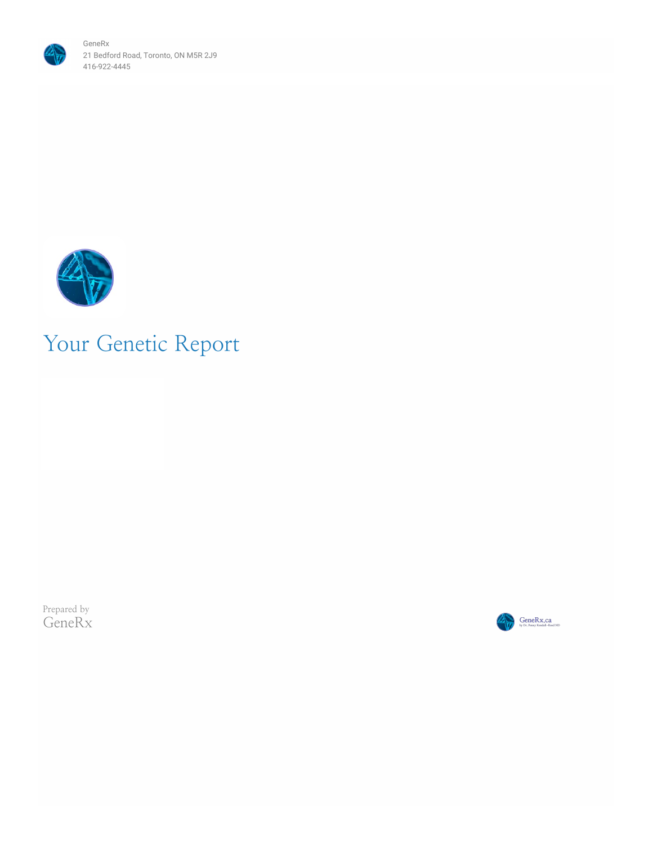



# Your Genetic Report

Prepared by GeneRx

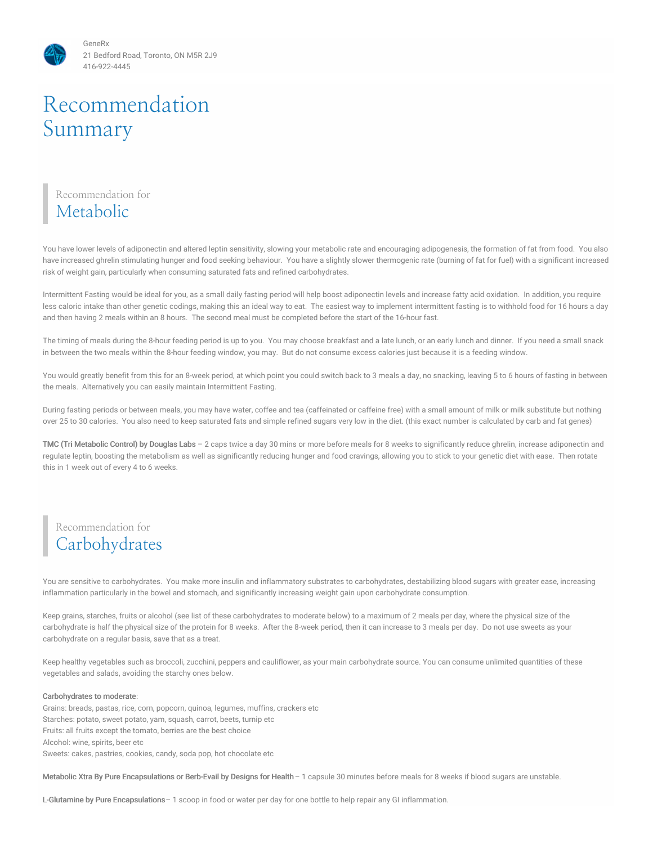# Recommendation Summary

# Recommendation for Metabolic

You have lower levels of adiponectin and altered leptin sensitivity, slowing your metabolic rate and encouraging adipogenesis, the formation of fat from food. You also have increased ghrelin stimulating hunger and food seeking behaviour. You have a slightly slower thermogenic rate (burning of fat for fuel) with a significant increased risk of weight gain, particularly when consuming saturated fats and refined carbohydrates.

Intermittent Fasting would be ideal for you, as a small daily fasting period will help boost adiponectin levels and increase fatty acid oxidation. In addition, you require less caloric intake than other genetic codings, making this an ideal way to eat. The easiest way to implement intermittent fasting is to withhold food for 16 hours a day and then having 2 meals within an 8 hours. The second meal must be completed before the start of the 16-hour fast.

The timing of meals during the 8-hour feeding period is up to you. You may choose breakfast and a late lunch, or an early lunch and dinner. If you need a small snack in between the two meals within the 8-hour feeding window, you may. But do not consume excess calories just because it is a feeding window.

You would greatly benefit from this for an 8-week period, at which point you could switch back to 3 meals a day, no snacking, leaving 5 to 6 hours of fasting in between the meals. Alternatively you can easily maintain Intermittent Fasting.

During fasting periods or between meals, you may have water, coffee and tea (caffeinated or caffeine free) with a small amount of milk or milk substitute but nothing over 25 to 30 calories. You also need to keep saturated fats and simple refined sugars very low in the diet. (this exact number is calculated by carb and fat genes)

TMC (Tri Metabolic Control) by Douglas Labs – 2 caps twice a day 30 mins or more before meals for 8 weeks to significantly reduce ghrelin, increase adiponectin and regulate leptin, boosting the metabolism as well as significantly reducing hunger and food cravings, allowing you to stick to your genetic diet with ease. Then rotate this in 1 week out of every 4 to 6 weeks.

# Recommendation for Carbohydrates

You are sensitive to carbohydrates. You make more insulin and inflammatory substrates to carbohydrates, destabilizing blood sugars with greater ease, increasing inflammation particularly in the bowel and stomach, and significantly increasing weight gain upon carbohydrate consumption.

Keep grains, starches, fruits or alcohol (see list of these carbohydrates to moderate below) to a maximum of 2 meals per day, where the physical size of the carbohydrate is half the physical size of the protein for 8 weeks. After the 8-week period, then it can increase to 3 meals per day. Do not use sweets as your carbohydrate on a regular basis, save that as a treat.

Keep healthy vegetables such as broccoli, zucchini, peppers and cauliflower, as your main carbohydrate source. You can consume unlimited quantities of these vegetables and salads, avoiding the starchy ones below.

#### Carbohydrates to moderate:

Grains: breads, pastas, rice, corn, popcorn, quinoa, legumes, muffins, crackers etc Starches: potato, sweet potato, yam, squash, carrot, beets, turnip etc Fruits: all fruits except the tomato, berries are the best choice Alcohol: wine, spirits, beer etc Sweets: cakes, pastries, cookies, candy, soda pop, hot chocolate etc

Metabolic Xtra By Pure Encapsulations or Berb-Evail by Designs for Health– 1 capsule 30 minutes before meals for 8 weeks if blood sugars are unstable.

L-Glutamine by Pure Encapsulations– 1 scoop in food or water per day for one bottle to help repair any GI inflammation.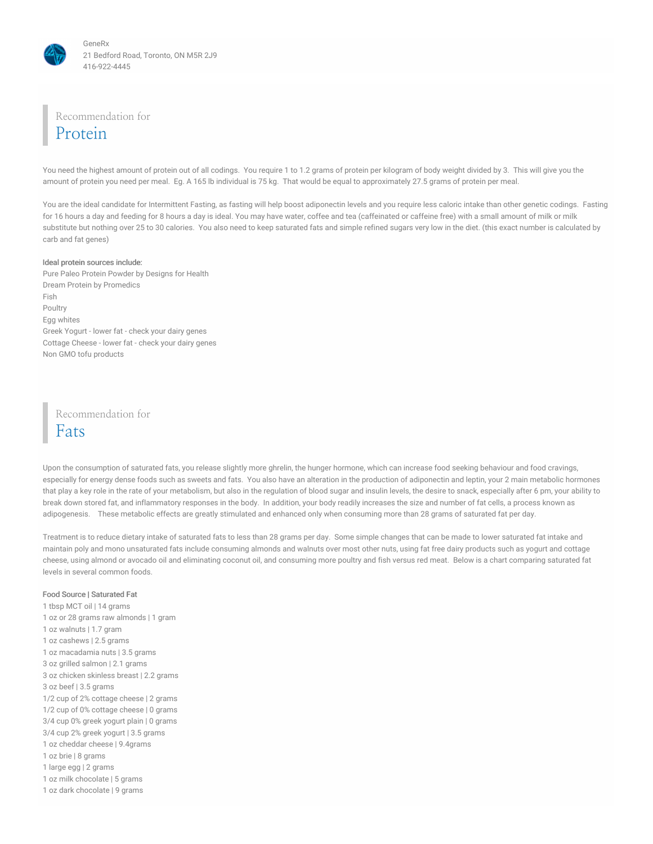

Recommendation for

# Protein

You need the highest amount of protein out of all codings. You require 1 to 1.2 grams of protein per kilogram of body weight divided by 3. This will give you the amount of protein you need per meal. Eg. A 165 lb individual is 75 kg. That would be equal to approximately 27.5 grams of protein per meal.

You are the ideal candidate for Intermittent Fasting, as fasting will help boost adiponectin levels and you require less caloric intake than other genetic codings. Fasting for 16 hours a day and feeding for 8 hours a day is ideal. You may have water, coffee and tea (caffeinated or caffeine free) with a small amount of milk or milk substitute but nothing over 25 to 30 calories. You also need to keep saturated fats and simple refined sugars very low in the diet. (this exact number is calculated by carb and fat genes)

#### Ideal protein sources include:

Pure Paleo Protein Powder by Designs for Health Dream Protein by Promedics Fish Poultry Egg whites Greek Yogurt - lower fat - check your dairy genes Cottage Cheese - lower fat - check your dairy genes Non GMO tofu products

Recommendation for Fats

Upon the consumption of saturated fats, you release slightly more ghrelin, the hunger hormone, which can increase food seeking behaviour and food cravings, especially for energy dense foods such as sweets and fats. You also have an alteration in the production of adiponectin and leptin, your 2 main metabolic hormones that play a key role in the rate of your metabolism, but also in the regulation of blood sugar and insulin levels, the desire to snack, especially after 6 pm, your ability to break down stored fat, and inflammatory responses in the body. In addition, your body readily increases the size and number of fat cells, a process known as adipogenesis. These metabolic effects are greatly stimulated and enhanced only when consuming more than 28 grams of saturated fat per day.

Treatment is to reduce dietary intake of saturated fats to less than 28 grams per day. Some simple changes that can be made to lower saturated fat intake and maintain poly and mono unsaturated fats include consuming almonds and walnuts over most other nuts, using fat free dairy products such as yogurt and cottage cheese, using almond or avocado oil and eliminating coconut oil, and consuming more poultry and fish versus red meat. Below is a chart comparing saturated fat levels in several common foods.

#### Food Source | Saturated Fat

 tbsp MCT oil | 14 grams oz or 28 grams raw almonds | 1 gram oz walnuts | 1.7 gram oz cashews | 2.5 grams oz macadamia nuts | 3.5 grams oz grilled salmon | 2.1 grams oz chicken skinless breast | 2.2 grams oz beef | 3.5 grams 1/2 cup of 2% cottage cheese | 2 grams 1/2 cup of 0% cottage cheese | 0 grams 3/4 cup 0% greek yogurt plain | 0 grams 3/4 cup 2% greek yogurt | 3.5 grams oz cheddar cheese | 9.4grams oz brie | 8 grams large egg | 2 grams oz milk chocolate | 5 grams oz dark chocolate | 9 grams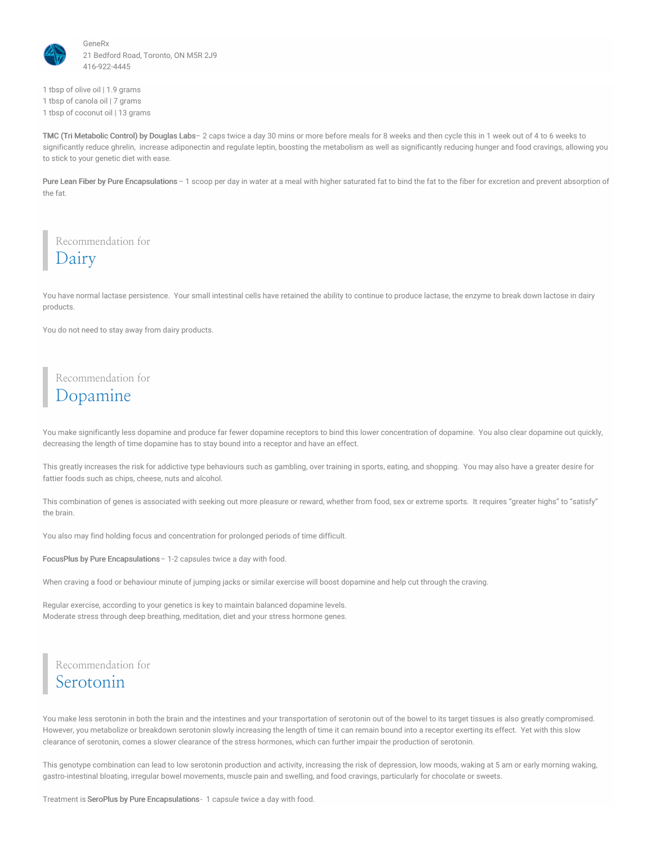

1 tbsp of olive oil | 1.9 grams 1 tbsp of canola oil | 7 grams 1 tbsp of coconut oil | 13 grams

TMC (Tri Metabolic Control) by Douglas Labs– 2 caps twice a day 30 mins or more before meals for 8 weeks and then cycle this in 1 week out of 4 to 6 weeks to significantly reduce ghrelin, increase adiponectin and regulate leptin, boosting the metabolism as well as significantly reducing hunger and food cravings, allowing you to stick to your genetic diet with ease.

Pure Lean Fiber by Pure Encapsulations - 1 scoop per day in water at a meal with higher saturated fat to bind the fat to the fiber for excretion and prevent absorption of the fat.

Recommendation for Dairy

You have normal lactase persistence. Your small intestinal cells have retained the ability to continue to produce lactase, the enzyme to break down lactose in dairy products.

You do not need to stay away from dairy products.

### Recommendation for Dopamine

You make significantly less dopamine and produce far fewer dopamine receptors to bind this lower concentration of dopamine. You also clear dopamine out quickly, decreasing the length of time dopamine has to stay bound into a receptor and have an effect.

This greatly increases the risk for addictive type behaviours such as gambling, over training in sports, eating, and shopping. You may also have a greater desire for fattier foods such as chips, cheese, nuts and alcohol.

This combination of genes is associated with seeking out more pleasure or reward, whether from food, sex or extreme sports. It requires "greater highs" to "satisfy" the brain.

You also may find holding focus and concentration for prolonged periods of time difficult.

FocusPlus by Pure Encapsulations– 1-2 capsules twice a day with food.

When craving a food or behaviour minute of jumping jacks or similar exercise will boost dopamine and help cut through the craving.

Regular exercise, according to your genetics is key to maintain balanced dopamine levels. Moderate stress through deep breathing, meditation, diet and your stress hormone genes.

Recommendation for Serotonin

You make less serotonin in both the brain and the intestines and your transportation of serotonin out of the bowel to its target tissues is also greatly compromised. However, you metabolize or breakdown serotonin slowly increasing the length of time it can remain bound into a receptor exerting its effect. Yet with this slow clearance of serotonin, comes a slower clearance of the stress hormones, which can further impair the production of serotonin.

This genotype combination can lead to low serotonin production and activity, increasing the risk of depression, low moods, waking at 5 am or early morning waking, gastro-intestinal bloating, irregular bowel movements, muscle pain and swelling, and food cravings, particularly for chocolate or sweets.

Treatment is SeroPlus by Pure Encapsulations- 1 capsule twice a day with food.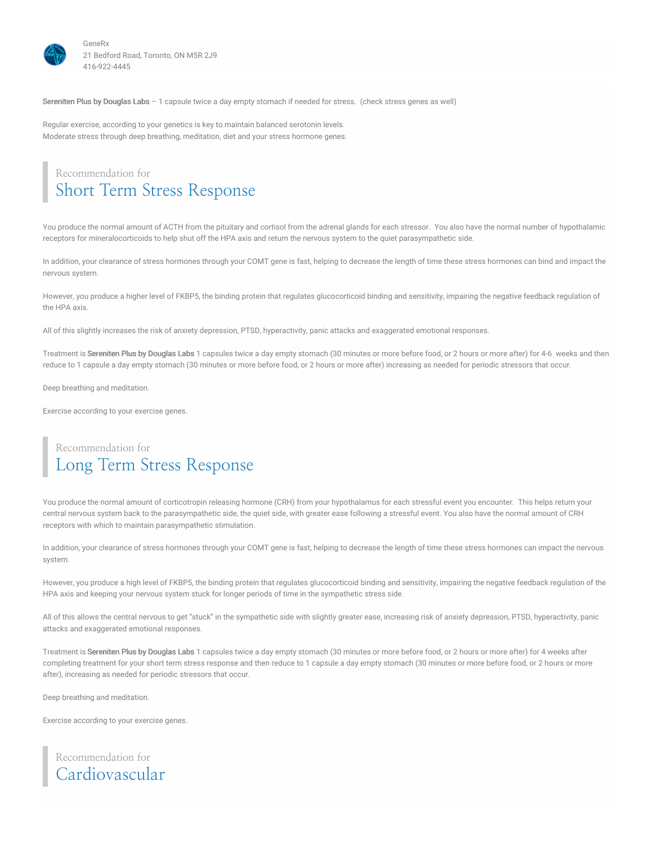

Sereniten Plus by Douglas Labs – 1 capsule twice a day empty stomach if needed for stress. (check stress genes as well)

Regular exercise, according to your genetics is key to maintain balanced serotonin levels. Moderate stress through deep breathing, meditation, diet and your stress hormone genes.

### Recommendation for Short Term Stress Response

You produce the normal amount of ACTH from the pituitary and cortisol from the adrenal glands for each stressor. You also have the normal number of hypothalamic receptors for mineralocorticoids to help shut off the HPA axis and return the nervous system to the quiet parasympathetic side.

In addition, your clearance of stress hormones through your COMT gene is fast, helping to decrease the length of time these stress hormones can bind and impact the nervous system.

However, you produce a higher level of FKBP5, the binding protein that regulates glucocorticoid binding and sensitivity, impairing the negative feedback regulation of the HPA axis.

All of this slightly increases the risk of anxiety depression, PTSD, hyperactivity, panic attacks and exaggerated emotional responses.

Treatment is Sereniten Plus by Douglas Labs 1 capsules twice a day empty stomach (30 minutes or more before food, or 2 hours or more after) for 4-6 weeks and then reduce to 1 capsule a day empty stomach (30 minutes or more before food, or 2 hours or more after) increasing as needed for periodic stressors that occur.

Deep breathing and meditation.

Exercise according to your exercise genes.

### Recommendation for Long Term Stress Response

You produce the normal amount of corticotropin releasing hormone (CRH) from your hypothalamus for each stressful event you encounter. This helps return your central nervous system back to the parasympathetic side, the quiet side, with greater ease following a stressful event. You also have the normal amount of CRH receptors with which to maintain parasympathetic stimulation.

In addition, your clearance of stress hormones through your COMT gene is fast, helping to decrease the length of time these stress hormones can impact the nervous system.

However, you produce a high level of FKBP5, the binding protein that regulates glucocorticoid binding and sensitivity, impairing the negative feedback regulation of the HPA axis and keeping your nervous system stuck for longer periods of time in the sympathetic stress side.

All of this allows the central nervous to get "stuck" in the sympathetic side with slightly greater ease, increasing risk of anxiety depression, PTSD, hyperactivity, panic attacks and exaggerated emotional responses.

Treatment is Sereniten Plus by Douglas Labs 1 capsules twice a day empty stomach (30 minutes or more before food, or 2 hours or more after) for 4 weeks after completing treatment for your short term stress response and then reduce to 1 capsule a day empty stomach (30 minutes or more before food, or 2 hours or more after), increasing as needed for periodic stressors that occur.

Deep breathing and meditation.

Exercise according to your exercise genes.

### Recommendation for Cardiovascular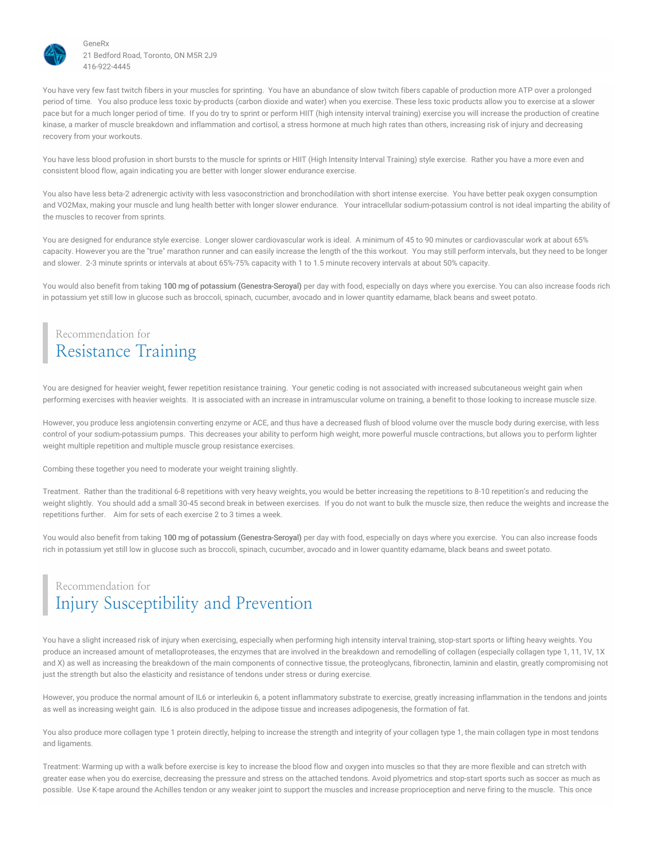

You have very few fast twitch fibers in your muscles for sprinting. You have an abundance of slow twitch fibers capable of production more ATP over a prolonged period of time. You also produce less toxic by-products (carbon dioxide and water) when you exercise. These less toxic products allow you to exercise at a slower pace but for a much longer period of time. If you do try to sprint or perform HIIT (high intensity interval training) exercise you will increase the production of creatine kinase, a marker of muscle breakdown and inflammation and cortisol, a stress hormone at much high rates than others, increasing risk of injury and decreasing recovery from your workouts.

You have less blood profusion in short bursts to the muscle for sprints or HIIT (High Intensity Interval Training) style exercise. Rather you have a more even and consistent blood flow, again indicating you are better with longer slower endurance exercise.

You also have less beta-2 adrenergic activity with less vasoconstriction and bronchodilation with short intense exercise. You have better peak oxygen consumption and VO2Max, making your muscle and lung health better with longer slower endurance. Your intracellular sodium-potassium control is not ideal imparting the ability of the muscles to recover from sprints.

You are designed for endurance style exercise. Longer slower cardiovascular work is ideal. A minimum of 45 to 90 minutes or cardiovascular work at about 65% capacity. However you are the "true" marathon runner and can easily increase the length of the this workout. You may still perform intervals, but they need to be longer and slower. 2-3 minute sprints or intervals at about 65%-75% capacity with 1 to 1.5 minute recovery intervals at about 50% capacity.

You would also benefit from taking 100 mg of potassium (Genestra-Seroyal) per day with food, especially on days where you exercise. You can also increase foods rich in potassium yet still low in glucose such as broccoli, spinach, cucumber, avocado and in lower quantity edamame, black beans and sweet potato.

### Recommendation for Resistance Training

You are designed for heavier weight, fewer repetition resistance training. Your genetic coding is not associated with increased subcutaneous weight gain when performing exercises with heavier weights. It is associated with an increase in intramuscular volume on training, a benefit to those looking to increase muscle size.

However, you produce less angiotensin converting enzyme or ACE, and thus have a decreased flush of blood volume over the muscle body during exercise, with less control of your sodium-potassium pumps. This decreases your ability to perform high weight, more powerful muscle contractions, but allows you to perform lighter weight multiple repetition and multiple muscle group resistance exercises.

Combing these together you need to moderate your weight training slightly.

Treatment. Rather than the traditional 6-8 repetitions with very heavy weights, you would be better increasing the repetitions to 8-10 repetition's and reducing the weight slightly. You should add a small 30-45 second break in between exercises. If you do not want to bulk the muscle size, then reduce the weights and increase the repetitions further. Aim for sets of each exercise 2 to 3 times a week.

You would also benefit from taking 100 mg of potassium (Genestra-Seroyal) per day with food, especially on days where you exercise. You can also increase foods rich in potassium yet still low in glucose such as broccoli, spinach, cucumber, avocado and in lower quantity edamame, black beans and sweet potato.

# Recommendation for Injury Susceptibility and Prevention

You have a slight increased risk of injury when exercising, especially when performing high intensity interval training, stop-start sports or lifting heavy weights. You produce an increased amount of metalloproteases, the enzymes that are involved in the breakdown and remodelling of collagen (especially collagen type 1, 11, 1V, 1X and X) as well as increasing the breakdown of the main components of connective tissue, the proteoglycans, fibronectin, laminin and elastin, greatly compromising not just the strength but also the elasticity and resistance of tendons under stress or during exercise.

However, you produce the normal amount of IL6 or interleukin 6, a potent inflammatory substrate to exercise, greatly increasing inflammation in the tendons and joints as well as increasing weight gain. IL6 is also produced in the adipose tissue and increases adipogenesis, the formation of fat.

You also produce more collagen type 1 protein directly, helping to increase the strength and integrity of your collagen type 1, the main collagen type in most tendons and ligaments.

Treatment: Warming up with a walk before exercise is key to increase the blood flow and oxygen into muscles so that they are more flexible and can stretch with greater ease when you do exercise, decreasing the pressure and stress on the attached tendons. Avoid plyometrics and stop-start sports such as soccer as much as possible. Use K-tape around the Achilles tendon or any weaker joint to support the muscles and increase proprioception and nerve firing to the muscle. This once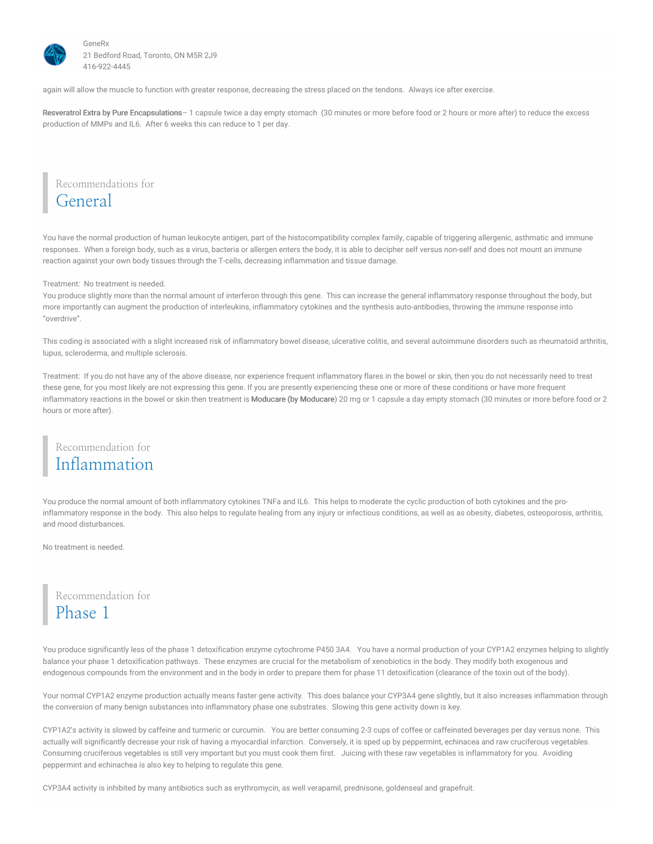

again will allow the muscle to function with greater response, decreasing the stress placed on the tendons. Always ice after exercise.

Resveratrol Extra by Pure Encapsulations - 1 capsule twice a day empty stomach (30 minutes or more before food or 2 hours or more after) to reduce the excess production of MMPs and IL6. After 6 weeks this can reduce to 1 per day.

Recommendations for General

You have the normal production of human leukocyte antigen, part of the histocompatibility complex family, capable of triggering allergenic, asthmatic and immune responses. When a foreign body, such as a virus, bacteria or allergen enters the body, it is able to decipher self versus non-self and does not mount an immune reaction against your own body tissues through the T-cells, decreasing inflammation and tissue damage.

Treatment: No treatment is needed.

You produce slightly more than the normal amount of interferon through this gene. This can increase the general inflammatory response throughout the body, but more importantly can augment the production of interleukins, inflammatory cytokines and the synthesis auto-antibodies, throwing the immune response into "overdrive".

This coding is associated with a slight increased risk of inflammatory bowel disease, ulcerative colitis, and several autoimmune disorders such as rheumatoid arthritis, lupus, scleroderma, and multiple sclerosis.

Treatment: If you do not have any of the above disease, nor experience frequent inflammatory flares in the bowel or skin, then you do not necessarily need to treat these gene, for you most likely are not expressing this gene. If you are presently experiencing these one or more of these conditions or have more frequent inflammatory reactions in the bowel or skin then treatment is Moducare (by Moducare) 20 mg or 1 capsule a day empty stomach (30 minutes or more before food or 2 hours or more after).

### Recommendation for Inflammation

You produce the normal amount of both inflammatory cytokines TNFa and IL6. This helps to moderate the cyclic production of both cytokines and the proinflammatory response in the body. This also helps to regulate healing from any injury or infectious conditions, as well as as obesity, diabetes, osteoporosis, arthritis, and mood disturbances.

No treatment is needed.

Recommendation for Phase 1

You produce significantly less of the phase 1 detoxification enzyme cytochrome P450 3A4. You have a normal production of your CYP1A2 enzymes helping to slightly balance your phase 1 detoxification pathways. These enzymes are crucial for the metabolism of xenobiotics in the body. They modify both exogenous and endogenous compounds from the environment and in the body in order to prepare them for phase 11 detoxification (clearance of the toxin out of the body).

Your normal CYP1A2 enzyme production actually means faster gene activity. This does balance your CYP3A4 gene slightly, but it also increases inflammation through the conversion of many benign substances into inflammatory phase one substrates. Slowing this gene activity down is key.

CYP1A2's activity is slowed by caffeine and turmeric or curcumin. You are better consuming 2-3 cups of coffee or caffeinated beverages per day versus none. This actually will significantly decrease your risk of having a myocardial infarction. Conversely, it is sped up by peppermint, echinacea and raw cruciferous vegetables. Consuming cruciferous vegetables is still very important but you must cook them first. Juicing with these raw vegetables is inflammatory for you. Avoiding peppermint and echinachea is also key to helping to regulate this gene.

CYP3A4 activity is inhibited by many antibiotics such as erythromycin, as well verapamil, prednisone, goldenseal and grapefruit.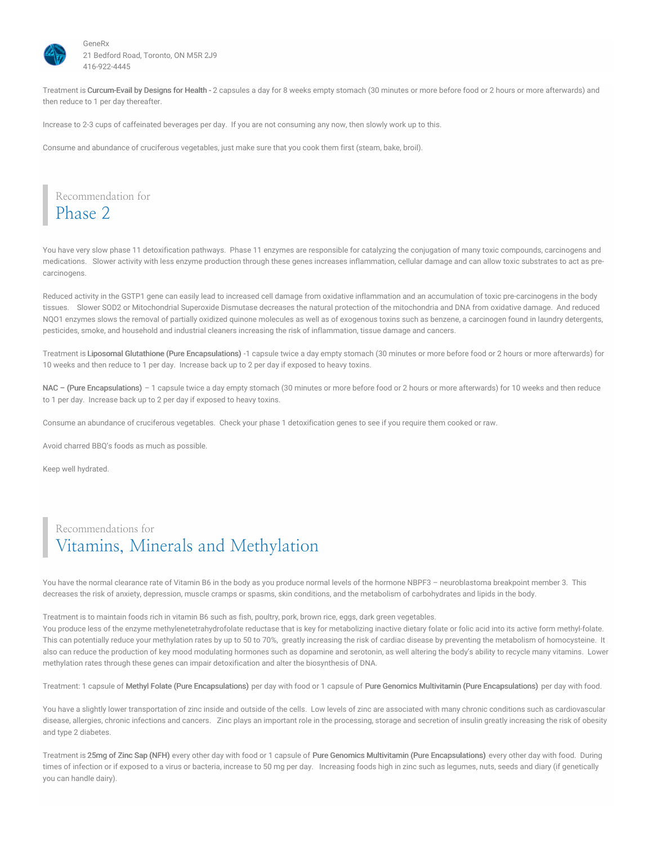

Treatment is Curcum-Evail by Designs for Health - 2 capsules a day for 8 weeks empty stomach (30 minutes or more before food or 2 hours or more afterwards) and then reduce to 1 per day thereafter.

Increase to 2-3 cups of caffeinated beverages per day. If you are not consuming any now, then slowly work up to this.

Consume and abundance of cruciferous vegetables, just make sure that you cook them first (steam, bake, broil).

Recommendation for Phase 2

You have very slow phase 11 detoxification pathways. Phase 11 enzymes are responsible for catalyzing the conjugation of many toxic compounds, carcinogens and medications. Slower activity with less enzyme production through these genes increases inflammation, cellular damage and can allow toxic substrates to act as precarcinogens.

Reduced activity in the GSTP1 gene can easily lead to increased cell damage from oxidative inflammation and an accumulation of toxic pre-carcinogens in the body tissues. Slower SOD2 or Mitochondrial Superoxide Dismutase decreases the natural protection of the mitochondria and DNA from oxidative damage. And reduced NQO1 enzymes slows the removal of partially oxidized quinone molecules as well as of exogenous toxins such as benzene, a carcinogen found in laundry detergents, pesticides, smoke, and household and industrial cleaners increasing the risk of inflammation, tissue damage and cancers.

Treatment is Liposomal Glutathione (Pure Encapsulations) -1 capsule twice a day empty stomach (30 minutes or more before food or 2 hours or more afterwards) for 10 weeks and then reduce to 1 per day. Increase back up to 2 per day if exposed to heavy toxins.

NAC - (Pure Encapsulations) - 1 capsule twice a day empty stomach (30 minutes or more before food or 2 hours or more afterwards) for 10 weeks and then reduce to 1 per day. Increase back up to 2 per day if exposed to heavy toxins.

Consume an abundance of cruciferous vegetables. Check your phase 1 detoxification genes to see if you require them cooked or raw.

Avoid charred BBQ's foods as much as possible.

Keep well hydrated.

# Recommendations for Vitamins, Minerals and Methylation

You have the normal clearance rate of Vitamin B6 in the body as you produce normal levels of the hormone NBPF3 – neuroblastoma breakpoint member 3. This decreases the risk of anxiety, depression, muscle cramps or spasms, skin conditions, and the metabolism of carbohydrates and lipids in the body.

Treatment is to maintain foods rich in vitamin B6 such as fish, poultry, pork, brown rice, eggs, dark green vegetables.

You produce less of the enzyme methylenetetrahydrofolate reductase that is key for metabolizing inactive dietary folate or folic acid into its active form methyl-folate. This can potentially reduce your methylation rates by up to 50 to 70%, greatly increasing the risk of cardiac disease by preventing the metabolism of homocysteine. It also can reduce the production of key mood modulating hormones such as dopamine and serotonin, as well altering the body's ability to recycle many vitamins. Lower methylation rates through these genes can impair detoxification and alter the biosynthesis of DNA.

Treatment: 1 capsule of Methyl Folate (Pure Encapsulations) per day with food or 1 capsule of Pure Genomics Multivitamin (Pure Encapsulations) per day with food.

You have a slightly lower transportation of zinc inside and outside of the cells. Low levels of zinc are associated with many chronic conditions such as cardiovascular disease, allergies, chronic infections and cancers. Zinc plays an important role in the processing, storage and secretion of insulin greatly increasing the risk of obesity and type 2 diabetes.

Treatment is 25mg of Zinc Sap (NFH) every other day with food or 1 capsule of Pure Genomics Multivitamin (Pure Encapsulations) every other day with food. During times of infection or if exposed to a virus or bacteria, increase to 50 mg per day. Increasing foods high in zinc such as legumes, nuts, seeds and diary (if genetically you can handle dairy).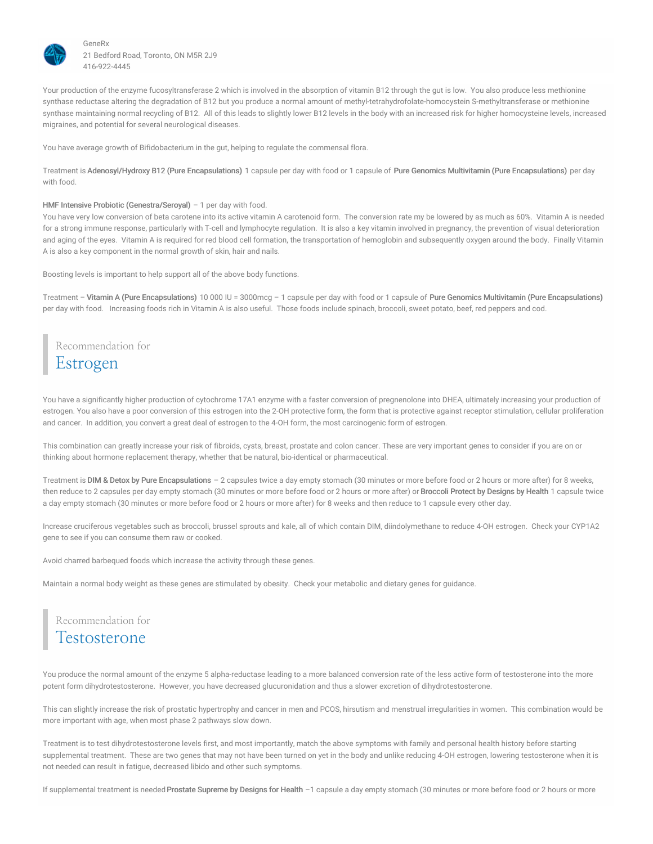

Your production of the enzyme fucosyltransferase 2 which is involved in the absorption of vitamin B12 through the gut is low. You also produce less methionine synthase reductase altering the degradation of B12 but you produce a normal amount of methyl-tetrahydrofolate-homocystein S-methyltransferase or methionine synthase maintaining normal recycling of B12. All of this leads to slightly lower B12 levels in the body with an increased risk for higher homocysteine levels, increased migraines, and potential for several neurological diseases.

You have average growth of Bifidobacterium in the gut, helping to regulate the commensal flora.

Treatment is Adenosyl/Hydroxy B12 (Pure Encapsulations) 1 capsule per day with food or 1 capsule of Pure Genomics Multivitamin (Pure Encapsulations) per day with food.

#### HMF Intensive Probiotic (Genestra/Seroyal) - 1 per day with food.

You have very low conversion of beta carotene into its active vitamin A carotenoid form. The conversion rate my be lowered by as much as 60%. Vitamin A is needed for a strong immune response, particularly with T-cell and lymphocyte regulation. It is also a key vitamin involved in pregnancy, the prevention of visual deterioration and aging of the eyes. Vitamin A is required for red blood cell formation, the transportation of hemoglobin and subsequently oxygen around the body. Finally Vitamin A is also a key component in the normal growth of skin, hair and nails.

Boosting levels is important to help support all of the above body functions.

Treatment – Vitamin A (Pure Encapsulations) 10 000 IU = 3000mcg – 1 capsule per day with food or 1 capsule of Pure Genomics Multivitamin (Pure Encapsulations) per day with food. Increasing foods rich in Vitamin A is also useful. Those foods include spinach, broccoli, sweet potato, beef, red peppers and cod.

Recommendation for Estrogen

You have a significantly higher production of cytochrome 17A1 enzyme with a faster conversion of pregnenolone into DHEA, ultimately increasing your production of estrogen. You also have a poor conversion of this estrogen into the 2-OH protective form, the form that is protective against receptor stimulation, cellular proliferation and cancer. In addition, you convert a great deal of estrogen to the 4-OH form, the most carcinogenic form of estrogen.

This combination can greatly increase your risk of fibroids, cysts, breast, prostate and colon cancer. These are very important genes to consider if you are on or thinking about hormone replacement therapy, whether that be natural, bio-identical or pharmaceutical.

Treatment is DIM & Detox by Pure Encapsulations – 2 capsules twice a day empty stomach (30 minutes or more before food or 2 hours or more after) for 8 weeks, then reduce to 2 capsules per day empty stomach (30 minutes or more before food or 2 hours or more after) or Broccoli Protect by Designs by Health 1 capsule twice a day empty stomach (30 minutes or more before food or 2 hours or more after) for 8 weeks and then reduce to 1 capsule every other day.

Increase cruciferous vegetables such as broccoli, brussel sprouts and kale, all of which contain DIM, diindolymethane to reduce 4-OH estrogen. Check your CYP1A2 gene to see if you can consume them raw or cooked.

Avoid charred barbequed foods which increase the activity through these genes.

Maintain a normal body weight as these genes are stimulated by obesity. Check your metabolic and dietary genes for guidance.

Recommendation for **Testosterone** 

You produce the normal amount of the enzyme 5 alpha-reductase leading to a more balanced conversion rate of the less active form of testosterone into the more potent form dihydrotestosterone. However, you have decreased glucuronidation and thus a slower excretion of dihydrotestosterone.

This can slightly increase the risk of prostatic hypertrophy and cancer in men and PCOS, hirsutism and menstrual irregularities in women. This combination would be more important with age, when most phase 2 pathways slow down.

Treatment is to test dihydrotestosterone levels first, and most importantly, match the above symptoms with family and personal health history before starting supplemental treatment. These are two genes that may not have been turned on yet in the body and unlike reducing 4-OH estrogen, lowering testosterone when it is not needed can result in fatigue, decreased libido and other such symptoms.

If supplemental treatment is needed Prostate Supreme by Designs for Health -1 capsule a day empty stomach (30 minutes or more before food or 2 hours or more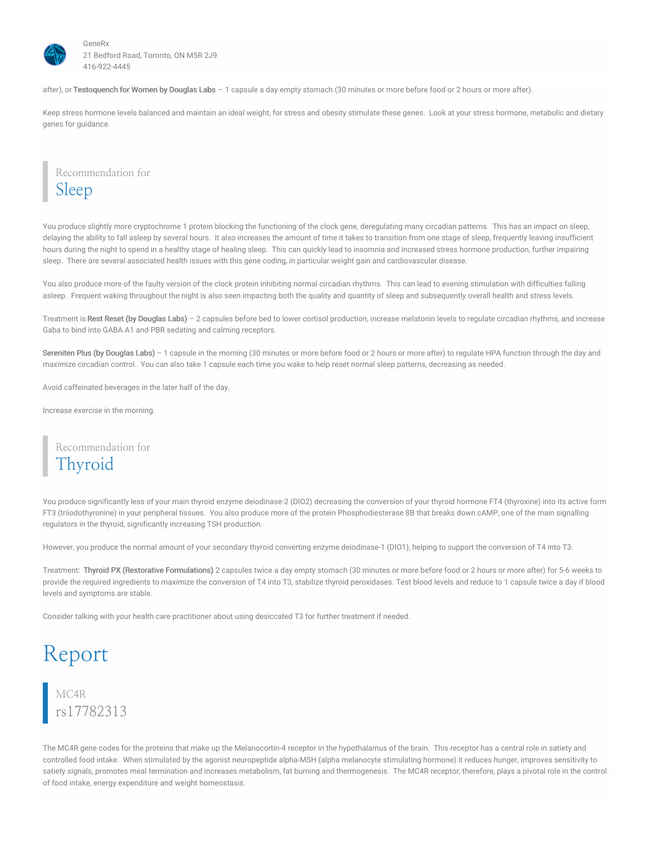

after), or Testoquench for Women by Douglas Labs - 1 capsule a day empty stomach (30 minutes or more before food or 2 hours or more after).

Keep stress hormone levels balanced and maintain an ideal weight, for stress and obesity stimulate these genes. Look at your stress hormone, metabolic and dietary genes for guidance.

Recommendation for Sleep

You produce slightly more cryptochrome 1 protein blocking the functioning of the clock gene, deregulating many circadian patterns. This has an impact on sleep, delaying the ability to fall asleep by several hours. It also increases the amount of time it takes to transition from one stage of sleep, frequently leaving insufficient hours during the night to spend in a healthy stage of healing sleep. This can quickly lead to insomnia and increased stress hormone production, further impairing sleep. There are several associated health issues with this gene coding, in particular weight gain and cardiovascular disease.

You also produce more of the faulty version of the clock protein inhibiting normal circadian rhythms. This can lead to evening stimulation with difficulties falling asleep. Frequent waking throughout the night is also seen impacting both the quality and quantity of sleep and subsequently overall health and stress levels.

Treatment is Rest Reset (by Douglas Labs) - 2 capsules before bed to lower cortisol production, increase melatonin levels to regulate circadian rhythms, and increase Gaba to bind into GABA A1 and PBR sedating and calming receptors.

Sereniten Plus (by Douglas Labs) – 1 capsule in the morning (30 minutes or more before food or 2 hours or more after) to regulate HPA function through the day and maximize circadian control. You can also take 1 capsule each time you wake to help reset normal sleep patterns, decreasing as needed.

Avoid caffeinated beverages in the later half of the day.

Increase exercise in the morning.

Recommendation for Thyroid

You produce significantly less of your main thyroid enzyme deiodinase-2 (DIO2) decreasing the conversion of your thyroid hormone FT4 (thyroxine) into its active form FT3 (triiodothyronine) in your peripheral tissues. You also produce more of the protein Phosphodiesterase 8B that breaks down cAMP, one of the main signalling regulators in the thyroid, significantly increasing TSH production.

However, you produce the normal amount of your secondary thyroid converting enzyme deiodinase-1 (DIO1), helping to support the conversion of T4 into T3.

Treatment: Thyroid PX (Restorative Formulations) 2 capsules twice a day empty stomach (30 minutes or more before food or 2 hours or more after) for 5-6 weeks to provide the required ingredients to maximize the conversion of T4 into T3, stabilize thyroid peroxidases. Test blood levels and reduce to 1 capsule twice a day if blood levels and symptoms are stable.

Consider talking with your health care practitioner about using desiccated T3 for further treatment if needed.

# Report

# MC4R rs17782313

The MC4R gene codes for the proteins that make up the Melanocortin-4 receptor in the hypothalamus of the brain. This receptor has a central role in satiety and controlled food intake. When stimulated by the agonist neuropeptide alpha-MSH (alpha melanocyte stimulating hormone) it reduces hunger, improves sensitivity to satiety signals, promotes meal termination and increases metabolism, fat burning and thermogenesis. The MC4R receptor, therefore, plays a pivotal role in the control of food intake, energy expenditure and weight homeostasis.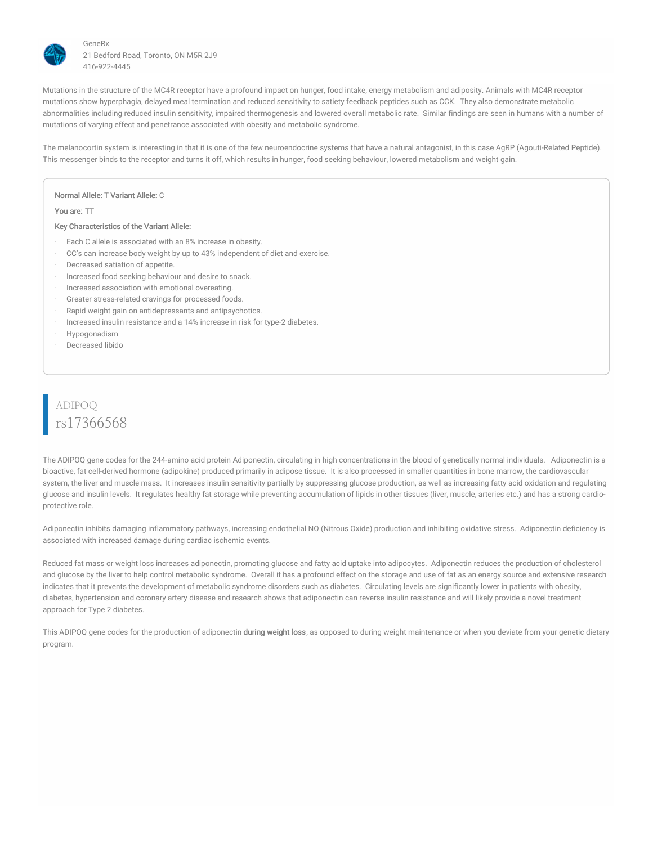

Mutations in the structure of the MC4R receptor have a profound impact on hunger, food intake, energy metabolism and adiposity. Animals with MC4R receptor mutations show hyperphagia, delayed meal termination and reduced sensitivity to satiety feedback peptides such as CCK. They also demonstrate metabolic abnormalities including reduced insulin sensitivity, impaired thermogenesis and lowered overall metabolic rate. Similar findings are seen in humans with a number of mutations of varying effect and penetrance associated with obesity and metabolic syndrome.

The melanocortin system is interesting in that it is one of the few neuroendocrine systems that have a natural antagonist, in this case AgRP (Agouti-Related Peptide). This messenger binds to the receptor and turns it off, which results in hunger, food seeking behaviour, lowered metabolism and weight gain.

#### Normal Allele: T Variant Allele: C

You are: TT

#### Key Characteristics of the Variant Allele:

- Each C allele is associated with an 8% increase in obesity.
- CC's can increase body weight by up to 43% independent of diet and exercise.
- · Decreased satiation of appetite.
- Increased food seeking behaviour and desire to snack.
- Increased association with emotional overeating.
- Greater stress-related cravings for processed foods.
- Rapid weight gain on antidepressants and antipsychotics.
- · Increased insulin resistance and a 14% increase in risk for type-2 diabetes.
- · Hypogonadism
- · Decreased libido

# ADIPOQ rs17366568

The ADIPOQ gene codes for the 244-amino acid protein Adiponectin, circulating in high concentrations in the blood of genetically normal individuals. Adiponectin is a bioactive, fat cell-derived hormone (adipokine) produced primarily in adipose tissue. It is also processed in smaller quantities in bone marrow, the cardiovascular system, the liver and muscle mass. It increases insulin sensitivity partially by suppressing glucose production, as well as increasing fatty acid oxidation and regulating glucose and insulin levels. It regulates healthy fat storage while preventing accumulation of lipids in other tissues (liver, muscle, arteries etc.) and has a strong cardioprotective role.

Adiponectin inhibits damaging inflammatory pathways, increasing endothelial NO (Nitrous Oxide) production and inhibiting oxidative stress. Adiponectin deficiency is associated with increased damage during cardiac ischemic events.

Reduced fat mass or weight loss increases adiponectin, promoting glucose and fatty acid uptake into adipocytes. Adiponectin reduces the production of cholesterol and glucose by the liver to help control metabolic syndrome. Overall it has a profound effect on the storage and use of fat as an energy source and extensive research indicates that it prevents the development of metabolic syndrome disorders such as diabetes. Circulating levels are significantly lower in patients with obesity, diabetes, hypertension and coronary artery disease and research shows that adiponectin can reverse insulin resistance and will likely provide a novel treatment approach for Type 2 diabetes.

This ADIPOQ gene codes for the production of adiponectin during weight loss, as opposed to during weight maintenance or when you deviate from your genetic dietary program.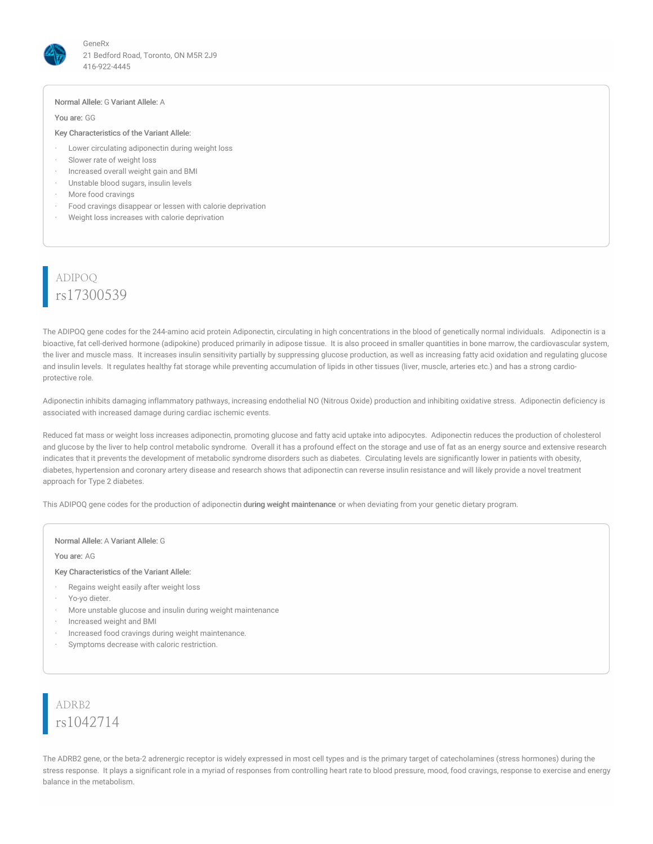

#### Normal Allele: G Variant Allele: A

You are: GG

#### Key Characteristics of the Variant Allele:

- · Lower circulating adiponectin during weight loss
- Slower rate of weight loss
- · Increased overall weight gain and BMI
- · Unstable blood sugars, insulin levels
- More food cravings
- Food cravings disappear or lessen with calorie deprivation
- Weight loss increases with calorie deprivation

# ADIPOQ rs17300539

The ADIPOQ gene codes for the 244-amino acid protein Adiponectin, circulating in high concentrations in the blood of genetically normal individuals. Adiponectin is a bioactive, fat cell-derived hormone (adipokine) produced primarily in adipose tissue. It is also proceed in smaller quantities in bone marrow, the cardiovascular system, the liver and muscle mass. It increases insulin sensitivity partially by suppressing glucose production, as well as increasing fatty acid oxidation and regulating glucose and insulin levels. It regulates healthy fat storage while preventing accumulation of lipids in other tissues (liver, muscle, arteries etc.) and has a strong cardioprotective role.

Adiponectin inhibits damaging inflammatory pathways, increasing endothelial NO (Nitrous Oxide) production and inhibiting oxidative stress. Adiponectin deficiency is associated with increased damage during cardiac ischemic events.

Reduced fat mass or weight loss increases adiponectin, promoting glucose and fatty acid uptake into adipocytes. Adiponectin reduces the production of cholesterol and glucose by the liver to help control metabolic syndrome. Overall it has a profound effect on the storage and use of fat as an energy source and extensive research indicates that it prevents the development of metabolic syndrome disorders such as diabetes. Circulating levels are significantly lower in patients with obesity, diabetes, hypertension and coronary artery disease and research shows that adiponectin can reverse insulin resistance and will likely provide a novel treatment approach for Type 2 diabetes.

This ADIPOQ gene codes for the production of adiponectin during weight maintenance or when deviating from your genetic dietary program.

#### Normal Allele: A Variant Allele: G

You are: AG

#### Key Characteristics of the Variant Allele:

- Regains weight easily after weight loss
- Yo-yo dieter.
- More unstable glucose and insulin during weight maintenance
- · Increased weight and BMI
- Increased food cravings during weight maintenance.
- Symptoms decrease with caloric restriction.

# ADRB2 rs1042714

The ADRB2 gene, or the beta-2 adrenergic receptor is widely expressed in most cell types and is the primary target of catecholamines (stress hormones) during the stress response. It plays a significant role in a myriad of responses from controlling heart rate to blood pressure, mood, food cravings, response to exercise and energy balance in the metabolism.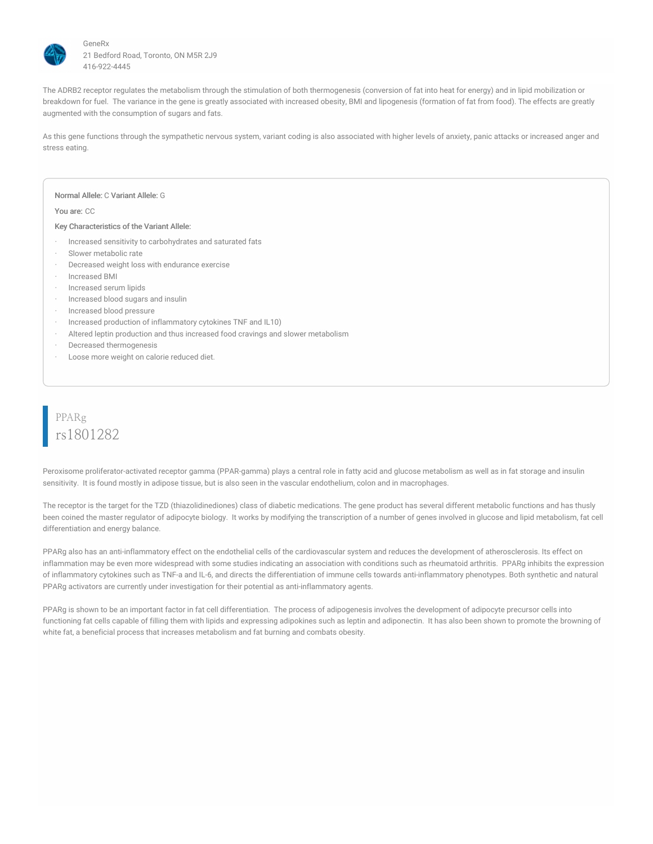

The ADRB2 receptor regulates the metabolism through the stimulation of both thermogenesis (conversion of fat into heat for energy) and in lipid mobilization or breakdown for fuel. The variance in the gene is greatly associated with increased obesity, BMI and lipogenesis (formation of fat from food). The effects are greatly augmented with the consumption of sugars and fats.

As this gene functions through the sympathetic nervous system, variant coding is also associated with higher levels of anxiety, panic attacks or increased anger and stress eating.

#### Normal Allele: C Variant Allele: G

You are: CC

#### Key Characteristics of the Variant Allele:

- Increased sensitivity to carbohydrates and saturated fats
- Slower metabolic rate
- Decreased weight loss with endurance exercise
- · Increased BMI
- Increased serum lipids
- · Increased blood sugars and insulin
- · Increased blood pressure
- · Increased production of inflammatory cytokines TNF and IL10)
- · Altered leptin production and thus increased food cravings and slower metabolism
- · Decreased thermogenesis
- · Loose more weight on calorie reduced diet.

# PPARg rs1801282

Peroxisome proliferator-activated receptor gamma (PPAR-gamma) plays a central role in fatty acid and glucose metabolism as well as in fat storage and insulin sensitivity. It is found mostly in adipose tissue, but is also seen in the vascular endothelium, colon and in macrophages.

The receptor is the target for the TZD (thiazolidinediones) class of diabetic medications. The gene product has several different metabolic functions and has thusly been coined the master regulator of adipocyte biology. It works by modifying the transcription of a number of genes involved in glucose and lipid metabolism, fat cell differentiation and energy balance.

PPARg also has an anti-inflammatory effect on the endothelial cells of the cardiovascular system and reduces the development of atherosclerosis. Its effect on inflammation may be even more widespread with some studies indicating an association with conditions such as rheumatoid arthritis. PPARg inhibits the expression of inflammatory cytokines such as TNF-a and IL-6, and directs the differentiation of immune cells towards anti-inflammatory phenotypes. Both synthetic and natural PPARg activators are currently under investigation for their potential as anti-inflammatory agents.

PPARg is shown to be an important factor in fat cell differentiation. The process of adipogenesis involves the development of adipocyte precursor cells into functioning fat cells capable of filling them with lipids and expressing adipokines such as leptin and adiponectin. It has also been shown to promote the browning of white fat, a beneficial process that increases metabolism and fat burning and combats obesity.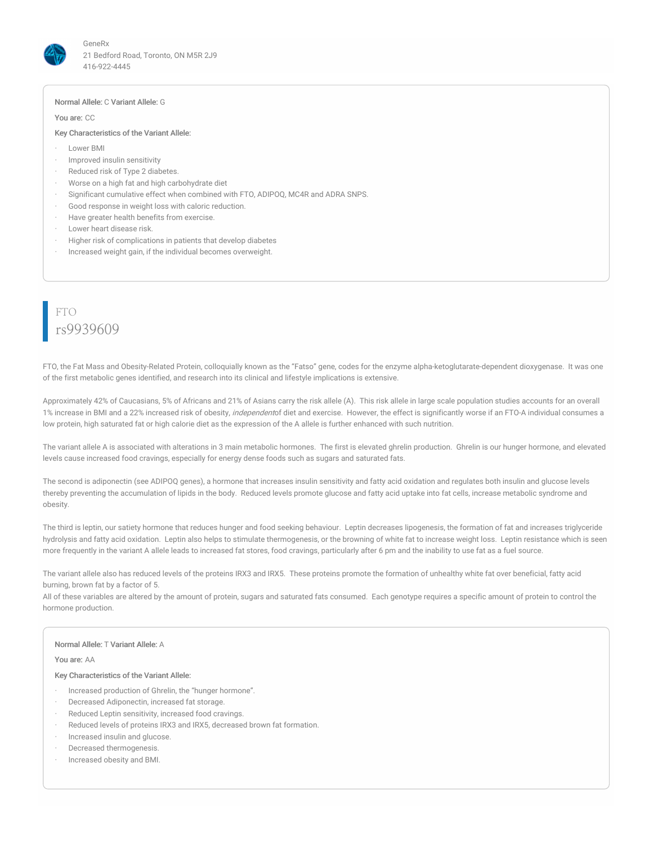

#### Normal Allele: C Variant Allele: G

You are: CC

#### Key Characteristics of the Variant Allele:

- · Lower BMI
- · Improved insulin sensitivity
- · Reduced risk of Type 2 diabetes.
- · Worse on a high fat and high carbohydrate diet
- · Significant cumulative effect when combined with FTO, ADIPOQ, MC4R and ADRA SNPS.
- Good response in weight loss with caloric reduction.
- · Have greater health benefits from exercise.
- · Lower heart disease risk.
- · Higher risk of complications in patients that develop diabetes
- Increased weight gain, if the individual becomes overweight.

### FTO rs9939609

FTO, the Fat Mass and Obesity-Related Protein, colloquially known as the "Fatso" gene, codes for the enzyme alpha-ketoglutarate-dependent dioxygenase. It was one of the first metabolic genes identified, and research into its clinical and lifestyle implications is extensive.

Approximately 42% of Caucasians, 5% of Africans and 21% of Asians carry the risk allele (A). This risk allele in large scale population studies accounts for an overall 1% increase in BMI and a 22% increased risk of obesity, *independent*of diet and exercise. However, the effect is significantly worse if an FTO-A individual consumes a low protein, high saturated fat or high calorie diet as the expression of the A allele is further enhanced with such nutrition.

The variant allele A is associated with alterations in 3 main metabolic hormones. The first is elevated ghrelin production. Ghrelin is our hunger hormone, and elevated levels cause increased food cravings, especially for energy dense foods such as sugars and saturated fats.

The second is adiponectin (see ADIPOQ genes), a hormone that increases insulin sensitivity and fatty acid oxidation and regulates both insulin and glucose levels thereby preventing the accumulation of lipids in the body. Reduced levels promote glucose and fatty acid uptake into fat cells, increase metabolic syndrome and obesity.

The third is leptin, our satiety hormone that reduces hunger and food seeking behaviour. Leptin decreases lipogenesis, the formation of fat and increases triglyceride hydrolysis and fatty acid oxidation. Leptin also helps to stimulate thermogenesis, or the browning of white fat to increase weight loss. Leptin resistance which is seen more frequently in the variant A allele leads to increased fat stores, food cravings, particularly after 6 pm and the inability to use fat as a fuel source.

The variant allele also has reduced levels of the proteins IRX3 and IRX5. These proteins promote the formation of unhealthy white fat over beneficial, fatty acid burning, brown fat by a factor of 5.

All of these variables are altered by the amount of protein, sugars and saturated fats consumed. Each genotype requires a specific amount of protein to control the hormone production.

#### Normal Allele: T Variant Allele: A

#### You are: AA

- · Increased production of Ghrelin, the "hunger hormone".
- Decreased Adiponectin, increased fat storage.
- Reduced Leptin sensitivity, increased food cravings.
- Reduced levels of proteins IRX3 and IRX5, decreased brown fat formation.
- Increased insulin and glucose.
- Decreased thermogenesis.
- · Increased obesity and BMI.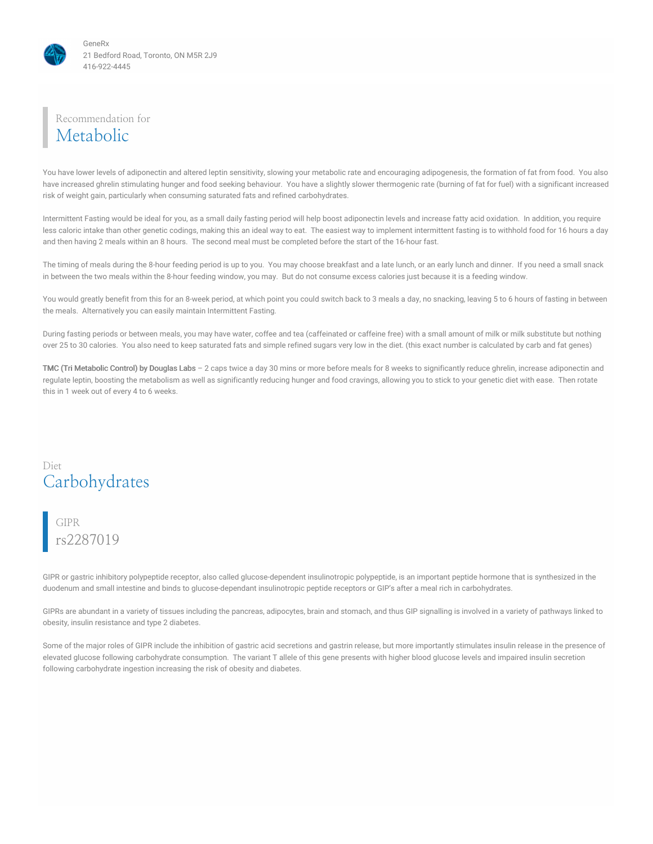

### Recommendation for Metabolic

You have lower levels of adiponectin and altered leptin sensitivity, slowing your metabolic rate and encouraging adipogenesis, the formation of fat from food. You also have increased ghrelin stimulating hunger and food seeking behaviour. You have a slightly slower thermogenic rate (burning of fat for fuel) with a significant increased risk of weight gain, particularly when consuming saturated fats and refined carbohydrates.

Intermittent Fasting would be ideal for you, as a small daily fasting period will help boost adiponectin levels and increase fatty acid oxidation. In addition, you require less caloric intake than other genetic codings, making this an ideal way to eat. The easiest way to implement intermittent fasting is to withhold food for 16 hours a day and then having 2 meals within an 8 hours. The second meal must be completed before the start of the 16-hour fast.

The timing of meals during the 8-hour feeding period is up to you. You may choose breakfast and a late lunch, or an early lunch and dinner. If you need a small snack in between the two meals within the 8-hour feeding window, you may. But do not consume excess calories just because it is a feeding window.

You would greatly benefit from this for an 8-week period, at which point you could switch back to 3 meals a day, no snacking, leaving 5 to 6 hours of fasting in between the meals. Alternatively you can easily maintain Intermittent Fasting.

During fasting periods or between meals, you may have water, coffee and tea (caffeinated or caffeine free) with a small amount of milk or milk substitute but nothing over 25 to 30 calories. You also need to keep saturated fats and simple refined sugars very low in the diet. (this exact number is calculated by carb and fat genes)

TMC (Tri Metabolic Control) by Douglas Labs – 2 caps twice a day 30 mins or more before meals for 8 weeks to significantly reduce ghrelin, increase adiponectin and regulate leptin, boosting the metabolism as well as significantly reducing hunger and food cravings, allowing you to stick to your genetic diet with ease. Then rotate this in 1 week out of every 4 to 6 weeks.

### Diet Carbohydrates

### GIPR rs2287019

GIPR or gastric inhibitory polypeptide receptor, also called glucose-dependent insulinotropic polypeptide, is an important peptide hormone that is synthesized in the duodenum and small intestine and binds to glucose-dependant insulinotropic peptide receptors or GIP's after a meal rich in carbohydrates.

GIPRs are abundant in a variety of tissues including the pancreas, adipocytes, brain and stomach, and thus GIP signalling is involved in a variety of pathways linked to obesity, insulin resistance and type 2 diabetes.

Some of the major roles of GIPR include the inhibition of gastric acid secretions and gastrin release, but more importantly stimulates insulin release in the presence of elevated glucose following carbohydrate consumption. The variant T allele of this gene presents with higher blood glucose levels and impaired insulin secretion following carbohydrate ingestion increasing the risk of obesity and diabetes.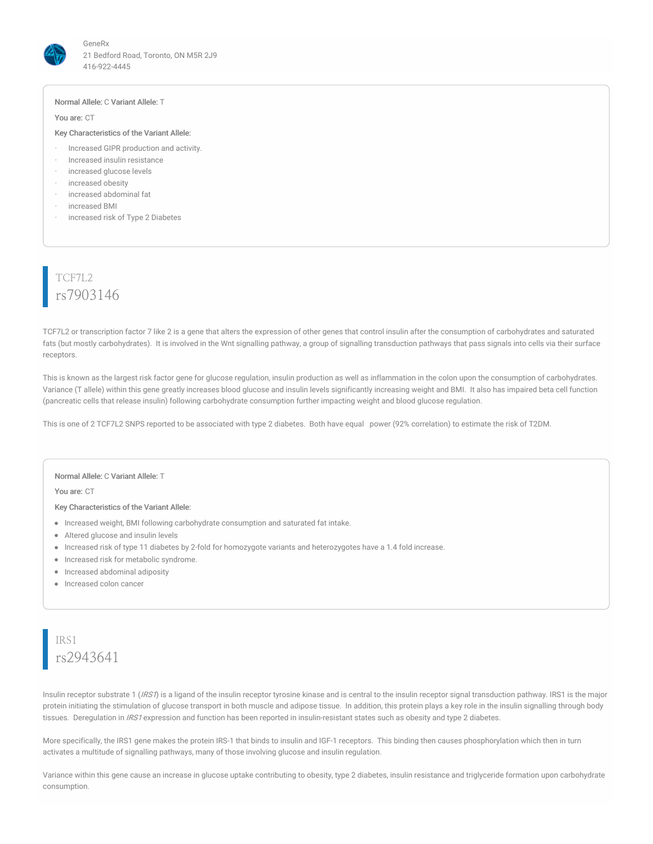

#### Normal Allele: C Variant Allele: T

#### You are: CT

#### Key Characteristics of the Variant Allele:

- · Increased GIPR production and activity.
- · Increased insulin resistance
- increased glucose levels
- increased obesity
- increased abdominal fat
- increased BMI
- increased risk of Type 2 Diabetes

# TCF7L2 rs7903146

TCF7L2 or transcription factor 7 like 2 is a gene that alters the expression of other genes that control insulin after the consumption of carbohydrates and saturated fats (but mostly carbohydrates). It is involved in the Wnt signalling pathway, a group of signalling transduction pathways that pass signals into cells via their surface receptors.

This is known as the largest risk factor gene for glucose regulation, insulin production as well as inflammation in the colon upon the consumption of carbohydrates. Variance (T allele) within this gene greatly increases blood glucose and insulin levels significantly increasing weight and BMI. It also has impaired beta cell function (pancreatic cells that release insulin) following carbohydrate consumption further impacting weight and blood glucose regulation.

This is one of 2 TCF7L2 SNPS reported to be associated with type 2 diabetes. Both have equal power (92% correlation) to estimate the risk of T2DM.

#### Normal Allele: C Variant Allele: T

You are: CT

#### Key Characteristics of the Variant Allele:

- Increased weight, BMI following carbohydrate consumption and saturated fat intake.
- Altered glucose and insulin levels
- Increased risk of type 11 diabetes by 2-fold for homozygote variants and heterozygotes have a 1.4 fold increase.
- Increased risk for metabolic syndrome.
- Increased abdominal adiposity
- Increased colon cancer

# IRS1 rs2943641

Insulin receptor substrate 1 ( $lRS\hat{\theta}$ ) is a ligand of the insulin receptor tyrosine kinase and is central to the insulin receptor signal transduction pathway. IRS1 is the major protein initiating the stimulation of glucose transport in both muscle and adipose tissue. In addition, this protein plays a key role in the insulin signalling through body tissues. Deregulation in IRS1 expression and function has been reported in insulin-resistant states such as obesity and type 2 diabetes.

More specifically, the IRS1 gene makes the protein IRS-1 that binds to insulin and IGF-1 receptors. This binding then causes phosphorylation which then in turn activates a multitude of signalling pathways, many of those involving glucose and insulin regulation.

Variance within this gene cause an increase in glucose uptake contributing to obesity, type 2 diabetes, insulin resistance and triglyceride formation upon carbohydrate consumption.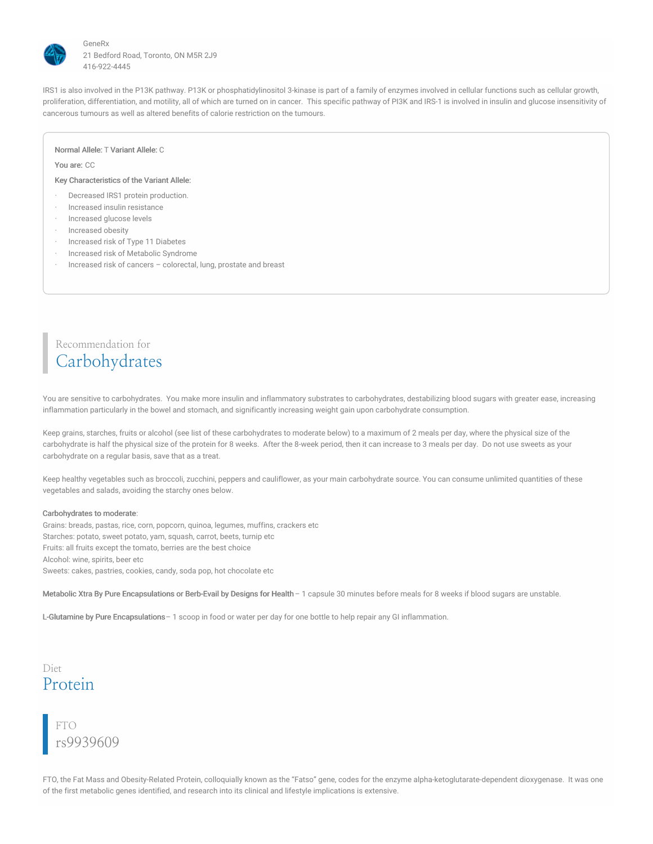

IRS1 is also involved in the P13K pathway. P13K or phosphatidylinositol 3-kinase is part of a family of enzymes involved in cellular functions such as cellular growth, proliferation, differentiation, and motility, all of which are turned on in cancer. This specific pathway of PI3K and IRS-1 is involved in insulin and glucose insensitivity of cancerous tumours as well as altered benefits of calorie restriction on the tumours.

#### Normal Allele: T Variant Allele: C

#### You are: CC

#### Key Characteristics of the Variant Allele:

- · Decreased IRS1 protein production.
- Increased insulin resistance
- · Increased glucose levels
- · Increased obesity
- Increased risk of Type 11 Diabetes
- · Increased risk of Metabolic Syndrome
- Increased risk of cancers colorectal, lung, prostate and breast

# Recommendation for Carbohydrates

You are sensitive to carbohydrates. You make more insulin and inflammatory substrates to carbohydrates, destabilizing blood sugars with greater ease, increasing inflammation particularly in the bowel and stomach, and significantly increasing weight gain upon carbohydrate consumption.

Keep grains, starches, fruits or alcohol (see list of these carbohydrates to moderate below) to a maximum of 2 meals per day, where the physical size of the carbohydrate is half the physical size of the protein for 8 weeks. After the 8-week period, then it can increase to 3 meals per day. Do not use sweets as your carbohydrate on a regular basis, save that as a treat.

Keep healthy vegetables such as broccoli, zucchini, peppers and cauliflower, as your main carbohydrate source. You can consume unlimited quantities of these vegetables and salads, avoiding the starchy ones below.

#### Carbohydrates to moderate:

Grains: breads, pastas, rice, corn, popcorn, quinoa, legumes, muffins, crackers etc Starches: potato, sweet potato, yam, squash, carrot, beets, turnip etc Fruits: all fruits except the tomato, berries are the best choice Alcohol: wine, spirits, beer etc Sweets: cakes, pastries, cookies, candy, soda pop, hot chocolate etc

Metabolic Xtra By Pure Encapsulations or Berb-Evail by Designs for Health– 1 capsule 30 minutes before meals for 8 weeks if blood sugars are unstable.

L-Glutamine by Pure Encapsulations– 1 scoop in food or water per day for one bottle to help repair any GI inflammation.

# Diet Protein

FTO rs9939609

FTO, the Fat Mass and Obesity-Related Protein, colloquially known as the "Fatso" gene, codes for the enzyme alpha-ketoglutarate-dependent dioxygenase. It was one of the first metabolic genes identified, and research into its clinical and lifestyle implications is extensive.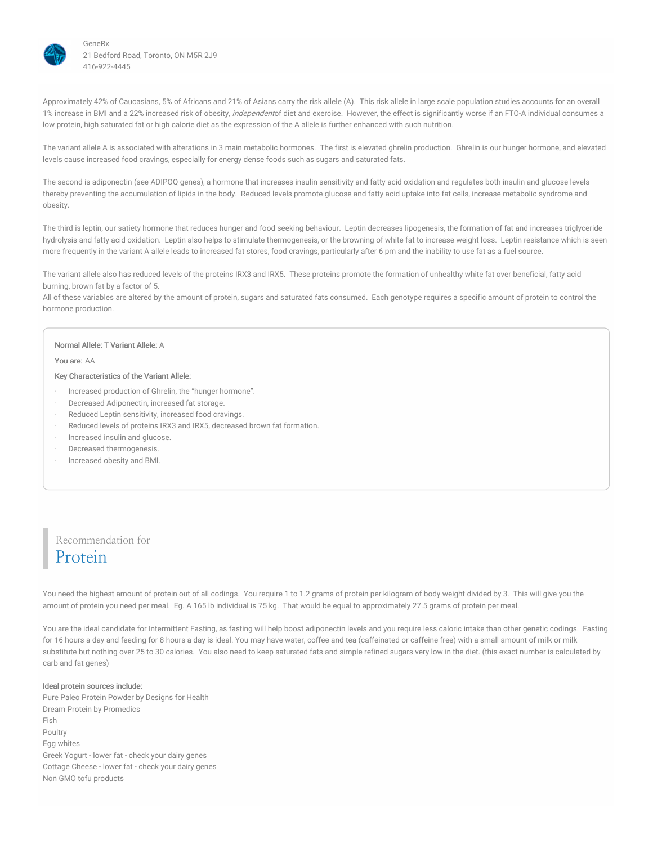

Approximately 42% of Caucasians, 5% of Africans and 21% of Asians carry the risk allele (A). This risk allele in large scale population studies accounts for an overall 1% increase in BMI and a 22% increased risk of obesity, *independent*of diet and exercise. However, the effect is significantly worse if an FTO-A individual consumes a low protein, high saturated fat or high calorie diet as the expression of the A allele is further enhanced with such nutrition.

The variant allele A is associated with alterations in 3 main metabolic hormones. The first is elevated ghrelin production. Ghrelin is our hunger hormone, and elevated levels cause increased food cravings, especially for energy dense foods such as sugars and saturated fats.

The second is adiponectin (see ADIPOQ genes), a hormone that increases insulin sensitivity and fatty acid oxidation and regulates both insulin and glucose levels thereby preventing the accumulation of lipids in the body. Reduced levels promote glucose and fatty acid uptake into fat cells, increase metabolic syndrome and obesity.

The third is leptin, our satiety hormone that reduces hunger and food seeking behaviour. Leptin decreases lipogenesis, the formation of fat and increases triglyceride hydrolysis and fatty acid oxidation. Leptin also helps to stimulate thermogenesis, or the browning of white fat to increase weight loss. Leptin resistance which is seen more frequently in the variant A allele leads to increased fat stores, food cravings, particularly after 6 pm and the inability to use fat as a fuel source.

The variant allele also has reduced levels of the proteins IRX3 and IRX5. These proteins promote the formation of unhealthy white fat over beneficial, fatty acid burning, brown fat by a factor of 5.

All of these variables are altered by the amount of protein, sugars and saturated fats consumed. Each genotype requires a specific amount of protein to control the hormone production.

#### Normal Allele: T Variant Allele: A

#### You are: AA

Key Characteristics of the Variant Allele:

- · Increased production of Ghrelin, the "hunger hormone".
- Decreased Adiponectin, increased fat storage.
- Reduced Leptin sensitivity, increased food cravings.
- Reduced levels of proteins IRX3 and IRX5, decreased brown fat formation.
- · Increased insulin and glucose.
- Decreased thermogenesis.
- · Increased obesity and BMI.

### Recommendation for Protein

You need the highest amount of protein out of all codings. You require 1 to 1.2 grams of protein per kilogram of body weight divided by 3. This will give you the amount of protein you need per meal. Eg. A 165 lb individual is 75 kg. That would be equal to approximately 27.5 grams of protein per meal.

You are the ideal candidate for Intermittent Fasting, as fasting will help boost adiponectin levels and you require less caloric intake than other genetic codings. Fasting for 16 hours a day and feeding for 8 hours a day is ideal. You may have water, coffee and tea (caffeinated or caffeine free) with a small amount of milk or milk substitute but nothing over 25 to 30 calories. You also need to keep saturated fats and simple refined sugars very low in the diet. (this exact number is calculated by carb and fat genes)

#### Ideal protein sources include:

Pure Paleo Protein Powder by Designs for Health Dream Protein by Promedics Fish Poultry Egg whites Greek Yogurt - lower fat - check your dairy genes Cottage Cheese - lower fat - check your dairy genes Non GMO tofu products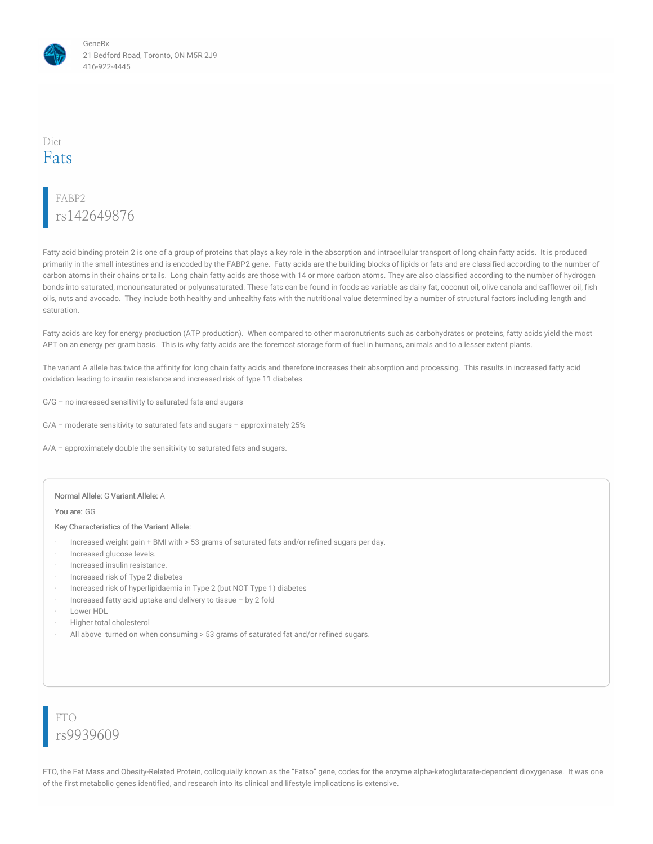

### Diet Fats

# FABP2 rs142649876

Fatty acid binding protein 2 is one of a group of proteins that plays a key role in the absorption and intracellular transport of long chain fatty acids. It is produced primarily in the small intestines and is encoded by the FABP2 gene. Fatty acids are the building blocks of lipids or fats and are classified according to the number of carbon atoms in their chains or tails. Long chain fatty acids are those with 14 or more carbon atoms. They are also classified according to the number of hydrogen bonds into saturated, monounsaturated or polyunsaturated. These fats can be found in foods as variable as dairy fat, coconut oil, olive canola and safflower oil, fish oils, nuts and avocado. They include both healthy and unhealthy fats with the nutritional value determined by a number of structural factors including length and saturation.

Fatty acids are key for energy production (ATP production). When compared to other macronutrients such as carbohydrates or proteins, fatty acids yield the most APT on an energy per gram basis. This is why fatty acids are the foremost storage form of fuel in humans, animals and to a lesser extent plants.

The variant A allele has twice the affinity for long chain fatty acids and therefore increases their absorption and processing. This results in increased fatty acid oxidation leading to insulin resistance and increased risk of type 11 diabetes.

- G/G no increased sensitivity to saturated fats and sugars
- G/A moderate sensitivity to saturated fats and sugars approximately 25%
- A/A approximately double the sensitivity to saturated fats and sugars.

#### Normal Allele: G Variant Allele: A

You are: GG

#### Key Characteristics of the Variant Allele:

- · Increased weight gain + BMI with > 53 grams of saturated fats and/or refined sugars per day.
- · Increased glucose levels.
- Increased insulin resistance.
- · Increased risk of Type 2 diabetes
- · Increased risk of hyperlipidaemia in Type 2 (but NOT Type 1) diabetes
- Increased fatty acid uptake and delivery to tissue by 2 fold
- Lower HDL
- · Higher total cholesterol
- All above turned on when consuming > 53 grams of saturated fat and/or refined sugars.

FTO rs9939609

FTO, the Fat Mass and Obesity-Related Protein, colloquially known as the "Fatso" gene, codes for the enzyme alpha-ketoglutarate-dependent dioxygenase. It was one of the first metabolic genes identified, and research into its clinical and lifestyle implications is extensive.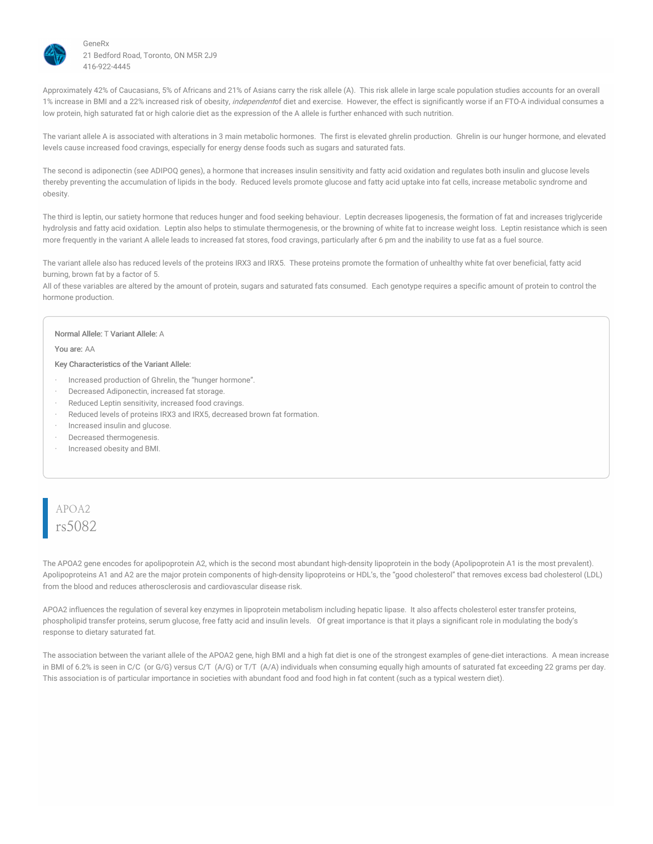

Approximately 42% of Caucasians, 5% of Africans and 21% of Asians carry the risk allele (A). This risk allele in large scale population studies accounts for an overall 1% increase in BMI and a 22% increased risk of obesity, *independent*of diet and exercise. However, the effect is significantly worse if an FTO-A individual consumes a low protein, high saturated fat or high calorie diet as the expression of the A allele is further enhanced with such nutrition.

The variant allele A is associated with alterations in 3 main metabolic hormones. The first is elevated ghrelin production. Ghrelin is our hunger hormone, and elevated levels cause increased food cravings, especially for energy dense foods such as sugars and saturated fats.

The second is adiponectin (see ADIPOQ genes), a hormone that increases insulin sensitivity and fatty acid oxidation and regulates both insulin and glucose levels thereby preventing the accumulation of lipids in the body. Reduced levels promote glucose and fatty acid uptake into fat cells, increase metabolic syndrome and obesity.

The third is leptin, our satiety hormone that reduces hunger and food seeking behaviour. Leptin decreases lipogenesis, the formation of fat and increases triglyceride hydrolysis and fatty acid oxidation. Leptin also helps to stimulate thermogenesis, or the browning of white fat to increase weight loss. Leptin resistance which is seen more frequently in the variant A allele leads to increased fat stores, food cravings, particularly after 6 pm and the inability to use fat as a fuel source.

The variant allele also has reduced levels of the proteins IRX3 and IRX5. These proteins promote the formation of unhealthy white fat over beneficial, fatty acid burning, brown fat by a factor of 5.

All of these variables are altered by the amount of protein, sugars and saturated fats consumed. Each genotype requires a specific amount of protein to control the hormone production.

#### Normal Allele: T Variant Allele: A

You are: AA

#### Key Characteristics of the Variant Allele:

- · Increased production of Ghrelin, the "hunger hormone".
- · Decreased Adiponectin, increased fat storage.
- Reduced Leptin sensitivity, increased food cravings.
- Reduced levels of proteins IRX3 and IRX5, decreased brown fat formation.
- · Increased insulin and glucose.
- Decreased thermogenesis.
- · Increased obesity and BMI.

### APOA2 rs5082

The APOA2 gene encodes for apolipoprotein A2, which is the second most abundant high-density lipoprotein in the body (Apolipoprotein A1 is the most prevalent). Apolipoproteins A1 and A2 are the major protein components of high-density lipoproteins or HDL's, the "good cholesterol" that removes excess bad cholesterol (LDL) from the blood and reduces atherosclerosis and cardiovascular disease risk.

APOA2 influences the regulation of several key enzymes in lipoprotein metabolism including hepatic lipase. It also affects cholesterol ester transfer proteins, phospholipid transfer proteins, serum glucose, free fatty acid and insulin levels. Of great importance is that it plays a significant role in modulating the body's response to dietary saturated fat.

The association between the variant allele of the APOA2 gene, high BMI and a high fat diet is one of the strongest examples of gene-diet interactions. A mean increase in BMI of 6.2% is seen in C/C (or G/G) versus C/T (A/G) or T/T (A/A) individuals when consuming equally high amounts of saturated fat exceeding 22 grams per day. This association is of particular importance in societies with abundant food and food high in fat content (such as a typical western diet).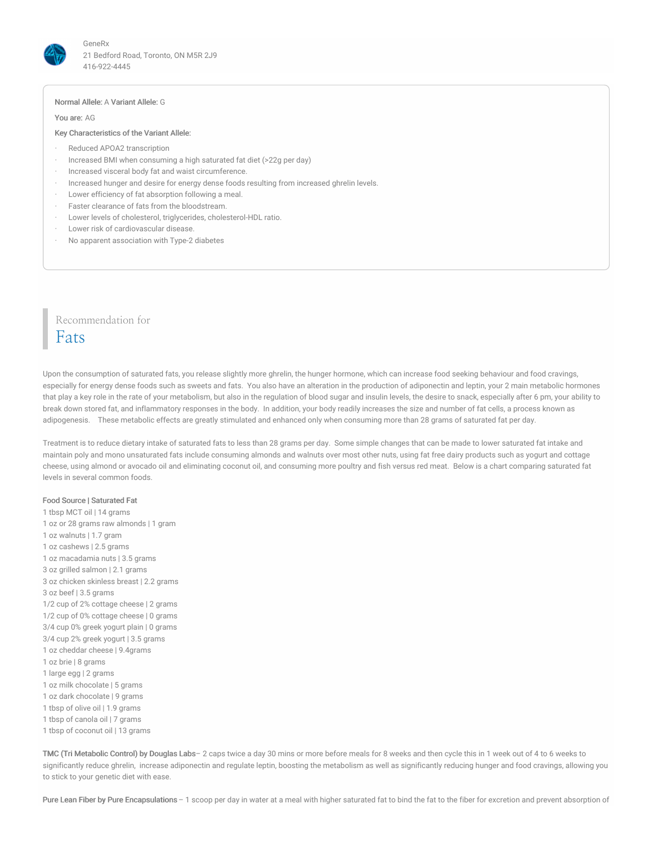

#### Normal Allele: A Variant Allele: G

You are: AG

#### Key Characteristics of the Variant Allele:

- Reduced APOA2 transcription
- · Increased BMI when consuming a high saturated fat diet (>22g per day)
- Increased visceral body fat and waist circumference.
- · Increased hunger and desire for energy dense foods resulting from increased ghrelin levels.
- Lower efficiency of fat absorption following a meal.
- Faster clearance of fats from the bloodstream.
- Lower levels of cholesterol, triglycerides, cholesterol-HDL ratio.
- Lower risk of cardiovascular disease.
- · No apparent association with Type-2 diabetes

# Recommendation for Fats

Upon the consumption of saturated fats, you release slightly more ghrelin, the hunger hormone, which can increase food seeking behaviour and food cravings, especially for energy dense foods such as sweets and fats. You also have an alteration in the production of adiponectin and leptin, your 2 main metabolic hormones that play a key role in the rate of your metabolism, but also in the regulation of blood sugar and insulin levels, the desire to snack, especially after 6 pm, your ability to break down stored fat, and inflammatory responses in the body. In addition, your body readily increases the size and number of fat cells, a process known as adipogenesis. These metabolic effects are greatly stimulated and enhanced only when consuming more than 28 grams of saturated fat per day.

Treatment is to reduce dietary intake of saturated fats to less than 28 grams per day. Some simple changes that can be made to lower saturated fat intake and maintain poly and mono unsaturated fats include consuming almonds and walnuts over most other nuts, using fat free dairy products such as yogurt and cottage cheese, using almond or avocado oil and eliminating coconut oil, and consuming more poultry and fish versus red meat. Below is a chart comparing saturated fat levels in several common foods.

#### Food Source | Saturated Fat

 tbsp MCT oil | 14 grams oz or 28 grams raw almonds | 1 gram oz walnuts | 1.7 gram oz cashews | 2.5 grams oz macadamia nuts | 3.5 grams oz grilled salmon | 2.1 grams oz chicken skinless breast | 2.2 grams oz beef | 3.5 grams 1/2 cup of 2% cottage cheese | 2 grams 1/2 cup of 0% cottage cheese | 0 grams 3/4 cup 0% greek yogurt plain | 0 grams 3/4 cup 2% greek yogurt | 3.5 grams oz cheddar cheese | 9.4grams oz brie | 8 grams large egg | 2 grams oz milk chocolate | 5 grams oz dark chocolate | 9 grams tbsp of olive oil | 1.9 grams tbsp of canola oil | 7 grams tbsp of coconut oil | 13 grams

TMC (Tri Metabolic Control) by Douglas Labs– 2 caps twice a day 30 mins or more before meals for 8 weeks and then cycle this in 1 week out of 4 to 6 weeks to significantly reduce ghrelin, increase adiponectin and regulate leptin, boosting the metabolism as well as significantly reducing hunger and food cravings, allowing you to stick to your genetic diet with ease.

Pure Lean Fiber by Pure Encapsulations - 1 scoop per day in water at a meal with higher saturated fat to bind the fat to the fiber for excretion and prevent absorption of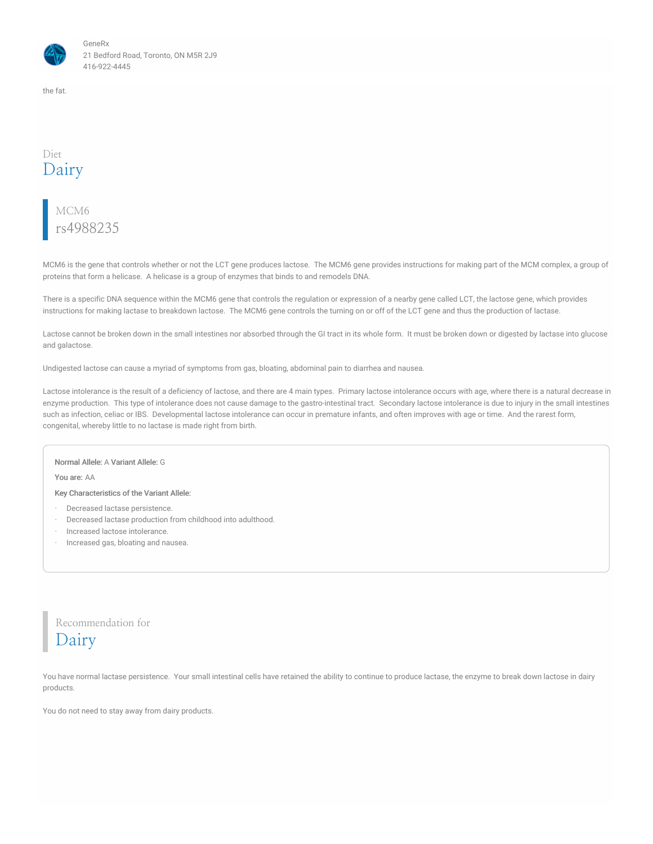

the fat.

### Diet Dairy

# MCM6 rs4988235

MCM6 is the gene that controls whether or not the LCT gene produces lactose. The MCM6 gene provides instructions for making part of the MCM complex, a group of proteins that form a helicase. A helicase is a group of enzymes that binds to and remodels DNA.

There is a specific DNA sequence within the MCM6 gene that controls the regulation or expression of a nearby gene called LCT, the lactose gene, which provides instructions for making lactase to breakdown lactose. The MCM6 gene controls the turning on or off of the LCT gene and thus the production of lactase.

Lactose cannot be broken down in the small intestines nor absorbed through the GI tract in its whole form. It must be broken down or digested by lactase into glucose and galactose.

Undigested lactose can cause a myriad of symptoms from gas, bloating, abdominal pain to diarrhea and nausea.

Lactose intolerance is the result of a deficiency of lactose, and there are 4 main types. Primary lactose intolerance occurs with age, where there is a natural decrease in enzyme production. This type of intolerance does not cause damage to the gastro-intestinal tract. Secondary lactose intolerance is due to injury in the small intestines such as infection, celiac or IBS. Developmental lactose intolerance can occur in premature infants, and often improves with age or time. And the rarest form, congenital, whereby little to no lactase is made right from birth.

#### Normal Allele: A Variant Allele: G

You are: AA

#### Key Characteristics of the Variant Allele:

- · Decreased lactase persistence.
- · Decreased lactase production from childhood into adulthood.
- · Increased lactose intolerance.
- · Increased gas, bloating and nausea.

Recommendation for Dairy

You have normal lactase persistence. Your small intestinal cells have retained the ability to continue to produce lactase, the enzyme to break down lactose in dairy products.

You do not need to stay away from dairy products.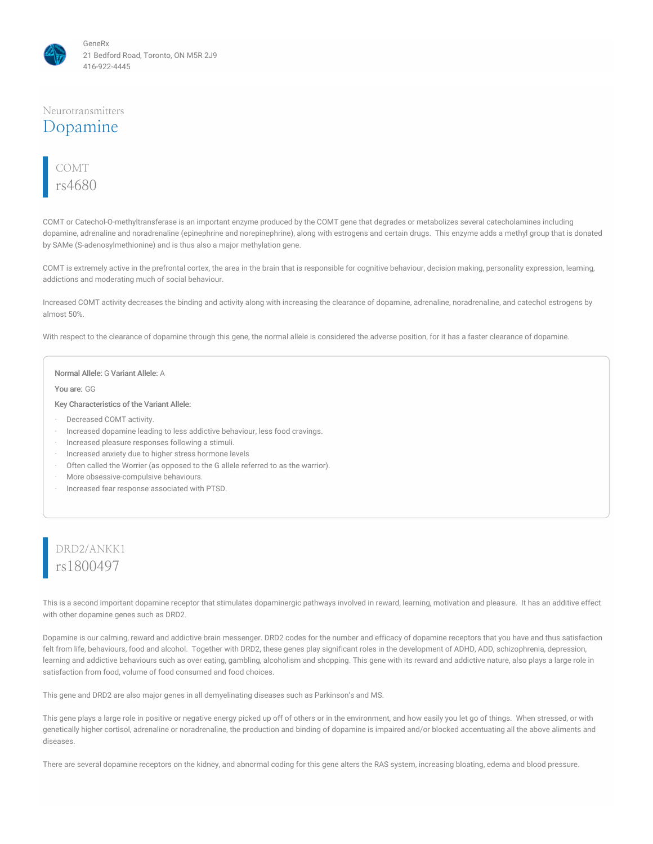

#### Neurotransmitters

### Dopamine



COMT or Catechol-O-methyltransferase is an important enzyme produced by the COMT gene that degrades or metabolizes several catecholamines including dopamine, adrenaline and noradrenaline (epinephrine and norepinephrine), along with estrogens and certain drugs. This enzyme adds a methyl group that is donated by SAMe (S-adenosylmethionine) and is thus also a major methylation gene.

COMT is extremely active in the prefrontal cortex, the area in the brain that is responsible for cognitive behaviour, decision making, personality expression, learning, addictions and moderating much of social behaviour.

Increased COMT activity decreases the binding and activity along with increasing the clearance of dopamine, adrenaline, noradrenaline, and catechol estrogens by almost 50%.

With respect to the clearance of dopamine through this gene, the normal allele is considered the adverse position, for it has a faster clearance of dopamine.

#### Normal Allele: G Variant Allele: A

You are: GG

Key Characteristics of the Variant Allele:

- · Decreased COMT activity.
- · Increased dopamine leading to less addictive behaviour, less food cravings.
- · Increased pleasure responses following a stimuli.
- Increased anxiety due to higher stress hormone levels
- Often called the Worrier (as opposed to the G allele referred to as the warrior).
- More obsessive-compulsive behaviours.
- · Increased fear response associated with PTSD.

### DRD2/ANKK1 rs1800497

This is a second important dopamine receptor that stimulates dopaminergic pathways involved in reward, learning, motivation and pleasure. It has an additive effect with other dopamine genes such as DRD2.

Dopamine is our calming, reward and addictive brain messenger. DRD2 codes for the number and efficacy of dopamine receptors that you have and thus satisfaction felt from life, behaviours, food and alcohol. Together with DRD2, these genes play significant roles in the development of ADHD, ADD, schizophrenia, depression, learning and addictive behaviours such as over eating, gambling, alcoholism and shopping. This gene with its reward and addictive nature, also plays a large role in satisfaction from food, volume of food consumed and food choices.

This gene and DRD2 are also major genes in all demyelinating diseases such as Parkinson's and MS.

This gene plays a large role in positive or negative energy picked up off of others or in the environment, and how easily you let go of things. When stressed, or with genetically higher cortisol, adrenaline or noradrenaline, the production and binding of dopamine is impaired and/or blocked accentuating all the above aliments and diseases.

There are several dopamine receptors on the kidney, and abnormal coding for this gene alters the RAS system, increasing bloating, edema and blood pressure.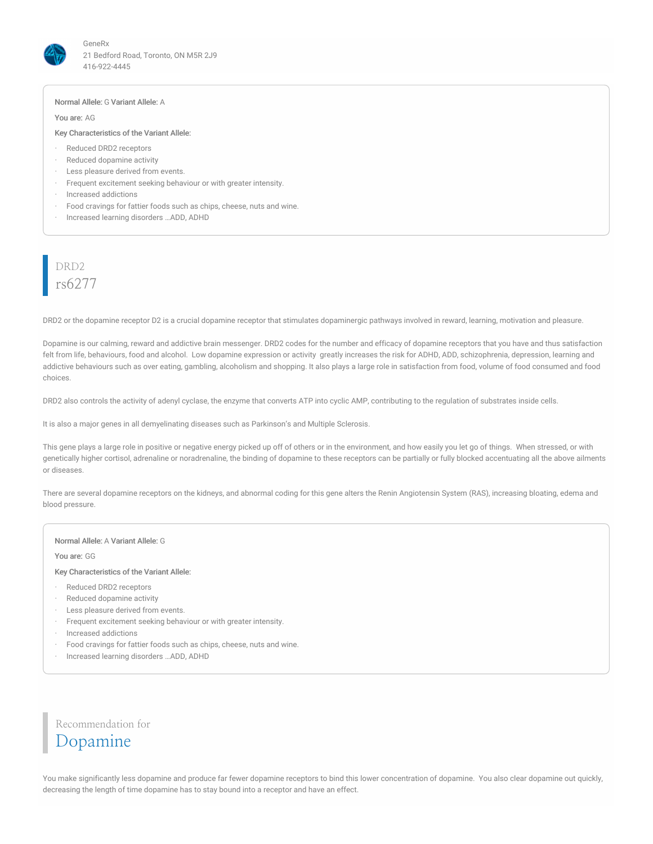

#### Normal Allele: G Variant Allele: A

You are: AG

#### Key Characteristics of the Variant Allele:

- · Reduced DRD2 receptors
- · Reduced dopamine activity
- Less pleasure derived from events.
- · Frequent excitement seeking behaviour or with greater intensity.
- · Increased addictions
- · Food cravings for fattier foods such as chips, cheese, nuts and wine.
- · Increased learning disorders …ADD, ADHD

# DRD2 rs6277

DRD2 or the dopamine receptor D2 is a crucial dopamine receptor that stimulates dopaminergic pathways involved in reward, learning, motivation and pleasure.

Dopamine is our calming, reward and addictive brain messenger. DRD2 codes for the number and efficacy of dopamine receptors that you have and thus satisfaction felt from life, behaviours, food and alcohol. Low dopamine expression or activity greatly increases the risk for ADHD, ADD, schizophrenia, depression, learning and addictive behaviours such as over eating, gambling, alcoholism and shopping. It also plays a large role in satisfaction from food, volume of food consumed and food choices.

DRD2 also controls the activity of adenyl cyclase, the enzyme that converts ATP into cyclic AMP, contributing to the regulation of substrates inside cells.

It is also a major genes in all demyelinating diseases such as Parkinson's and Multiple Sclerosis.

This gene plays a large role in positive or negative energy picked up off of others or in the environment, and how easily you let go of things. When stressed, or with genetically higher cortisol, adrenaline or noradrenaline, the binding of dopamine to these receptors can be partially or fully blocked accentuating all the above ailments or diseases.

There are several dopamine receptors on the kidneys, and abnormal coding for this gene alters the Renin Angiotensin System (RAS), increasing bloating, edema and blood pressure.

#### Normal Allele: A Variant Allele: G

You are: GG

#### Key Characteristics of the Variant Allele:

- · Reduced DRD2 receptors
- · Reduced dopamine activity
- · Less pleasure derived from events.
- · Frequent excitement seeking behaviour or with greater intensity.
- · Increased addictions
- · Food cravings for fattier foods such as chips, cheese, nuts and wine.
- · Increased learning disorders …ADD, ADHD

Recommendation for Dopamine

You make significantly less dopamine and produce far fewer dopamine receptors to bind this lower concentration of dopamine. You also clear dopamine out quickly, decreasing the length of time dopamine has to stay bound into a receptor and have an effect.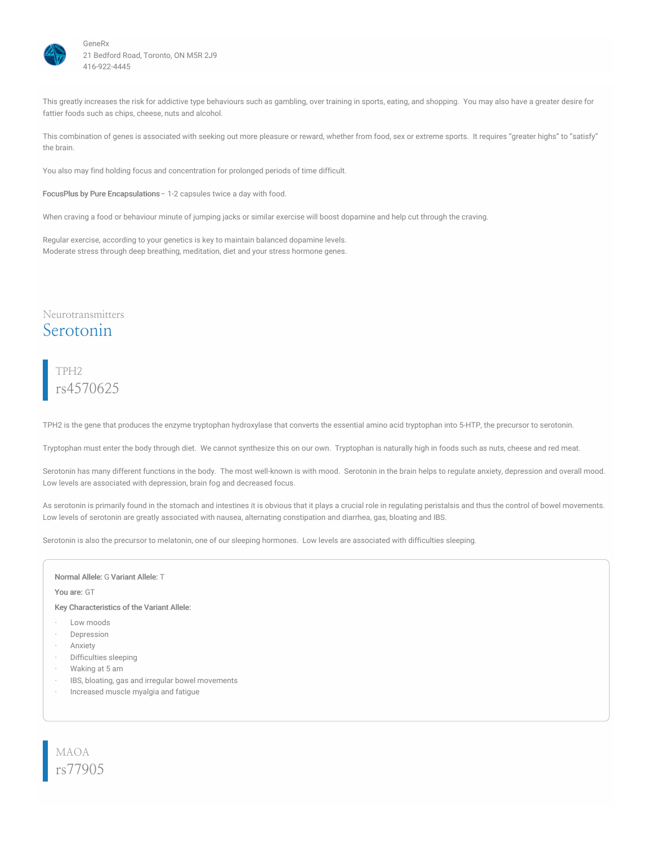

This greatly increases the risk for addictive type behaviours such as gambling, over training in sports, eating, and shopping. You may also have a greater desire for fattier foods such as chips, cheese, nuts and alcohol.

This combination of genes is associated with seeking out more pleasure or reward, whether from food, sex or extreme sports. It requires "greater highs" to "satisfy" the brain.

You also may find holding focus and concentration for prolonged periods of time difficult.

FocusPlus by Pure Encapsulations– 1-2 capsules twice a day with food.

When craving a food or behaviour minute of jumping jacks or similar exercise will boost dopamine and help cut through the craving.

Regular exercise, according to your genetics is key to maintain balanced dopamine levels. Moderate stress through deep breathing, meditation, diet and your stress hormone genes.

### Neurotransmitters Serotonin

### TPH2 rs4570625

TPH2 is the gene that produces the enzyme tryptophan hydroxylase that converts the essential amino acid tryptophan into 5-HTP, the precursor to serotonin.

Tryptophan must enter the body through diet. We cannot synthesize this on our own. Tryptophan is naturally high in foods such as nuts, cheese and red meat.

Serotonin has many different functions in the body. The most well-known is with mood. Serotonin in the brain helps to regulate anxiety, depression and overall mood. Low levels are associated with depression, brain fog and decreased focus.

As serotonin is primarily found in the stomach and intestines it is obvious that it plays a crucial role in regulating peristalsis and thus the control of bowel movements. Low levels of serotonin are greatly associated with nausea, alternating constipation and diarrhea, gas, bloating and IBS.

Serotonin is also the precursor to melatonin, one of our sleeping hormones. Low levels are associated with difficulties sleeping.

#### Normal Allele: G Variant Allele: T

You are: GT

Key Characteristics of the Variant Allele:

- Low moods
- **Depression**
- **Anxiety**
- Difficulties sleeping
- · Waking at 5 am
- IBS, bloating, gas and irregular bowel movements
- · Increased muscle myalgia and fatigue

MAOA rs77905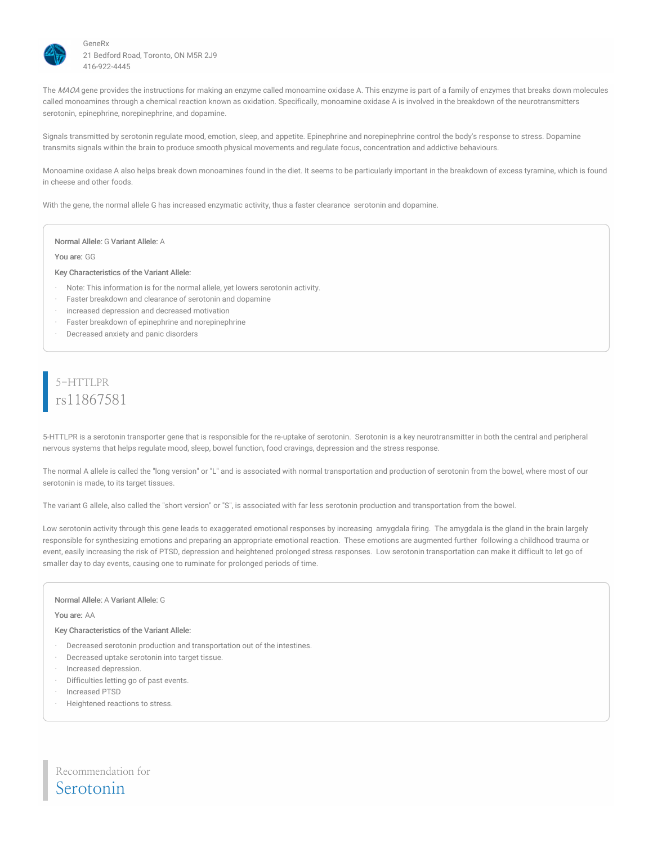

The MAOA gene provides the instructions for making an enzyme called monoamine oxidase A. This enzyme is part of a family of enzymes that breaks down molecules called monoamines through a chemical reaction known as oxidation. Specifically, monoamine oxidase A is involved in the breakdown of the neurotransmitters serotonin, epinephrine, norepinephrine, and dopamine.

Signals transmitted by serotonin regulate mood, emotion, sleep, and appetite. Epinephrine and norepinephrine control the body's response to stress. Dopamine transmits signals within the brain to produce smooth physical movements and regulate focus, concentration and addictive behaviours.

Monoamine oxidase A also helps break down monoamines found in the diet. It seems to be particularly important in the breakdown of excess tyramine, which is found in cheese and other foods.

With the gene, the normal allele G has increased enzymatic activity, thus a faster clearance serotonin and dopamine.

#### Normal Allele: G Variant Allele: A

You are: GG

#### Key Characteristics of the Variant Allele:

- Note: This information is for the normal allele, yet lowers serotonin activity.
- Faster breakdown and clearance of serotonin and dopamine
- · increased depression and decreased motivation
- · Faster breakdown of epinephrine and norepinephrine
- · Decreased anxiety and panic disorders

### 5-HTTLPR rs11867581

5-HTTLPR is a serotonin transporter gene that is responsible for the re-uptake of serotonin. Serotonin is a key neurotransmitter in both the central and peripheral nervous systems that helps regulate mood, sleep, bowel function, food cravings, depression and the stress response.

The normal A allele is called the "long version" or "L" and is associated with normal transportation and production of serotonin from the bowel, where most of our serotonin is made, to its target tissues.

The variant G allele, also called the "short version" or "S", is associated with far less serotonin production and transportation from the bowel.

Low serotonin activity through this gene leads to exaggerated emotional responses by increasing amygdala firing. The amygdala is the gland in the brain largely responsible for synthesizing emotions and preparing an appropriate emotional reaction. These emotions are augmented further following a childhood trauma or event, easily increasing the risk of PTSD, depression and heightened prolonged stress responses. Low serotonin transportation can make it difficult to let go of smaller day to day events, causing one to ruminate for prolonged periods of time.

#### Normal Allele: A Variant Allele: G

You are: AA

Key Characteristics of the Variant Allele:

- Decreased serotonin production and transportation out of the intestines.
- · Decreased uptake serotonin into target tissue.
- Increased depression.
- Difficulties letting go of past events.
- · Increased PTSD
- Heightened reactions to stress.

Recommendation for Serotonin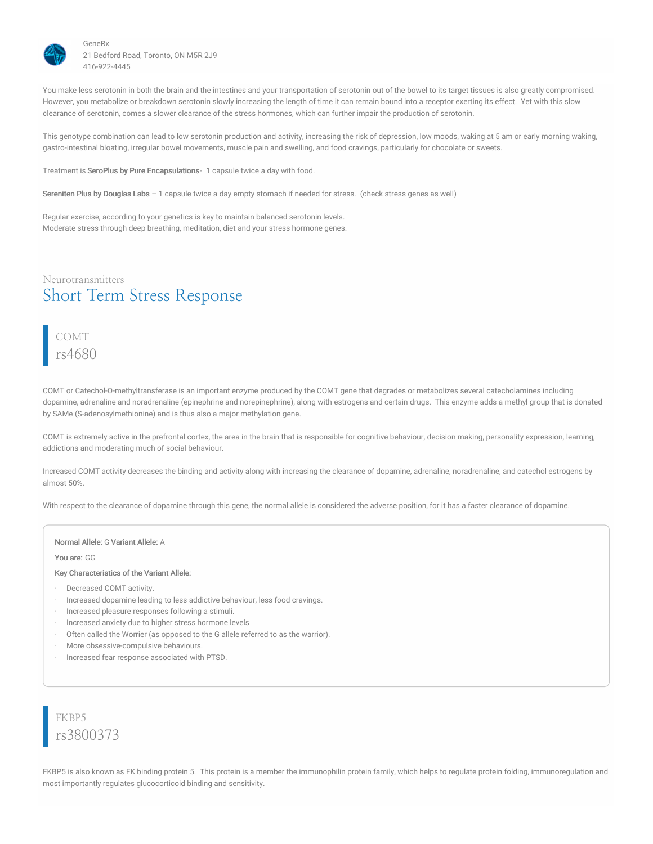

You make less serotonin in both the brain and the intestines and your transportation of serotonin out of the bowel to its target tissues is also greatly compromised. However, you metabolize or breakdown serotonin slowly increasing the length of time it can remain bound into a receptor exerting its effect. Yet with this slow clearance of serotonin, comes a slower clearance of the stress hormones, which can further impair the production of serotonin.

This genotype combination can lead to low serotonin production and activity, increasing the risk of depression, low moods, waking at 5 am or early morning waking, gastro-intestinal bloating, irregular bowel movements, muscle pain and swelling, and food cravings, particularly for chocolate or sweets.

Treatment is SeroPlus by Pure Encapsulations- 1 capsule twice a day with food.

Sereniten Plus by Douglas Labs – 1 capsule twice a day empty stomach if needed for stress. (check stress genes as well)

Regular exercise, according to your genetics is key to maintain balanced serotonin levels. Moderate stress through deep breathing, meditation, diet and your stress hormone genes.

### Neurotransmitters Short Term Stress Response

### COMT rs4680

COMT or Catechol-O-methyltransferase is an important enzyme produced by the COMT gene that degrades or metabolizes several catecholamines including dopamine, adrenaline and noradrenaline (epinephrine and norepinephrine), along with estrogens and certain drugs. This enzyme adds a methyl group that is donated by SAMe (S-adenosylmethionine) and is thus also a major methylation gene.

COMT is extremely active in the prefrontal cortex, the area in the brain that is responsible for cognitive behaviour, decision making, personality expression, learning, addictions and moderating much of social behaviour.

Increased COMT activity decreases the binding and activity along with increasing the clearance of dopamine, adrenaline, noradrenaline, and catechol estrogens by almost 50%.

With respect to the clearance of dopamine through this gene, the normal allele is considered the adverse position, for it has a faster clearance of dopamine.

#### Normal Allele: G Variant Allele: A

You are: GG

#### Key Characteristics of the Variant Allele:

- · Decreased COMT activity.
- · Increased dopamine leading to less addictive behaviour, less food cravings.
- · Increased pleasure responses following a stimuli.
- Increased anxiety due to higher stress hormone levels
- Often called the Worrier (as opposed to the G allele referred to as the warrior).
- More obsessive-compulsive behaviours.
- · Increased fear response associated with PTSD.

FKBP5 rs3800373

FKBP5 is also known as FK binding protein 5. This protein is a member the immunophilin protein family, which helps to regulate protein folding, immunoregulation and most importantly regulates glucocorticoid binding and sensitivity.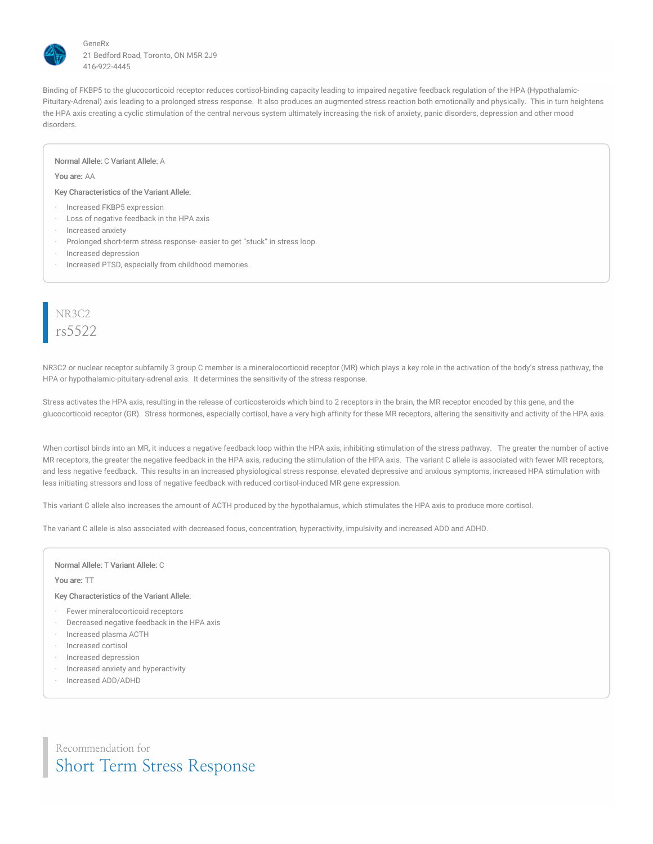

Binding of FKBP5 to the glucocorticoid receptor reduces cortisol-binding capacity leading to impaired negative feedback regulation of the HPA (Hypothalamic-Pituitary-Adrenal) axis leading to a prolonged stress response. It also produces an augmented stress reaction both emotionally and physically. This in turn heightens the HPA axis creating a cyclic stimulation of the central nervous system ultimately increasing the risk of anxiety, panic disorders, depression and other mood disorders.

#### Normal Allele: C Variant Allele: A

You are: AA

Key Characteristics of the Variant Allele:

- · Increased FKBP5 expression
- Loss of negative feedback in the HPA axis
- · Increased anxiety
- Prolonged short-term stress response- easier to get "stuck" in stress loop.
- · Increased depression
- Increased PTSD, especially from childhood memories.

# NR3C2 rs5522

NR3C2 or nuclear receptor subfamily 3 group C member is a mineralocorticoid receptor (MR) which plays a key role in the activation of the body's stress pathway, the HPA or hypothalamic-pituitary-adrenal axis. It determines the sensitivity of the stress response.

Stress activates the HPA axis, resulting in the release of corticosteroids which bind to 2 receptors in the brain, the MR receptor encoded by this gene, and the glucocorticoid receptor (GR). Stress hormones, especially cortisol, have a very high affinity for these MR receptors, altering the sensitivity and activity of the HPA axis.

When cortisol binds into an MR, it induces a negative feedback loop within the HPA axis, inhibiting stimulation of the stress pathway. The greater the number of active MR receptors, the greater the negative feedback in the HPA axis, reducing the stimulation of the HPA axis. The variant C allele is associated with fewer MR receptors, and less negative feedback. This results in an increased physiological stress response, elevated depressive and anxious symptoms, increased HPA stimulation with less initiating stressors and loss of negative feedback with reduced cortisol-induced MR gene expression.

This variant C allele also increases the amount of ACTH produced by the hypothalamus, which stimulates the HPA axis to produce more cortisol.

The variant C allele is also associated with decreased focus, concentration, hyperactivity, impulsivity and increased ADD and ADHD.

#### Normal Allele: T Variant Allele: C

You are: TT

#### Key Characteristics of the Variant Allele:

- · Fewer mineralocorticoid receptors
- · Decreased negative feedback in the HPA axis
- · Increased plasma ACTH
- · Increased cortisol
- · Increased depression
- · Increased anxiety and hyperactivity
- · Increased ADD/ADHD

Recommendation for Short Term Stress Response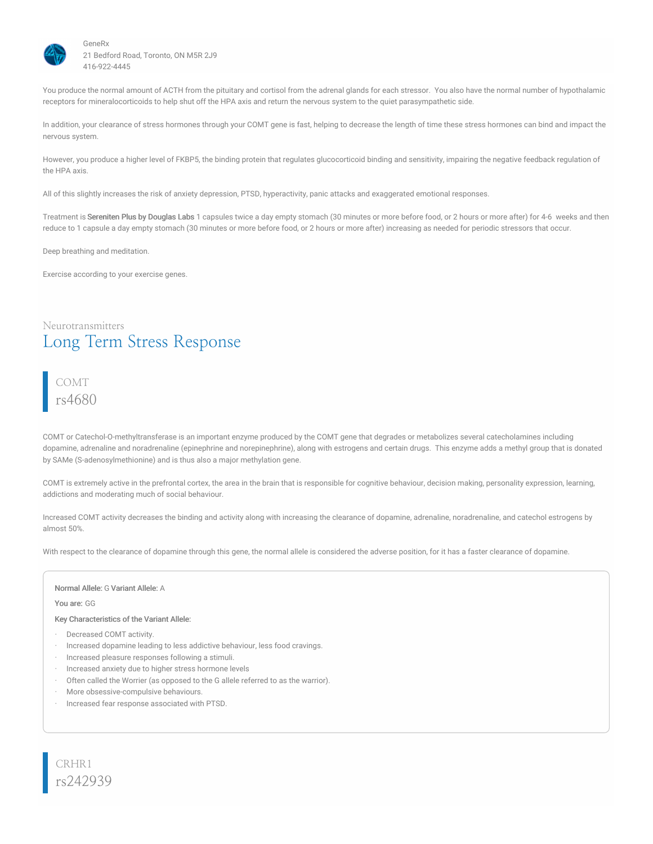

You produce the normal amount of ACTH from the pituitary and cortisol from the adrenal glands for each stressor. You also have the normal number of hypothalamic receptors for mineralocorticoids to help shut off the HPA axis and return the nervous system to the quiet parasympathetic side.

In addition, your clearance of stress hormones through your COMT gene is fast, helping to decrease the length of time these stress hormones can bind and impact the nervous system.

However, you produce a higher level of FKBP5, the binding protein that regulates glucocorticoid binding and sensitivity, impairing the negative feedback regulation of the HPA axis.

All of this slightly increases the risk of anxiety depression, PTSD, hyperactivity, panic attacks and exaggerated emotional responses.

Treatment is Sereniten Plus by Douglas Labs 1 capsules twice a day empty stomach (30 minutes or more before food, or 2 hours or more after) for 4-6 weeks and then reduce to 1 capsule a day empty stomach (30 minutes or more before food, or 2 hours or more after) increasing as needed for periodic stressors that occur.

Deep breathing and meditation.

Exercise according to your exercise genes.

### Neurotransmitters Long Term Stress Response

### COMT rs4680

COMT or Catechol-O-methyltransferase is an important enzyme produced by the COMT gene that degrades or metabolizes several catecholamines including dopamine, adrenaline and noradrenaline (epinephrine and norepinephrine), along with estrogens and certain drugs. This enzyme adds a methyl group that is donated by SAMe (S-adenosylmethionine) and is thus also a major methylation gene.

COMT is extremely active in the prefrontal cortex, the area in the brain that is responsible for cognitive behaviour, decision making, personality expression, learning, addictions and moderating much of social behaviour.

Increased COMT activity decreases the binding and activity along with increasing the clearance of dopamine, adrenaline, noradrenaline, and catechol estrogens by almost 50%.

With respect to the clearance of dopamine through this gene, the normal allele is considered the adverse position, for it has a faster clearance of dopamine.

#### Normal Allele: G Variant Allele: A

You are: GG

Key Characteristics of the Variant Allele:

- · Decreased COMT activity.
- · Increased dopamine leading to less addictive behaviour, less food cravings.
- · Increased pleasure responses following a stimuli.
- Increased anxiety due to higher stress hormone levels
- Often called the Worrier (as opposed to the G allele referred to as the warrior).
- More obsessive-compulsive behaviours.
- · Increased fear response associated with PTSD.

CRHR1 rs242939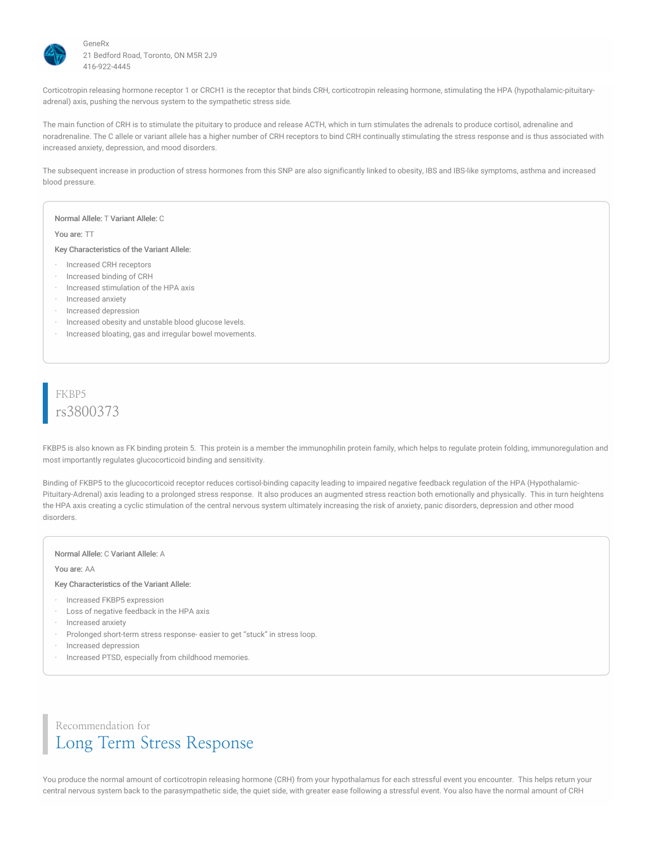

Corticotropin releasing hormone receptor 1 or CRCH1 is the receptor that binds CRH, corticotropin releasing hormone, stimulating the HPA (hypothalamic-pituitaryadrenal) axis, pushing the nervous system to the sympathetic stress side.

The main function of CRH is to stimulate the pituitary to produce and release ACTH, which in turn stimulates the adrenals to produce cortisol, adrenaline and noradrenaline. The C allele or variant allele has a higher number of CRH receptors to bind CRH continually stimulating the stress response and is thus associated with increased anxiety, depression, and mood disorders.

The subsequent increase in production of stress hormones from this SNP are also significantly linked to obesity, IBS and IBS-like symptoms, asthma and increased blood pressure.

#### Normal Allele: T Variant Allele: C

#### You are: TT

Key Characteristics of the Variant Allele:

- · Increased CRH receptors
- · Increased binding of CRH
- · Increased stimulation of the HPA axis
- · Increased anxiety
- · Increased depression
- · Increased obesity and unstable blood glucose levels.
- · Increased bloating, gas and irregular bowel movements.

### FKBP5 rs3800373

FKBP5 is also known as FK binding protein 5. This protein is a member the immunophilin protein family, which helps to regulate protein folding, immunoregulation and most importantly regulates glucocorticoid binding and sensitivity.

Binding of FKBP5 to the glucocorticoid receptor reduces cortisol-binding capacity leading to impaired negative feedback regulation of the HPA (Hypothalamic-Pituitary-Adrenal) axis leading to a prolonged stress response. It also produces an augmented stress reaction both emotionally and physically. This in turn heightens the HPA axis creating a cyclic stimulation of the central nervous system ultimately increasing the risk of anxiety, panic disorders, depression and other mood disorders.

#### Normal Allele: C Variant Allele: A

#### You are: AA

#### Key Characteristics of the Variant Allele:

- · Increased FKBP5 expression
- · Loss of negative feedback in the HPA axis
- · Increased anxiety
- · Prolonged short-term stress response- easier to get "stuck" in stress loop.
- · Increased depression
- Increased PTSD, especially from childhood memories.

# Recommendation for Long Term Stress Response

You produce the normal amount of corticotropin releasing hormone (CRH) from your hypothalamus for each stressful event you encounter. This helps return your central nervous system back to the parasympathetic side, the quiet side, with greater ease following a stressful event. You also have the normal amount of CRH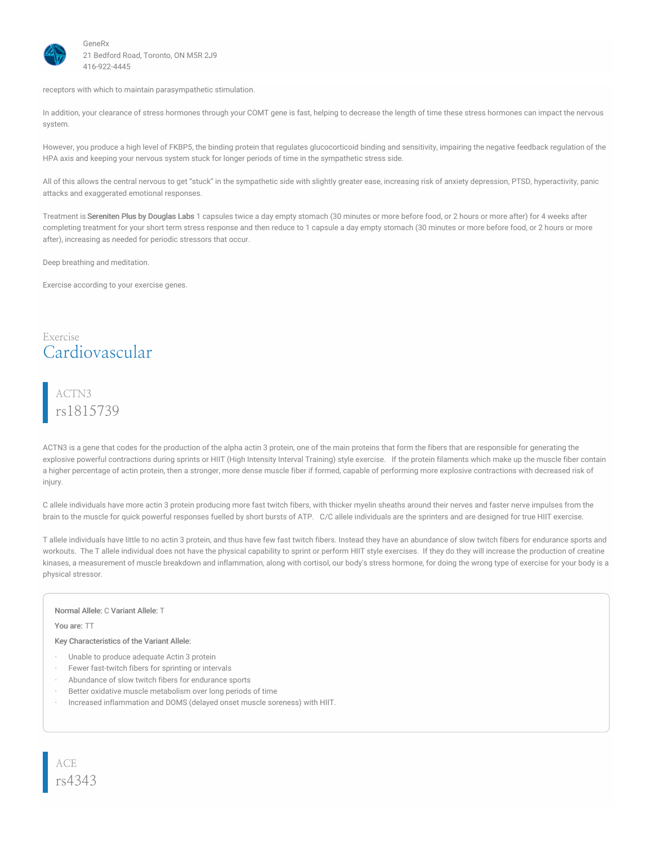

receptors with which to maintain parasympathetic stimulation.

In addition, your clearance of stress hormones through your COMT gene is fast, helping to decrease the length of time these stress hormones can impact the nervous system.

However, you produce a high level of FKBP5, the binding protein that regulates glucocorticoid binding and sensitivity, impairing the negative feedback regulation of the HPA axis and keeping your nervous system stuck for longer periods of time in the sympathetic stress side.

All of this allows the central nervous to get "stuck" in the sympathetic side with slightly greater ease, increasing risk of anxiety depression, PTSD, hyperactivity, panic attacks and exaggerated emotional responses.

Treatment is Sereniten Plus by Douglas Labs 1 capsules twice a day empty stomach (30 minutes or more before food, or 2 hours or more after) for 4 weeks after completing treatment for your short term stress response and then reduce to 1 capsule a day empty stomach (30 minutes or more before food, or 2 hours or more after), increasing as needed for periodic stressors that occur.

Deep breathing and meditation.

Exercise according to your exercise genes.

### Exercise Cardiovascular

# ACTN3 rs1815739

ACTN3 is a gene that codes for the production of the alpha actin 3 protein, one of the main proteins that form the fibers that are responsible for generating the explosive powerful contractions during sprints or HIIT (High Intensity Interval Training) style exercise. If the protein filaments which make up the muscle fiber contain a higher percentage of actin protein, then a stronger, more dense muscle fiber if formed, capable of performing more explosive contractions with decreased risk of injury.

C allele individuals have more actin 3 protein producing more fast twitch fibers, with thicker myelin sheaths around their nerves and faster nerve impulses from the brain to the muscle for quick powerful responses fuelled by short bursts of ATP. C/C allele individuals are the sprinters and are designed for true HIIT exercise.

T allele individuals have little to no actin 3 protein, and thus have few fast twitch fibers. Instead they have an abundance of slow twitch fibers for endurance sports and workouts. The T allele individual does not have the physical capability to sprint or perform HIIT style exercises. If they do they will increase the production of creatine kinases, a measurement of muscle breakdown and inflammation, along with cortisol, our body's stress hormone, for doing the wrong type of exercise for your body is a physical stressor.

#### Normal Allele: C Variant Allele: T

You are: TT

- Unable to produce adequate Actin 3 protein
- Fewer fast-twitch fibers for sprinting or intervals
- Abundance of slow twitch fibers for endurance sports
- Better oxidative muscle metabolism over long periods of time
- · Increased inflammation and DOMS (delayed onset muscle soreness) with HIIT.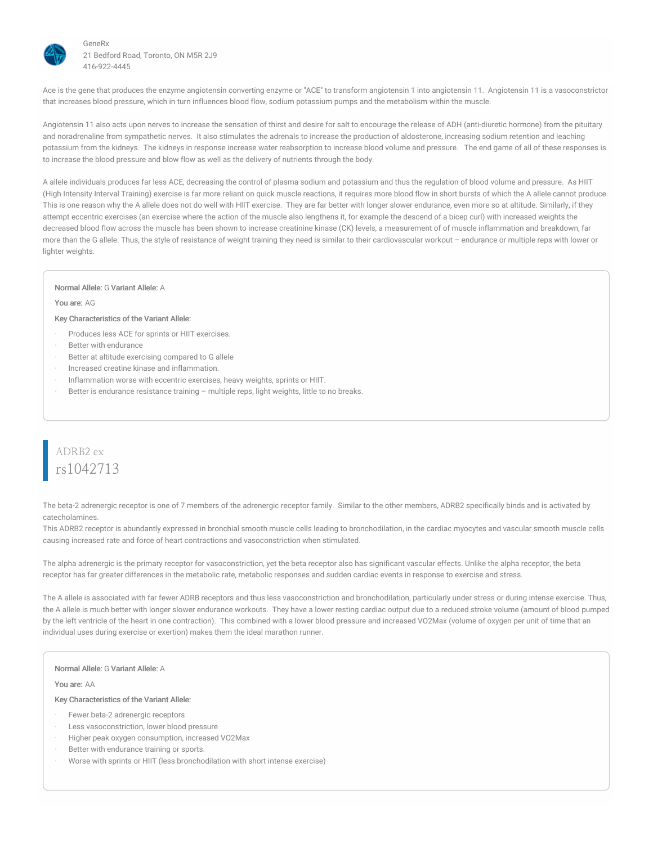

Ace is the gene that produces the enzyme angiotensin converting enzyme or "ACE" to transform angiotensin 1 into angiotensin 11. Angiotensin 11 is a vasoconstrictor that increases blood pressure, which in turn influences blood flow, sodium potassium pumps and the metabolism within the muscle.

Angiotensin 11 also acts upon nerves to increase the sensation of thirst and desire for salt to encourage the release of ADH (anti-diuretic hormone) from the pituitary and noradrenaline from sympathetic nerves. It also stimulates the adrenals to increase the production of aldosterone, increasing sodium retention and leaching potassium from the kidneys. The kidneys in response increase water reabsorption to increase blood volume and pressure. The end game of all of these responses is to increase the blood pressure and blow flow as well as the delivery of nutrients through the body.

A allele individuals produces far less ACE, decreasing the control of plasma sodium and potassium and thus the regulation of blood volume and pressure. As HIIT (High Intensity Interval Training) exercise is far more reliant on quick muscle reactions, it requires more blood flow in short bursts of which the A allele cannot produce. This is one reason why the A allele does not do well with HIIT exercise. They are far better with longer slower endurance, even more so at altitude. Similarly, if they attempt eccentric exercises (an exercise where the action of the muscle also lengthens it, for example the descend of a bicep curl) with increased weights the decreased blood flow across the muscle has been shown to increase creatinine kinase (CK) levels, a measurement of of muscle inflammation and breakdown, far more than the G allele. Thus, the style of resistance of weight training they need is similar to their cardiovascular workout – endurance or multiple reps with lower or lighter weights.

#### Normal Allele: G Variant Allele: A

#### You are: AG

#### Key Characteristics of the Variant Allele:

- Produces less ACE for sprints or HIIT exercises.
- Better with endurance
- Better at altitude exercising compared to G allele
- · Increased creatine kinase and inflammation.
- · Inflammation worse with eccentric exercises, heavy weights, sprints or HIIT.
- Better is endurance resistance training multiple reps, light weights, little to no breaks.

### ADRB2 ex rs1042713

The beta-2 adrenergic receptor is one of 7 members of the adrenergic receptor family. Similar to the other members, ADRB2 specifically binds and is activated by catecholamines.

This ADRB2 receptor is abundantly expressed in bronchial smooth muscle cells leading to bronchodilation, in the cardiac myocytes and vascular smooth muscle cells causing increased rate and force of heart contractions and vasoconstriction when stimulated.

The alpha adrenergic is the primary receptor for vasoconstriction, yet the beta receptor also has significant vascular effects. Unlike the alpha receptor, the beta receptor has far greater differences in the metabolic rate, metabolic responses and sudden cardiac events in response to exercise and stress.

The A allele is associated with far fewer ADRB receptors and thus less vasoconstriction and bronchodilation, particularly under stress or during intense exercise. Thus, the A allele is much better with longer slower endurance workouts. They have a lower resting cardiac output due to a reduced stroke volume (amount of blood pumped by the left ventricle of the heart in one contraction). This combined with a lower blood pressure and increased VO2Max (volume of oxygen per unit of time that an individual uses during exercise or exertion) makes them the ideal marathon runner.

#### Normal Allele: G Variant Allele: A

You are: AA

- Fewer beta-2 adrenergic receptors
- Less vasoconstriction, lower blood pressure
- · Higher peak oxygen consumption, increased VO2Max
- Better with endurance training or sports.
- Worse with sprints or HIIT (less bronchodilation with short intense exercise)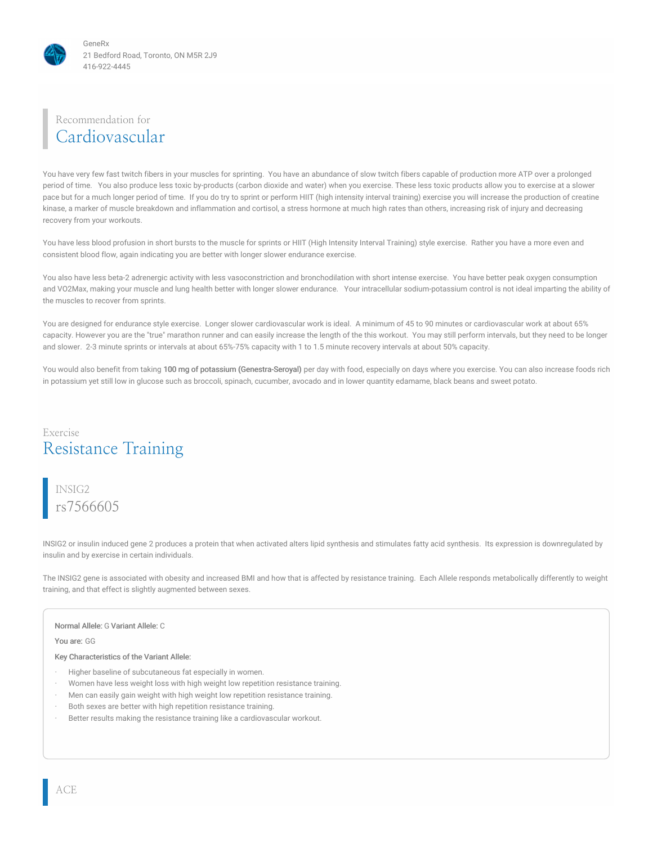

# Recommendation for Cardiovascular

You have very few fast twitch fibers in your muscles for sprinting. You have an abundance of slow twitch fibers capable of production more ATP over a prolonged period of time. You also produce less toxic by-products (carbon dioxide and water) when you exercise. These less toxic products allow you to exercise at a slower pace but for a much longer period of time. If you do try to sprint or perform HIIT (high intensity interval training) exercise you will increase the production of creatine kinase, a marker of muscle breakdown and inflammation and cortisol, a stress hormone at much high rates than others, increasing risk of injury and decreasing recovery from your workouts.

You have less blood profusion in short bursts to the muscle for sprints or HIIT (High Intensity Interval Training) style exercise. Rather you have a more even and consistent blood flow, again indicating you are better with longer slower endurance exercise.

You also have less beta-2 adrenergic activity with less vasoconstriction and bronchodilation with short intense exercise. You have better peak oxygen consumption and VO2Max, making your muscle and lung health better with longer slower endurance. Your intracellular sodium-potassium control is not ideal imparting the ability of the muscles to recover from sprints.

You are designed for endurance style exercise. Longer slower cardiovascular work is ideal. A minimum of 45 to 90 minutes or cardiovascular work at about 65% capacity. However you are the "true" marathon runner and can easily increase the length of the this workout. You may still perform intervals, but they need to be longer and slower. 2-3 minute sprints or intervals at about 65%-75% capacity with 1 to 1.5 minute recovery intervals at about 50% capacity.

You would also benefit from taking 100 mg of potassium (Genestra-Seroyal) per day with food, especially on days where you exercise. You can also increase foods rich in potassium yet still low in glucose such as broccoli, spinach, cucumber, avocado and in lower quantity edamame, black beans and sweet potato.

### Exercise Resistance Training

INSIG2 rs7566605

INSIG2 or insulin induced gene 2 produces a protein that when activated alters lipid synthesis and stimulates fatty acid synthesis. Its expression is downregulated by insulin and by exercise in certain individuals.

The INSIG2 gene is associated with obesity and increased BMI and how that is affected by resistance training. Each Allele responds metabolically differently to weight training, and that effect is slightly augmented between sexes.

#### Normal Allele: G Variant Allele: C

You are: GG

- Higher baseline of subcutaneous fat especially in women.
- · Women have less weight loss with high weight low repetition resistance training.
- Men can easily gain weight with high weight low repetition resistance training.
- Both sexes are better with high repetition resistance training.
- Better results making the resistance training like a cardiovascular workout.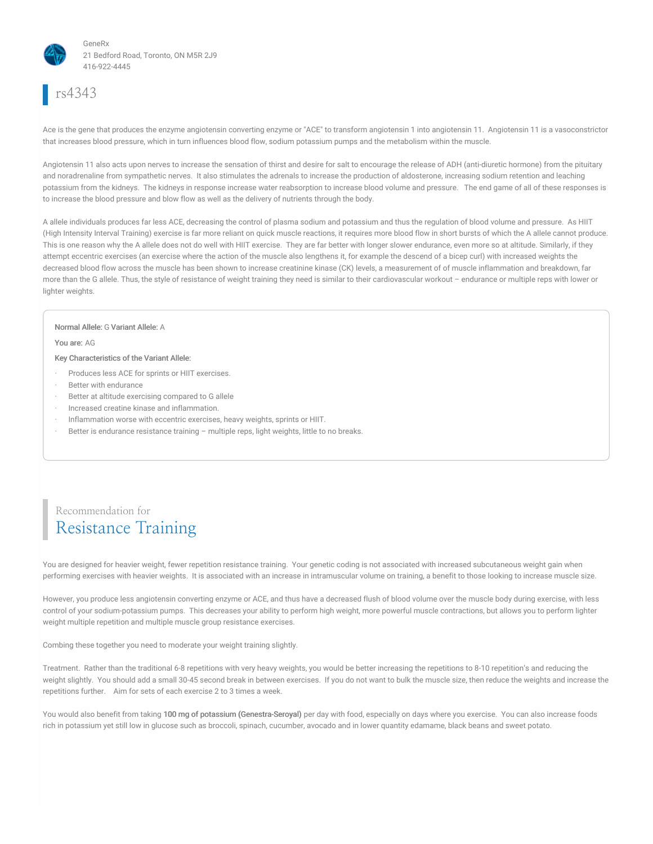

# rs4343

Ace is the gene that produces the enzyme angiotensin converting enzyme or "ACE" to transform angiotensin 1 into angiotensin 11. Angiotensin 11 is a vasoconstrictor that increases blood pressure, which in turn influences blood flow, sodium potassium pumps and the metabolism within the muscle.

Angiotensin 11 also acts upon nerves to increase the sensation of thirst and desire for salt to encourage the release of ADH (anti-diuretic hormone) from the pituitary and noradrenaline from sympathetic nerves. It also stimulates the adrenals to increase the production of aldosterone, increasing sodium retention and leaching potassium from the kidneys. The kidneys in response increase water reabsorption to increase blood volume and pressure. The end game of all of these responses is to increase the blood pressure and blow flow as well as the delivery of nutrients through the body.

A allele individuals produces far less ACE, decreasing the control of plasma sodium and potassium and thus the regulation of blood volume and pressure. As HIIT (High Intensity Interval Training) exercise is far more reliant on quick muscle reactions, it requires more blood flow in short bursts of which the A allele cannot produce. This is one reason why the A allele does not do well with HIIT exercise. They are far better with longer slower endurance, even more so at altitude. Similarly, if they attempt eccentric exercises (an exercise where the action of the muscle also lengthens it, for example the descend of a bicep curl) with increased weights the decreased blood flow across the muscle has been shown to increase creatinine kinase (CK) levels, a measurement of of muscle inflammation and breakdown, far more than the G allele. Thus, the style of resistance of weight training they need is similar to their cardiovascular workout – endurance or multiple reps with lower or lighter weights.

#### Normal Allele: G Variant Allele: A

You are: AG

#### Key Characteristics of the Variant Allele:

- Produces less ACE for sprints or HIIT exercises.
- Better with endurance
- Better at altitude exercising compared to G allele
- · Increased creatine kinase and inflammation.
- · Inflammation worse with eccentric exercises, heavy weights, sprints or HIIT.
- Better is endurance resistance training multiple reps, light weights, little to no breaks.

## Recommendation for Resistance Training

You are designed for heavier weight, fewer repetition resistance training. Your genetic coding is not associated with increased subcutaneous weight gain when performing exercises with heavier weights. It is associated with an increase in intramuscular volume on training, a benefit to those looking to increase muscle size.

However, you produce less angiotensin converting enzyme or ACE, and thus have a decreased flush of blood volume over the muscle body during exercise, with less control of your sodium-potassium pumps. This decreases your ability to perform high weight, more powerful muscle contractions, but allows you to perform lighter weight multiple repetition and multiple muscle group resistance exercises.

Combing these together you need to moderate your weight training slightly.

Treatment. Rather than the traditional 6-8 repetitions with very heavy weights, you would be better increasing the repetitions to 8-10 repetition's and reducing the weight slightly. You should add a small 30-45 second break in between exercises. If you do not want to bulk the muscle size, then reduce the weights and increase the repetitions further. Aim for sets of each exercise 2 to 3 times a week.

You would also benefit from taking 100 mg of potassium (Genestra-Seroyal) per day with food, especially on days where you exercise. You can also increase foods rich in potassium yet still low in glucose such as broccoli, spinach, cucumber, avocado and in lower quantity edamame, black beans and sweet potato.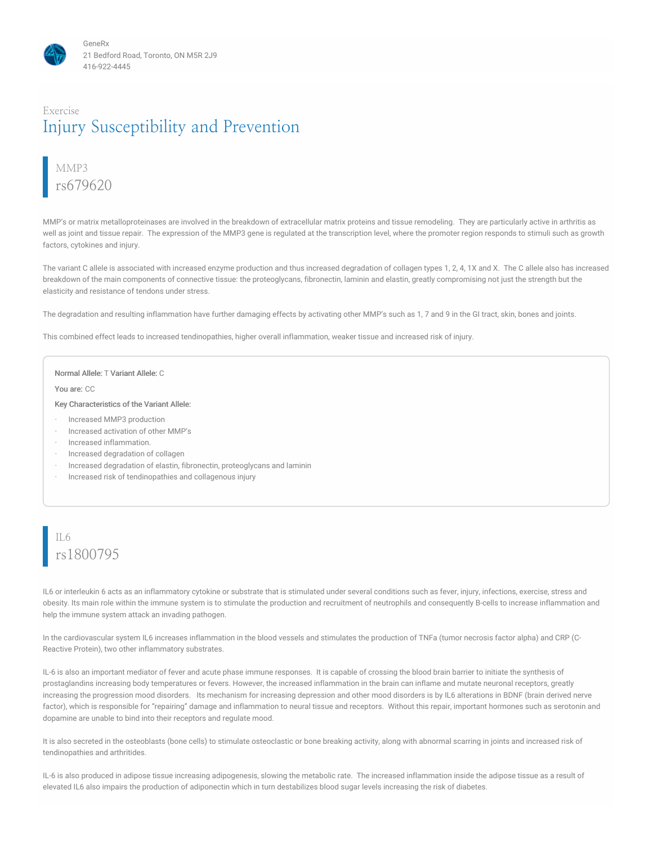### Exercise Injury Susceptibility and Prevention

# MMP3 rs679620

MMP's or matrix metalloproteinases are involved in the breakdown of extracellular matrix proteins and tissue remodeling. They are particularly active in arthritis as well as joint and tissue repair. The expression of the MMP3 gene is regulated at the transcription level, where the promoter region responds to stimuli such as growth factors, cytokines and injury.

The variant C allele is associated with increased enzyme production and thus increased degradation of collagen types 1, 2, 4, 1X and X. The C allele also has increased breakdown of the main components of connective tissue: the proteoglycans, fibronectin, laminin and elastin, greatly compromising not just the strength but the elasticity and resistance of tendons under stress.

The degradation and resulting inflammation have further damaging effects by activating other MMP's such as 1, 7 and 9 in the GI tract, skin, bones and joints.

This combined effect leads to increased tendinopathies, higher overall inflammation, weaker tissue and increased risk of injury.

#### Normal Allele: T Variant Allele: C

You are: CC

Key Characteristics of the Variant Allele:

- · Increased MMP3 production
- · Increased activation of other MMP's
- · Increased inflammation.
- · Increased degradation of collagen
- · Increased degradation of elastin, fibronectin, proteoglycans and laminin
- · Increased risk of tendinopathies and collagenous injury

# IL6 rs1800795

IL6 or interleukin 6 acts as an inflammatory cytokine or substrate that is stimulated under several conditions such as fever, injury, infections, exercise, stress and obesity. Its main role within the immune system is to stimulate the production and recruitment of neutrophils and consequently B-cells to increase inflammation and help the immune system attack an invading pathogen.

In the cardiovascular system IL6 increases inflammation in the blood vessels and stimulates the production of TNFa (tumor necrosis factor alpha) and CRP (C-Reactive Protein), two other inflammatory substrates.

IL-6 is also an important mediator of fever and acute phase immune responses. It is capable of crossing the blood brain barrier to initiate the synthesis of prostaglandins increasing body temperatures or fevers. However, the increased inflammation in the brain can inflame and mutate neuronal receptors, greatly increasing the progression mood disorders. Its mechanism for increasing depression and other mood disorders is by IL6 alterations in BDNF (brain derived nerve factor), which is responsible for "repairing" damage and inflammation to neural tissue and receptors. Without this repair, important hormones such as serotonin and dopamine are unable to bind into their receptors and regulate mood.

It is also secreted in the osteoblasts (bone cells) to stimulate osteoclastic or bone breaking activity, along with abnormal scarring in joints and increased risk of tendinopathies and arthritides.

IL-6 is also produced in adipose tissue increasing adipogenesis, slowing the metabolic rate. The increased inflammation inside the adipose tissue as a result of elevated IL6 also impairs the production of adiponectin which in turn destabilizes blood sugar levels increasing the risk of diabetes.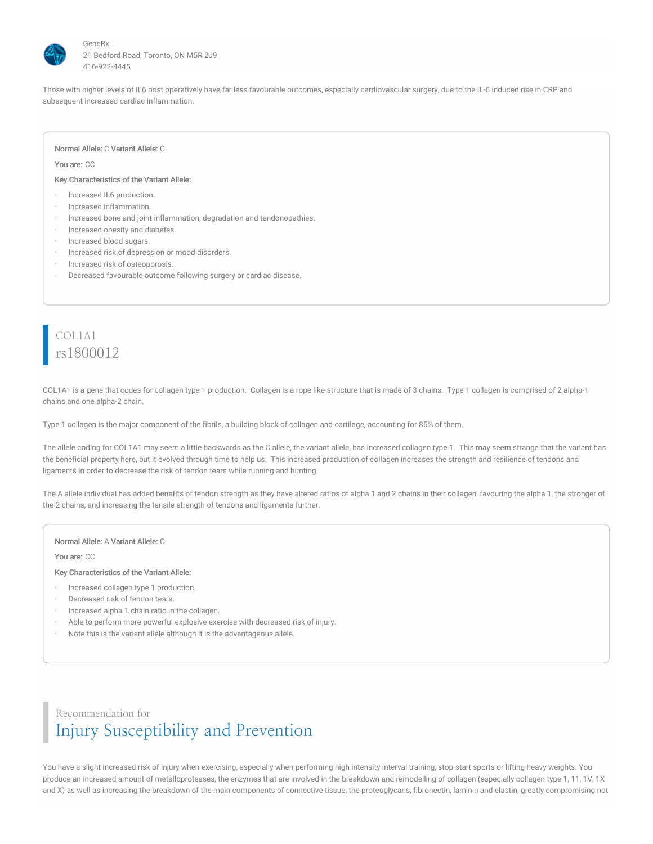

Those with higher levels of IL6 post operatively have far less favourable outcomes, especially cardiovascular surgery, due to the IL-6 induced rise in CRP and subsequent increased cardiac inflammation.

#### Normal Allele: C Variant Allele: G

#### You are: CC

Key Characteristics of the Variant Allele:

- Increased IL6 production.
- · Increased inflammation.
- · Increased bone and joint inflammation, degradation and tendonopathies.
- · Increased obesity and diabetes.
- Increased blood sugars.
- Increased risk of depression or mood disorders.
- Increased risk of osteoporosis.
- Decreased favourable outcome following surgery or cardiac disease.

### COL1A1 rs1800012

COL1A1 is a gene that codes for collagen type 1 production. Collagen is a rope like-structure that is made of 3 chains. Type 1 collagen is comprised of 2 alpha-1 chains and one alpha-2 chain.

Type 1 collagen is the major component of the fibrils, a building block of collagen and cartilage, accounting for 85% of them.

The allele coding for COL1A1 may seem a little backwards as the C allele, the variant allele, has increased collagen type 1. This may seem strange that the variant has the beneficial property here, but it evolved through time to help us. This increased production of collagen increases the strength and resilience of tendons and ligaments in order to decrease the risk of tendon tears while running and hunting.

The A allele individual has added benefits of tendon strength as they have altered ratios of alpha 1 and 2 chains in their collagen, favouring the alpha 1, the stronger of the 2 chains, and increasing the tensile strength of tendons and ligaments further.

#### Normal Allele: A Variant Allele: C

You are: CC

#### Key Characteristics of the Variant Allele:

- · Increased collagen type 1 production.
- Decreased risk of tendon tears.
- · Increased alpha 1 chain ratio in the collagen.
- Able to perform more powerful explosive exercise with decreased risk of injury.
- · Note this is the variant allele although it is the advantageous allele.

### Recommendation for Injury Susceptibility and Prevention

You have a slight increased risk of injury when exercising, especially when performing high intensity interval training, stop-start sports or lifting heavy weights. You produce an increased amount of metalloproteases, the enzymes that are involved in the breakdown and remodelling of collagen (especially collagen type 1, 11, 1V, 1X and X) as well as increasing the breakdown of the main components of connective tissue, the proteoglycans, fibronectin, laminin and elastin, greatly compromising not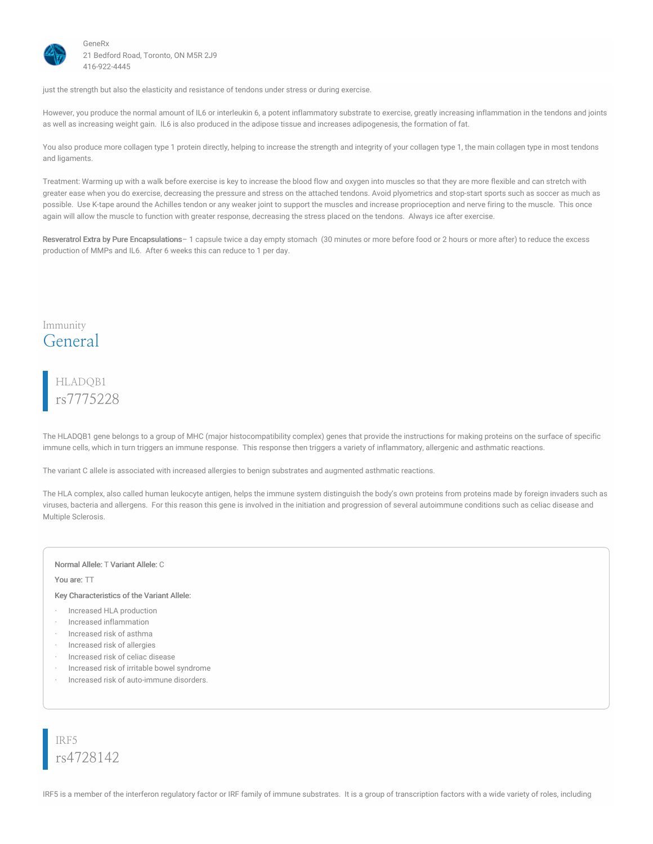

just the strength but also the elasticity and resistance of tendons under stress or during exercise.

However, you produce the normal amount of IL6 or interleukin 6, a potent inflammatory substrate to exercise, greatly increasing inflammation in the tendons and joints as well as increasing weight gain. IL6 is also produced in the adipose tissue and increases adipogenesis, the formation of fat.

You also produce more collagen type 1 protein directly, helping to increase the strength and integrity of your collagen type 1, the main collagen type in most tendons and ligaments.

Treatment: Warming up with a walk before exercise is key to increase the blood flow and oxygen into muscles so that they are more flexible and can stretch with greater ease when you do exercise, decreasing the pressure and stress on the attached tendons. Avoid plyometrics and stop-start sports such as soccer as much as possible. Use K-tape around the Achilles tendon or any weaker joint to support the muscles and increase proprioception and nerve firing to the muscle. This once again will allow the muscle to function with greater response, decreasing the stress placed on the tendons. Always ice after exercise.

Resveratrol Extra by Pure Encapsulations - 1 capsule twice a day empty stomach (30 minutes or more before food or 2 hours or more after) to reduce the excess production of MMPs and IL6. After 6 weeks this can reduce to 1 per day.

### Immunity General

# HLADQB1 rs7775228

The HLADQB1 gene belongs to a group of MHC (major histocompatibility complex) genes that provide the instructions for making proteins on the surface of specific immune cells, which in turn triggers an immune response. This response then triggers a variety of inflammatory, allergenic and asthmatic reactions.

The variant C allele is associated with increased allergies to benign substrates and augmented asthmatic reactions.

The HLA complex, also called human leukocyte antigen, helps the immune system distinguish the body's own proteins from proteins made by foreign invaders such as viruses, bacteria and allergens. For this reason this gene is involved in the initiation and progression of several autoimmune conditions such as celiac disease and Multiple Sclerosis.

#### Normal Allele: T Variant Allele: C

You are: TT

Key Characteristics of the Variant Allele:

- · Increased HLA production
- · Increased inflammation
- · Increased risk of asthma
- · Increased risk of allergies
- · Increased risk of celiac disease
- · Increased risk of irritable bowel syndrome
- · Increased risk of auto-immune disorders.

IRF5 rs4728142

IRF5 is a member of the interferon regulatory factor or IRF family of immune substrates. It is a group of transcription factors with a wide variety of roles, including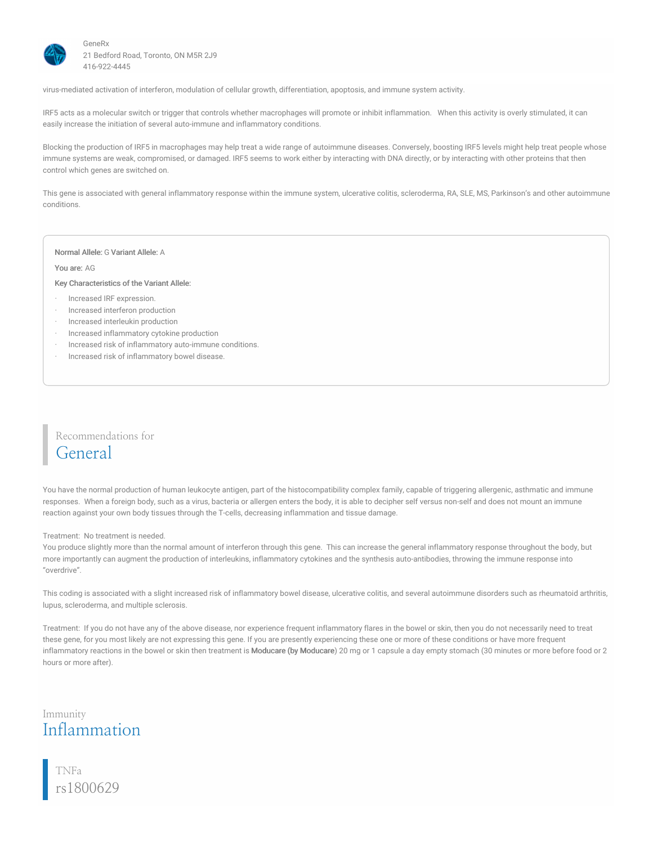

virus-mediated activation of interferon, modulation of cellular growth, differentiation, apoptosis, and immune system activity.

IRF5 acts as a molecular switch or trigger that controls whether macrophages will promote or inhibit inflammation. When this activity is overly stimulated, it can easily increase the initiation of several auto-immune and inflammatory conditions.

Blocking the production of IRF5 in macrophages may help treat a wide range of autoimmune diseases. Conversely, boosting IRF5 levels might help treat people whose immune systems are weak, compromised, or damaged. IRF5 seems to work either by interacting with DNA directly, or by interacting with other proteins that then control which genes are switched on.

This gene is associated with general inflammatory response within the immune system, ulcerative colitis, scleroderma, RA, SLE, MS, Parkinson's and other autoimmune conditions.

#### Normal Allele: G Variant Allele: A

#### You are: AG

#### Key Characteristics of the Variant Allele:

- · Increased IRF expression.
- · Increased interferon production
- · Increased interleukin production
- · Increased inflammatory cytokine production
- Increased risk of inflammatory auto-immune conditions.
- · Increased risk of inflammatory bowel disease.

### Recommendations for General

You have the normal production of human leukocyte antigen, part of the histocompatibility complex family, capable of triggering allergenic, asthmatic and immune responses. When a foreign body, such as a virus, bacteria or allergen enters the body, it is able to decipher self versus non-self and does not mount an immune reaction against your own body tissues through the T-cells, decreasing inflammation and tissue damage.

#### Treatment: No treatment is needed.

You produce slightly more than the normal amount of interferon through this gene. This can increase the general inflammatory response throughout the body, but more importantly can augment the production of interleukins, inflammatory cytokines and the synthesis auto-antibodies, throwing the immune response into "overdrive".

This coding is associated with a slight increased risk of inflammatory bowel disease, ulcerative colitis, and several autoimmune disorders such as rheumatoid arthritis, lupus, scleroderma, and multiple sclerosis.

Treatment: If you do not have any of the above disease, nor experience frequent inflammatory flares in the bowel or skin, then you do not necessarily need to treat these gene, for you most likely are not expressing this gene. If you are presently experiencing these one or more of these conditions or have more frequent inflammatory reactions in the bowel or skin then treatment is Moducare (by Moducare) 20 mg or 1 capsule a day empty stomach (30 minutes or more before food or 2 hours or more after).

### Immunity Inflammation

TNFa rs1800629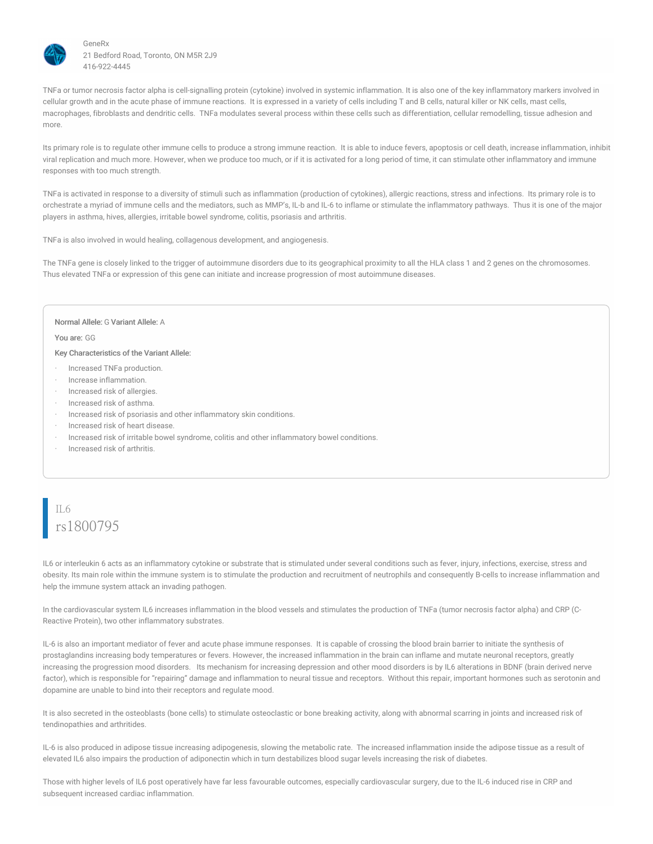

TNFa or tumor necrosis factor alpha is cell-signalling protein (cytokine) involved in systemic inflammation. It is also one of the key inflammatory markers involved in cellular growth and in the acute phase of immune reactions. It is expressed in a variety of cells including T and B cells, natural killer or NK cells, mast cells, macrophages, fibroblasts and dendritic cells. TNFa modulates several process within these cells such as differentiation, cellular remodelling, tissue adhesion and more.

Its primary role is to regulate other immune cells to produce a strong immune reaction. It is able to induce fevers, apoptosis or cell death, increase inflammation, inhibit viral replication and much more. However, when we produce too much, or if it is activated for a long period of time, it can stimulate other inflammatory and immune responses with too much strength.

TNFa is activated in response to a diversity of stimuli such as inflammation (production of cytokines), allergic reactions, stress and infections. Its primary role is to orchestrate a myriad of immune cells and the mediators, such as MMP's, IL-b and IL-6 to inflame or stimulate the inflammatory pathways. Thus it is one of the major players in asthma, hives, allergies, irritable bowel syndrome, colitis, psoriasis and arthritis.

TNFa is also involved in would healing, collagenous development, and angiogenesis.

The TNFa gene is closely linked to the trigger of autoimmune disorders due to its geographical proximity to all the HLA class 1 and 2 genes on the chromosomes. Thus elevated TNFa or expression of this gene can initiate and increase progression of most autoimmune diseases.

#### Normal Allele: G Variant Allele: A

You are: GG

Key Characteristics of the Variant Allele:

- · Increased TNFa production.
- · Increase inflammation.
- Increased risk of allergies.
- · Increased risk of asthma.
- · Increased risk of psoriasis and other inflammatory skin conditions.
- · Increased risk of heart disease.
- · Increased risk of irritable bowel syndrome, colitis and other inflammatory bowel conditions.
- Increased risk of arthritis.

# IL6 rs1800795

IL6 or interleukin 6 acts as an inflammatory cytokine or substrate that is stimulated under several conditions such as fever, injury, infections, exercise, stress and obesity. Its main role within the immune system is to stimulate the production and recruitment of neutrophils and consequently B-cells to increase inflammation and help the immune system attack an invading pathogen.

In the cardiovascular system IL6 increases inflammation in the blood vessels and stimulates the production of TNFa (tumor necrosis factor alpha) and CRP (C-Reactive Protein), two other inflammatory substrates.

IL-6 is also an important mediator of fever and acute phase immune responses. It is capable of crossing the blood brain barrier to initiate the synthesis of prostaglandins increasing body temperatures or fevers. However, the increased inflammation in the brain can inflame and mutate neuronal receptors, greatly increasing the progression mood disorders. Its mechanism for increasing depression and other mood disorders is by IL6 alterations in BDNF (brain derived nerve factor), which is responsible for "repairing" damage and inflammation to neural tissue and receptors. Without this repair, important hormones such as serotonin and dopamine are unable to bind into their receptors and regulate mood.

It is also secreted in the osteoblasts (bone cells) to stimulate osteoclastic or bone breaking activity, along with abnormal scarring in joints and increased risk of tendinopathies and arthritides.

IL-6 is also produced in adipose tissue increasing adipogenesis, slowing the metabolic rate. The increased inflammation inside the adipose tissue as a result of elevated IL6 also impairs the production of adiponectin which in turn destabilizes blood sugar levels increasing the risk of diabetes.

Those with higher levels of IL6 post operatively have far less favourable outcomes, especially cardiovascular surgery, due to the IL-6 induced rise in CRP and subsequent increased cardiac inflammation.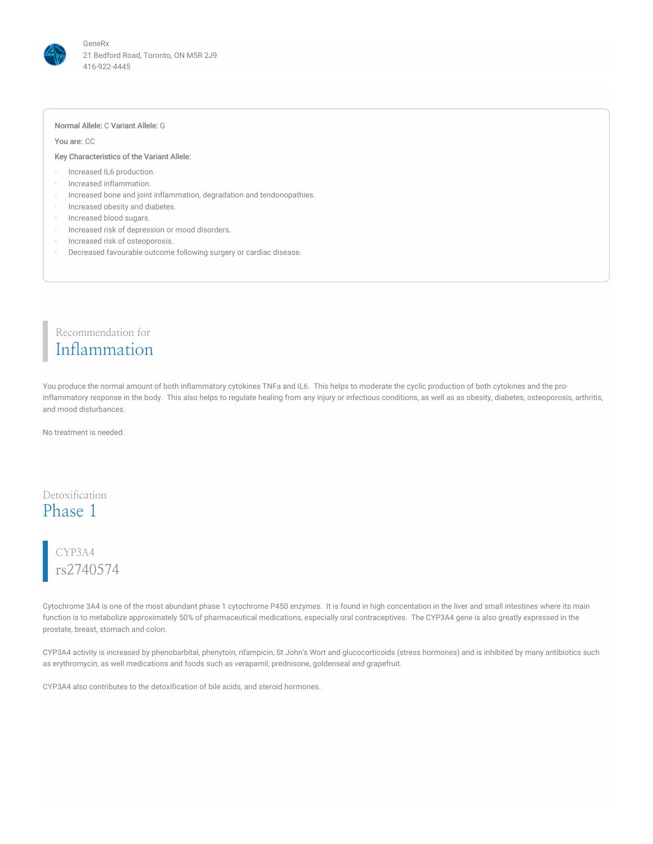

#### Normal Allele: C Variant Allele: G

You are: CC

#### Key Characteristics of the Variant Allele:

- · Increased IL6 production.
- · Increased inflammation.
- · Increased bone and joint inflammation, degradation and tendonopathies.
- · Increased obesity and diabetes.
- · Increased blood sugars.
- Increased risk of depression or mood disorders.
- · Increased risk of osteoporosis.
- Decreased favourable outcome following surgery or cardiac disease.

### Recommendation for Inflammation

You produce the normal amount of both inflammatory cytokines TNFa and IL6. This helps to moderate the cyclic production of both cytokines and the proinflammatory response in the body. This also helps to regulate healing from any injury or infectious conditions, as well as as obesity, diabetes, osteoporosis, arthritis, and mood disturbances.

No treatment is needed.

### Detoxification Phase 1

## CYP3A4 rs2740574

Cytochrome 3A4 is one of the most abundant phase 1 cytochrome P450 enzymes. It is found in high concentation in the liver and small intestines where its main function is to metabolize approximately 50% of pharmaceutical medications, especially oral contraceptives. The CYP3A4 gene is also greatly expressed in the prostate, breast, stomach and colon.

CYP3A4 activity is increased by phenobarbital, phenytoin, rifampicin, St John's Wort and glucocorticoids (stress hormones) and is inhibited by many antibiotics such as erythromycin, as well medications and foods such as verapamil, prednisone, goldenseal and grapefruit.

CYP3A4 also contributes to the detoxification of bile acids, and steroid hormones.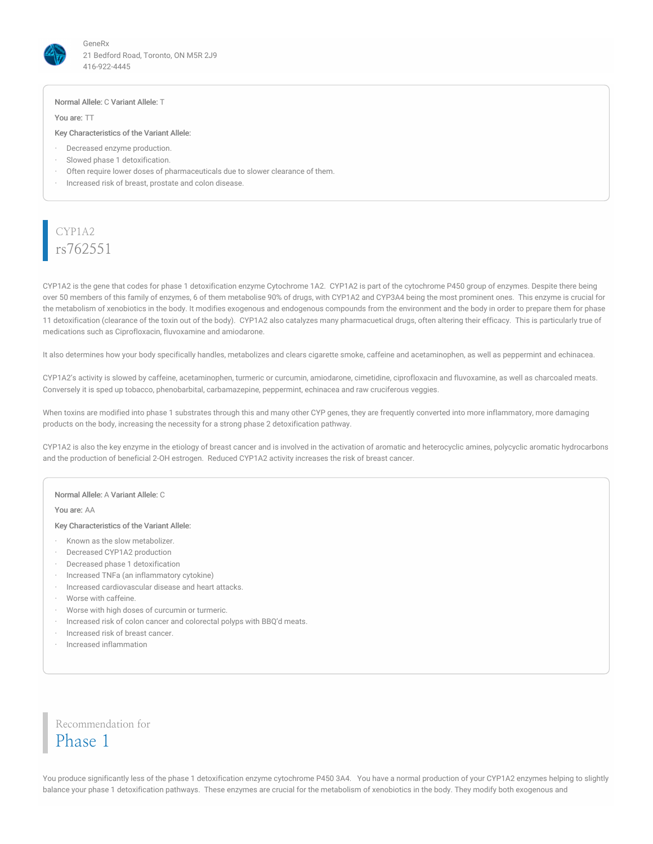

#### Normal Allele: C Variant Allele: T

You are: TT

#### Key Characteristics of the Variant Allele:

- · Decreased enzyme production.
- Slowed phase 1 detoxification.
- Often require lower doses of pharmaceuticals due to slower clearance of them.
- Increased risk of breast, prostate and colon disease.

### CYP1A2 rs762551

CYP1A2 is the gene that codes for phase 1 detoxification enzyme Cytochrome 1A2. CYP1A2 is part of the cytochrome P450 group of enzymes. Despite there being over 50 members of this family of enzymes, 6 of them metabolise 90% of drugs, with CYP1A2 and CYP3A4 being the most prominent ones. This enzyme is crucial for the metabolism of xenobiotics in the body. It modifies exogenous and endogenous compounds from the environment and the body in order to prepare them for phase 11 detoxification (clearance of the toxin out of the body). CYP1A2 also catalyzes many pharmacuetical drugs, often altering their efficacy. This is particularly true of medications such as Ciprofloxacin, fluvoxamine and amiodarone.

It also determines how your body specifically handles, metabolizes and clears cigarette smoke, caffeine and acetaminophen, as well as peppermint and echinacea.

CYP1A2's activity is slowed by caffeine, acetaminophen, turmeric or curcumin, amiodarone, cimetidine, ciprofloxacin and fluvoxamine, as well as charcoaled meats. Conversely it is sped up tobacco, phenobarbital, carbamazepine, peppermint, echinacea and raw cruciferous veggies.

When toxins are modified into phase 1 substrates through this and many other CYP genes, they are frequently converted into more inflammatory, more damaging products on the body, increasing the necessity for a strong phase 2 detoxification pathway.

CYP1A2 is also the key enzyme in the etiology of breast cancer and is involved in the activation of aromatic and heterocyclic amines, polycyclic aromatic hydrocarbons and the production of beneficial 2-OH estrogen. Reduced CYP1A2 activity increases the risk of breast cancer.

#### Normal Allele: A Variant Allele: C

You are: AA

Key Characteristics of the Variant Allele:

- · Known as the slow metabolizer.
- · Decreased CYP1A2 production
- · Decreased phase 1 detoxification
- · Increased TNFa (an inflammatory cytokine)
- · Increased cardiovascular disease and heart attacks.
- · Worse with caffeine.
- · Worse with high doses of curcumin or turmeric.
- · Increased risk of colon cancer and colorectal polyps with BBQ'd meats.
- · Increased risk of breast cancer.
- · Increased inflammation

Recommendation for Phase 1

You produce significantly less of the phase 1 detoxification enzyme cytochrome P450 3A4. You have a normal production of your CYP1A2 enzymes helping to slightly balance your phase 1 detoxification pathways. These enzymes are crucial for the metabolism of xenobiotics in the body. They modify both exogenous and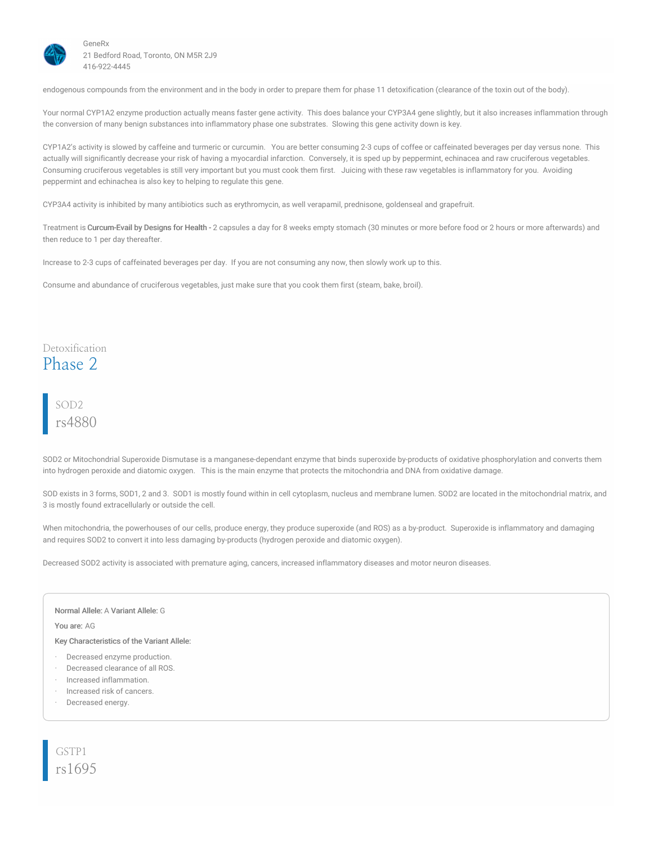

endogenous compounds from the environment and in the body in order to prepare them for phase 11 detoxification (clearance of the toxin out of the body).

Your normal CYP1A2 enzyme production actually means faster gene activity. This does balance your CYP3A4 gene slightly, but it also increases inflammation through the conversion of many benign substances into inflammatory phase one substrates. Slowing this gene activity down is key.

CYP1A2's activity is slowed by caffeine and turmeric or curcumin. You are better consuming 2-3 cups of coffee or caffeinated beverages per day versus none. This actually will significantly decrease your risk of having a myocardial infarction. Conversely, it is sped up by peppermint, echinacea and raw cruciferous vegetables. Consuming cruciferous vegetables is still very important but you must cook them first. Juicing with these raw vegetables is inflammatory for you. Avoiding peppermint and echinachea is also key to helping to regulate this gene.

CYP3A4 activity is inhibited by many antibiotics such as erythromycin, as well verapamil, prednisone, goldenseal and grapefruit.

Treatment is Curcum-Evail by Designs for Health - 2 capsules a day for 8 weeks empty stomach (30 minutes or more before food or 2 hours or more afterwards) and then reduce to 1 per day thereafter.

Increase to 2-3 cups of caffeinated beverages per day. If you are not consuming any now, then slowly work up to this.

Consume and abundance of cruciferous vegetables, just make sure that you cook them first (steam, bake, broil).

### Detoxification Phase 2

### SOD2 rs4880

SOD2 or Mitochondrial Superoxide Dismutase is a manganese-dependant enzyme that binds superoxide by-products of oxidative phosphorylation and converts them into hydrogen peroxide and diatomic oxygen. This is the main enzyme that protects the mitochondria and DNA from oxidative damage.

SOD exists in 3 forms, SOD1, 2 and 3. SOD1 is mostly found within in cell cytoplasm, nucleus and membrane lumen. SOD2 are located in the mitochondrial matrix, and 3 is mostly found extracellularly or outside the cell.

When mitochondria, the powerhouses of our cells, produce energy, they produce superoxide (and ROS) as a by-product. Superoxide is inflammatory and damaging and requires SOD2 to convert it into less damaging by-products (hydrogen peroxide and diatomic oxygen).

Decreased SOD2 activity is associated with premature aging, cancers, increased inflammatory diseases and motor neuron diseases.

Normal Allele: A Variant Allele: G

You are: AG

Key Characteristics of the Variant Allele:

- Decreased enzyme production.
- Decreased clearance of all ROS.
- · Increased inflammation.
- · Increased risk of cancers.
- Decreased energy.

GSTP1 rs1695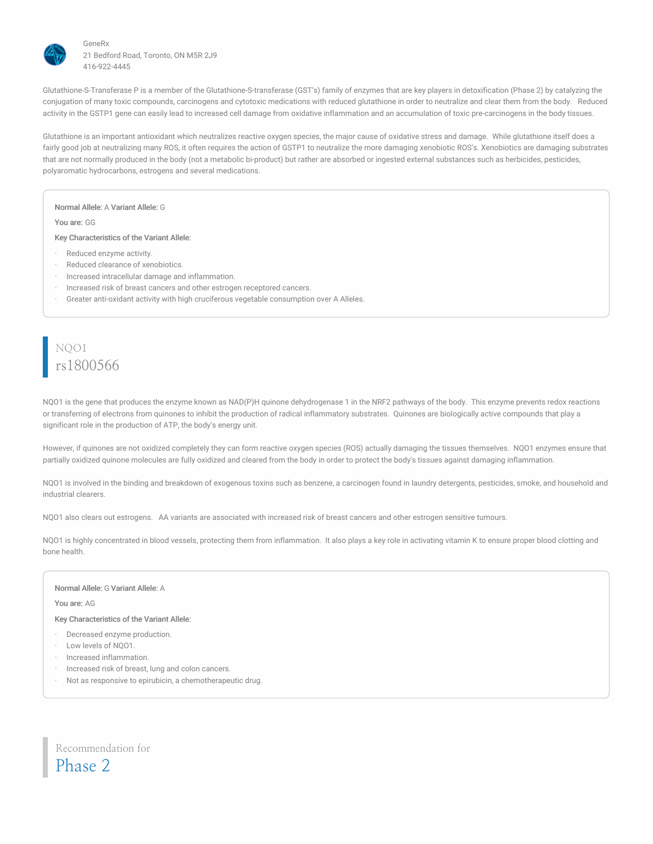

Glutathione-S-Transferase P is a member of the Glutathione-S-transferase (GST's) family of enzymes that are key players in detoxification (Phase 2) by catalyzing the conjugation of many toxic compounds, carcinogens and cytotoxic medications with reduced glutathione in order to neutralize and clear them from the body. Reduced activity in the GSTP1 gene can easily lead to increased cell damage from oxidative inflammation and an accumulation of toxic pre-carcinogens in the body tissues.

Glutathione is an important antioxidant which neutralizes reactive oxygen species, the major cause of oxidative stress and damage. While glutathione itself does a fairly good job at neutralizing many ROS, it often requires the action of GSTP1 to neutralize the more damaging xenobiotic ROS's. Xenobiotics are damaging substrates that are not normally produced in the body (not a metabolic bi-product) but rather are absorbed or ingested external substances such as herbicides, pesticides, polyaromatic hydrocarbons, estrogens and several medications.

Normal Allele: A Variant Allele: G

You are: GG

Key Characteristics of the Variant Allele:

- Reduced enzyme activity.
- Reduced clearance of xenobiotics.
- · Increased intracellular damage and inflammation.
- Increased risk of breast cancers and other estrogen receptored cancers.
- · Greater anti-oxidant activity with high cruciferous vegetable consumption over A Alleles.

# NQO1 rs1800566

NQO1 is the gene that produces the enzyme known as NAD(P)H quinone dehydrogenase 1 in the NRF2 pathways of the body. This enzyme prevents redox reactions or transferring of electrons from quinones to inhibit the production of radical inflammatory substrates. Quinones are biologically active compounds that play a significant role in the production of ATP, the body's energy unit.

However, if quinones are not oxidized completely they can form reactive oxygen species (ROS) actually damaging the tissues themselves. NQO1 enzymes ensure that partially oxidized quinone molecules are fully oxidized and cleared from the body in order to protect the body's tissues against damaging inflammation.

NQO1 is involved in the binding and breakdown of exogenous toxins such as benzene, a carcinogen found in laundry detergents, pesticides, smoke, and household and industrial clearers.

NQO1 also clears out estrogens. AA variants are associated with increased risk of breast cancers and other estrogen sensitive tumours.

NQO1 is highly concentrated in blood vessels, protecting them from inflammation. It also plays a key role in activating vitamin K to ensure proper blood clotting and bone health.

#### Normal Allele: G Variant Allele: A

You are: AG

Key Characteristics of the Variant Allele:

- Decreased enzyme production.
- · Low levels of NQO1.
- · Increased inflammation.
- Increased risk of breast, lung and colon cancers.
- · Not as responsive to epirubicin, a chemotherapeutic drug.

Recommendation for Phase 2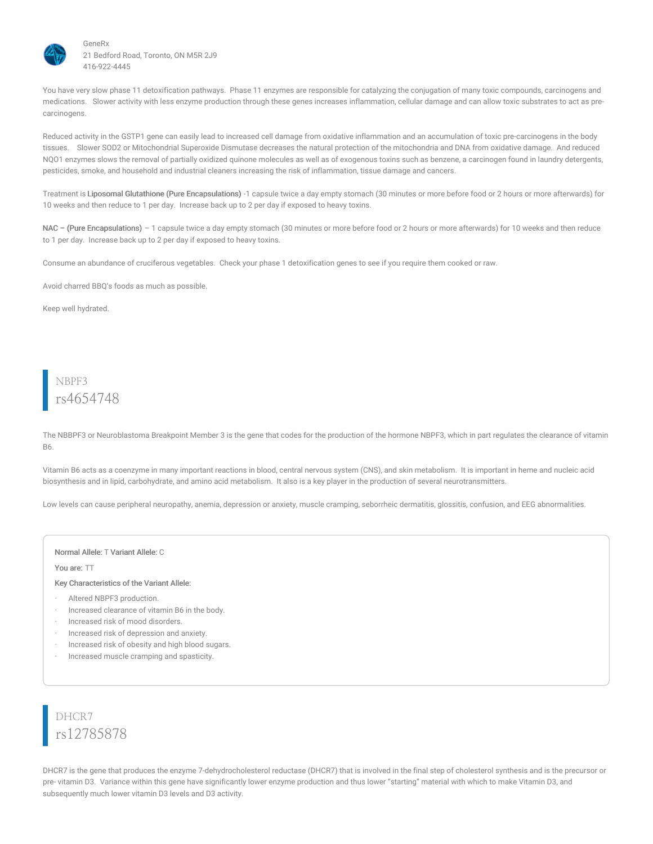

You have very slow phase 11 detoxification pathways. Phase 11 enzymes are responsible for catalyzing the conjugation of many toxic compounds, carcinogens and medications. Slower activity with less enzyme production through these genes increases inflammation, cellular damage and can allow toxic substrates to act as precarcinogens.

Reduced activity in the GSTP1 gene can easily lead to increased cell damage from oxidative inflammation and an accumulation of toxic pre-carcinogens in the body tissues. Slower SOD2 or Mitochondrial Superoxide Dismutase decreases the natural protection of the mitochondria and DNA from oxidative damage. And reduced NQO1 enzymes slows the removal of partially oxidized quinone molecules as well as of exogenous toxins such as benzene, a carcinogen found in laundry detergents, pesticides, smoke, and household and industrial cleaners increasing the risk of inflammation, tissue damage and cancers.

Treatment is Liposomal Glutathione (Pure Encapsulations) -1 capsule twice a day empty stomach (30 minutes or more before food or 2 hours or more afterwards) for 10 weeks and then reduce to 1 per day. Increase back up to 2 per day if exposed to heavy toxins.

NAC – (Pure Encapsulations) – 1 capsule twice a day empty stomach (30 minutes or more before food or 2 hours or more afterwards) for 10 weeks and then reduce to 1 per day. Increase back up to 2 per day if exposed to heavy toxins.

Consume an abundance of cruciferous vegetables. Check your phase 1 detoxification genes to see if you require them cooked or raw.

Avoid charred BBQ's foods as much as possible.

Keep well hydrated.

## NBPF3 rs4654748

The NBBPF3 or Neuroblastoma Breakpoint Member 3 is the gene that codes for the production of the hormone NBPF3, which in part regulates the clearance of vitamin B6.

Vitamin B6 acts as a coenzyme in many important reactions in blood, central nervous system (CNS), and skin metabolism. It is important in heme and nucleic acid biosynthesis and in lipid, carbohydrate, and amino acid metabolism. It also is a key player in the production of several neurotransmitters.

Low levels can cause peripheral neuropathy, anemia, depression or anxiety, muscle cramping, seborrheic dermatitis, glossitis, confusion, and EEG abnormalities.

#### Normal Allele: T Variant Allele: C

You are: TT

Key Characteristics of the Variant Allele:

- Altered NBPF3 production.
- · Increased clearance of vitamin B6 in the body.
- · Increased risk of mood disorders.
- · Increased risk of depression and anxiety.
- Increased risk of obesity and high blood sugars.
- · Increased muscle cramping and spasticity.

DHCR7 rs12785878

DHCR7 is the gene that produces the enzyme 7-dehydrocholesterol reductase (DHCR7) that is involved in the final step of cholesterol synthesis and is the precursor or pre- vitamin D3. Variance within this gene have significantly lower enzyme production and thus lower "starting" material with which to make Vitamin D3, and subsequently much lower vitamin D3 levels and D3 activity.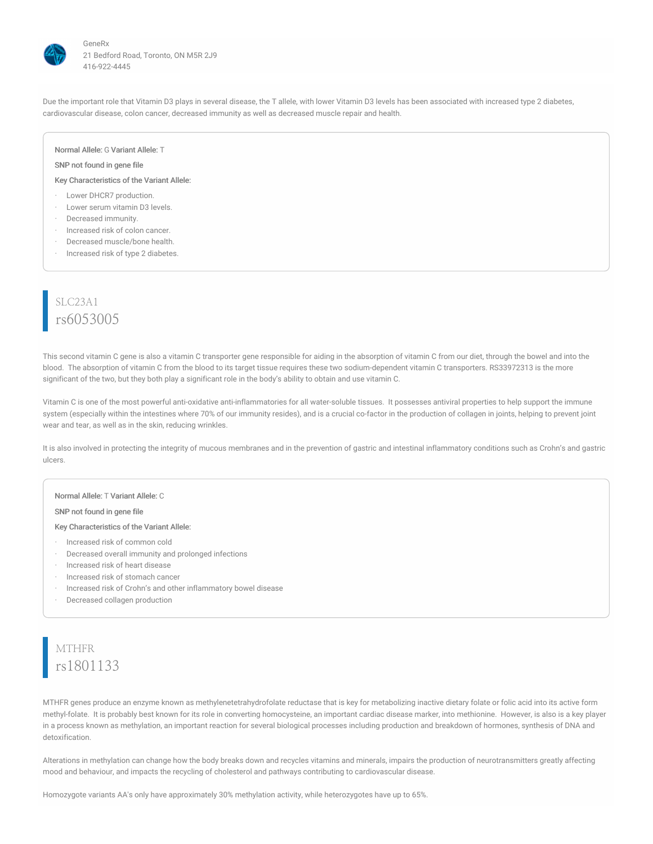

Due the important role that Vitamin D3 plays in several disease, the T allele, with lower Vitamin D3 levels has been associated with increased type 2 diabetes, cardiovascular disease, colon cancer, decreased immunity as well as decreased muscle repair and health.

#### Normal Allele: G Variant Allele: T

#### SNP not found in gene file

Key Characteristics of the Variant Allele:

- · Lower DHCR7 production.
- · Lower serum vitamin D3 levels.
- · Decreased immunity.
- Increased risk of colon cancer.
- Decreased muscle/bone health.
- Increased risk of type 2 diabetes.

## SLC23A1 rs6053005

This second vitamin C gene is also a vitamin C transporter gene responsible for aiding in the absorption of vitamin C from our diet, through the bowel and into the blood. The absorption of vitamin C from the blood to its target tissue requires these two sodium-dependent vitamin C transporters. RS33972313 is the more significant of the two, but they both play a significant role in the body's ability to obtain and use vitamin C.

Vitamin C is one of the most powerful anti-oxidative anti-inflammatories for all water-soluble tissues. It possesses antiviral properties to help support the immune system (especially within the intestines where 70% of our immunity resides), and is a crucial co-factor in the production of collagen in joints, helping to prevent joint wear and tear, as well as in the skin, reducing wrinkles.

It is also involved in protecting the integrity of mucous membranes and in the prevention of gastric and intestinal inflammatory conditions such as Crohn's and gastric ulcers.

#### Normal Allele: T Variant Allele: C

SNP not found in gene file

Key Characteristics of the Variant Allele:

- · Increased risk of common cold
- · Decreased overall immunity and prolonged infections
- · Increased risk of heart disease
- · Increased risk of stomach cancer
- · Increased risk of Crohn's and other inflammatory bowel disease
- · Decreased collagen production

# **MTHFR** rs1801133

MTHFR genes produce an enzyme known as methylenetetrahydrofolate reductase that is key for metabolizing inactive dietary folate or folic acid into its active form methyl-folate. It is probably best known for its role in converting homocysteine, an important cardiac disease marker, into methionine. However, is also is a key player in a process known as methylation, an important reaction for several biological processes including production and breakdown of hormones, synthesis of DNA and detoxification.

Alterations in methylation can change how the body breaks down and recycles vitamins and minerals, impairs the production of neurotransmitters greatly affecting mood and behaviour, and impacts the recycling of cholesterol and pathways contributing to cardiovascular disease.

Homozygote variants AA's only have approximately 30% methylation activity, while heterozygotes have up to 65%.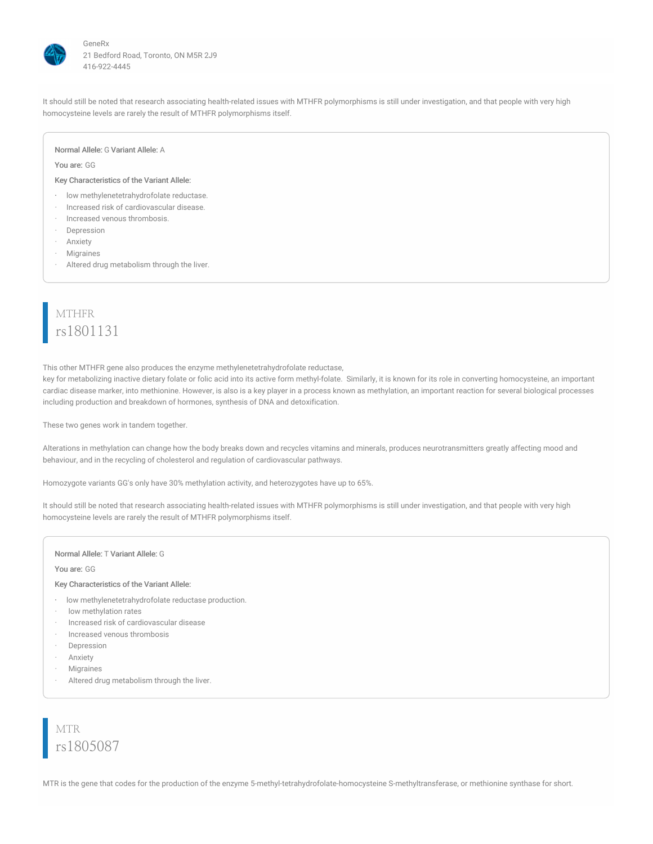

It should still be noted that research associating health-related issues with MTHFR polymorphisms is still under investigation, and that people with very high homocysteine levels are rarely the result of MTHFR polymorphisms itself.

#### Normal Allele: G Variant Allele: A

#### You are: GG

#### Key Characteristics of the Variant Allele:

- · low methylenetetrahydrofolate reductase.
- · Increased risk of cardiovascular disease.
- · Increased venous thrombosis.
- **Depression**
- **Anxiety**
- **Migraines**
- · Altered drug metabolism through the liver.

# MTHFR rs1801131

This other MTHFR gene also produces the enzyme methylenetetrahydrofolate reductase,

key for metabolizing inactive dietary folate or folic acid into its active form methyl-folate. Similarly, it is known for its role in converting homocysteine, an important cardiac disease marker, into methionine. However, is also is a key player in a process known as methylation, an important reaction for several biological processes including production and breakdown of hormones, synthesis of DNA and detoxification.

These two genes work in tandem together.

Alterations in methylation can change how the body breaks down and recycles vitamins and minerals, produces neurotransmitters greatly affecting mood and behaviour, and in the recycling of cholesterol and regulation of cardiovascular pathways.

Homozygote variants GG's only have 30% methylation activity, and heterozygotes have up to 65%.

It should still be noted that research associating health-related issues with MTHFR polymorphisms is still under investigation, and that people with very high homocysteine levels are rarely the result of MTHFR polymorphisms itself.

#### Normal Allele: T Variant Allele: G

#### You are: GG

#### Key Characteristics of the Variant Allele:

- · low methylenetetrahydrofolate reductase production.
- · low methylation rates
- · Increased risk of cardiovascular disease
- · Increased venous thrombosis
- · Depression
- **Anxiety**
- **Migraines**
- Altered drug metabolism through the liver.

# MTR rs1805087

MTR is the gene that codes for the production of the enzyme 5-methyl-tetrahydrofolate-homocysteine S-methyltransferase, or methionine synthase for short.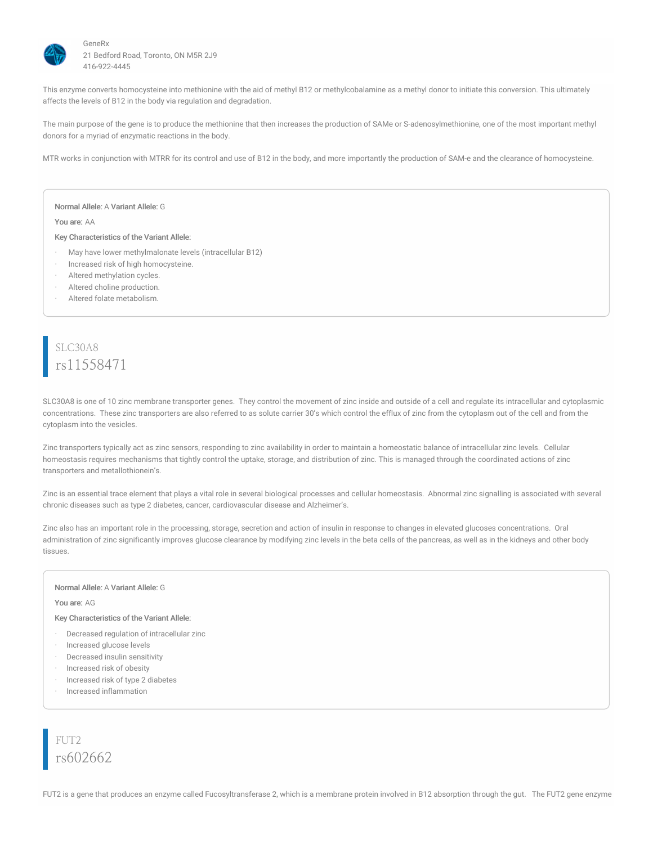

This enzyme converts homocysteine into methionine with the aid of methyl B12 or methylcobalamine as a methyl donor to initiate this conversion. This ultimately affects the levels of B12 in the body via regulation and degradation.

The main purpose of the gene is to produce the methionine that then increases the production of SAMe or S-adenosylmethionine, one of the most important methyl donors for a myriad of enzymatic reactions in the body.

MTR works in conjunction with MTRR for its control and use of B12 in the body, and more importantly the production of SAM-e and the clearance of homocysteine.

Normal Allele: A Variant Allele: G

You are: AA

Key Characteristics of the Variant Allele:

- May have lower methylmalonate levels (intracellular B12)
- Increased risk of high homocysteine.
- Altered methylation cycles.
- Altered choline production.
- Altered folate metabolism.

### SLC30A8 rs11558471

SLC30A8 is one of 10 zinc membrane transporter genes. They control the movement of zinc inside and outside of a cell and regulate its intracellular and cytoplasmic concentrations. These zinc transporters are also referred to as solute carrier 30's which control the efflux of zinc from the cytoplasm out of the cell and from the cytoplasm into the vesicles.

Zinc transporters typically act as zinc sensors, responding to zinc availability in order to maintain a homeostatic balance of intracellular zinc levels. Cellular homeostasis requires mechanisms that tightly control the uptake, storage, and distribution of zinc. This is managed through the coordinated actions of zinc transporters and metallothionein's.

Zinc is an essential trace element that plays a vital role in several biological processes and cellular homeostasis. Abnormal zinc signalling is associated with several chronic diseases such as type 2 diabetes, cancer, cardiovascular disease and Alzheimer's.

Zinc also has an important role in the processing, storage, secretion and action of insulin in response to changes in elevated glucoses concentrations. Oral administration of zinc significantly improves glucose clearance by modifying zinc levels in the beta cells of the pancreas, as well as in the kidneys and other body tissues.

#### Normal Allele: A Variant Allele: G

You are: AG

Key Characteristics of the Variant Allele:

- · Decreased regulation of intracellular zinc
- · Increased glucose levels
- · Decreased insulin sensitivity
- · Increased risk of obesity
- · Increased risk of type 2 diabetes
- · Increased inflammation

FUT<sub>2</sub> rs602662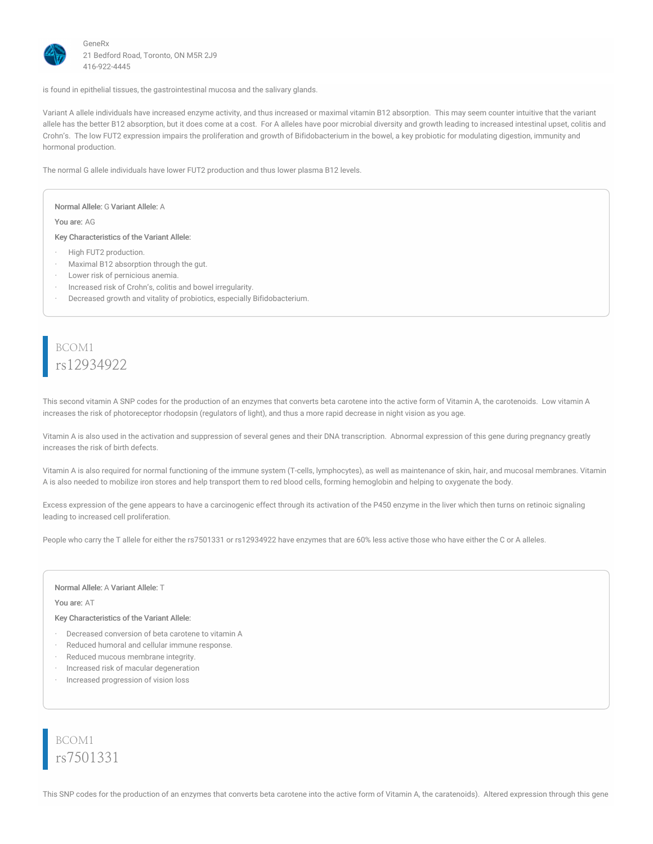

is found in epithelial tissues, the gastrointestinal mucosa and the salivary glands.

Variant A allele individuals have increased enzyme activity, and thus increased or maximal vitamin B12 absorption. This may seem counter intuitive that the variant allele has the better B12 absorption, but it does come at a cost. For A alleles have poor microbial diversity and growth leading to increased intestinal upset, colitis and Crohn's. The low FUT2 expression impairs the proliferation and growth of Bifidobacterium in the bowel, a key probiotic for modulating digestion, immunity and hormonal production.

The normal G allele individuals have lower FUT2 production and thus lower plasma B12 levels.

Normal Allele: G Variant Allele: A

You are: AG

Key Characteristics of the Variant Allele:

- High FUT2 production.
- · Maximal B12 absorption through the gut.
- Lower risk of pernicious anemia.
- · Increased risk of Crohn's, colitis and bowel irregularity.
- · Decreased growth and vitality of probiotics, especially Bifidobacterium.

### BCOM1 rs12934922

This second vitamin A SNP codes for the production of an enzymes that converts beta carotene into the active form of Vitamin A, the carotenoids. Low vitamin A increases the risk of photoreceptor rhodopsin (regulators of light), and thus a more rapid decrease in night vision as you age.

Vitamin A is also used in the activation and suppression of several genes and their DNA transcription. Abnormal expression of this gene during pregnancy greatly increases the risk of birth defects.

Vitamin A is also required for normal functioning of the immune system (T-cells, lymphocytes), as well as maintenance of skin, hair, and mucosal membranes. Vitamin A is also needed to mobilize iron stores and help transport them to red blood cells, forming hemoglobin and helping to oxygenate the body.

Excess expression of the gene appears to have a carcinogenic effect through its activation of the P450 enzyme in the liver which then turns on retinoic signaling leading to increased cell proliferation.

People who carry the T allele for either the rs7501331 or rs12934922 have enzymes that are 60% less active those who have either the C or A alleles.

#### Normal Allele: A Variant Allele: T

#### You are: AT

Key Characteristics of the Variant Allele:

- Decreased conversion of beta carotene to vitamin A
- · Reduced humoral and cellular immune response.
- · Reduced mucous membrane integrity.
- · Increased risk of macular degeneration
- · Increased progression of vision loss

BCOM1 rs7501331

This SNP codes for the production of an enzymes that converts beta carotene into the active form of Vitamin A, the caratenoids). Altered expression through this gene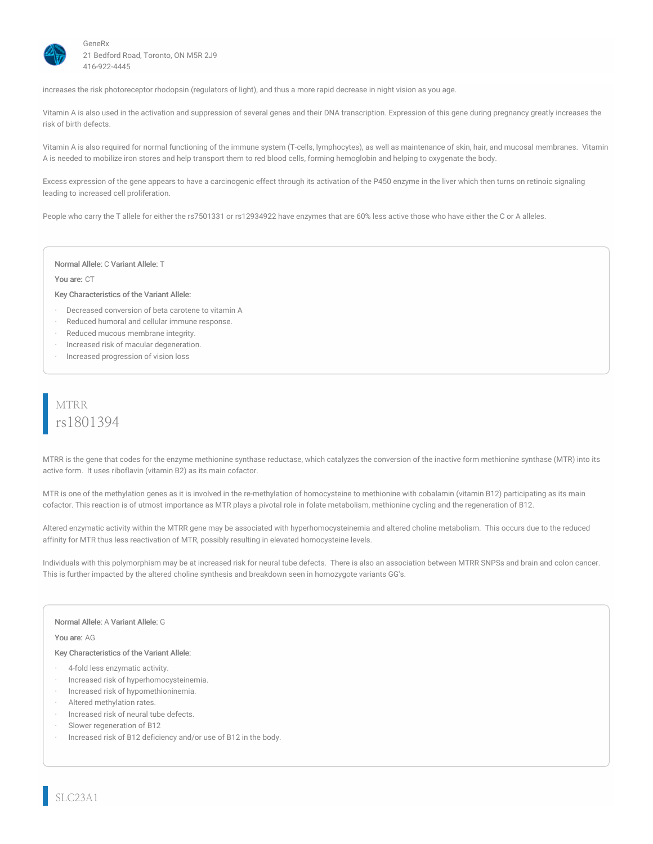

increases the risk photoreceptor rhodopsin (regulators of light), and thus a more rapid decrease in night vision as you age.

Vitamin A is also used in the activation and suppression of several genes and their DNA transcription. Expression of this gene during pregnancy greatly increases the risk of birth defects.

Vitamin A is also required for normal functioning of the immune system (T-cells, lymphocytes), as well as maintenance of skin, hair, and mucosal membranes. Vitamin A is needed to mobilize iron stores and help transport them to red blood cells, forming hemoglobin and helping to oxygenate the body.

Excess expression of the gene appears to have a carcinogenic effect through its activation of the P450 enzyme in the liver which then turns on retinoic signaling leading to increased cell proliferation.

People who carry the T allele for either the rs7501331 or rs12934922 have enzymes that are 60% less active those who have either the C or A alleles.

#### Normal Allele: C Variant Allele: T

#### You are: CT

#### Key Characteristics of the Variant Allele:

- Decreased conversion of beta carotene to vitamin A
- Reduced humoral and cellular immune response.
- Reduced mucous membrane integrity.
- · Increased risk of macular degeneration.
- · Increased progression of vision loss

# MTRR rs1801394

MTRR is the gene that codes for the enzyme methionine synthase reductase, which catalyzes the conversion of the inactive form methionine synthase (MTR) into its active form. It uses riboflavin (vitamin B2) as its main cofactor.

MTR is one of the methylation genes as it is involved in the re-methylation of homocysteine to methionine with cobalamin (vitamin B12) participating as its main cofactor. This reaction is of utmost importance as MTR plays a pivotal role in folate metabolism, methionine cycling and the regeneration of B12.

Altered enzymatic activity within the MTRR gene may be associated with hyperhomocysteinemia and altered choline metabolism. This occurs due to the reduced affinity for MTR thus less reactivation of MTR, possibly resulting in elevated homocysteine levels.

Individuals with this polymorphism may be at increased risk for neural tube defects. There is also an association between MTRR SNPSs and brain and colon cancer. This is further impacted by the altered choline synthesis and breakdown seen in homozygote variants GG's.

#### Normal Allele: A Variant Allele: G

#### You are: AG

- · 4-fold less enzymatic activity.
- · Increased risk of hyperhomocysteinemia.
- · Increased risk of hypomethioninemia.
- Altered methylation rates.
- Increased risk of neural tube defects.
- Slower regeneration of B12
- Increased risk of B12 deficiency and/or use of B12 in the body.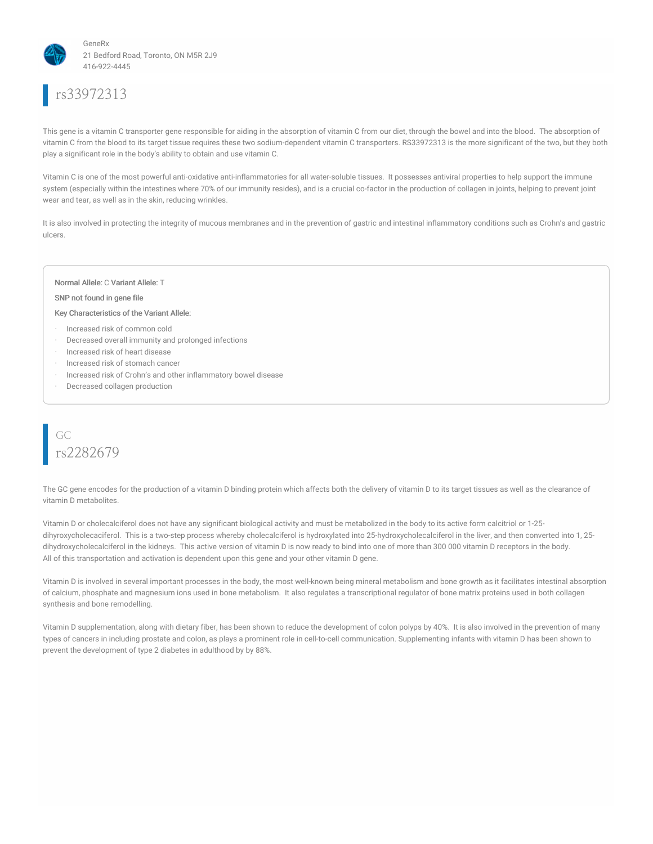

# rs33972313

This gene is a vitamin C transporter gene responsible for aiding in the absorption of vitamin C from our diet, through the bowel and into the blood. The absorption of vitamin C from the blood to its target tissue requires these two sodium-dependent vitamin C transporters. RS33972313 is the more significant of the two, but they both play a significant role in the body's ability to obtain and use vitamin C.

Vitamin C is one of the most powerful anti-oxidative anti-inflammatories for all water-soluble tissues. It possesses antiviral properties to help support the immune system (especially within the intestines where 70% of our immunity resides), and is a crucial co-factor in the production of collagen in joints, helping to prevent joint wear and tear, as well as in the skin, reducing wrinkles.

It is also involved in protecting the integrity of mucous membranes and in the prevention of gastric and intestinal inflammatory conditions such as Crohn's and gastric ulcers.

#### Normal Allele: C Variant Allele: T

#### SNP not found in gene file

#### Key Characteristics of the Variant Allele:

- · Increased risk of common cold
- · Decreased overall immunity and prolonged infections
- · Increased risk of heart disease
- · Increased risk of stomach cancer
- · Increased risk of Crohn's and other inflammatory bowel disease
- Decreased collagen production



The GC gene encodes for the production of a vitamin D binding protein which affects both the delivery of vitamin D to its target tissues as well as the clearance of vitamin D metabolites.

Vitamin D or cholecalciferol does not have any significant biological activity and must be metabolized in the body to its active form calcitriol or 1-25 dihyroxycholecaciferol. This is a two-step process whereby cholecalciferol is hydroxylated into 25-hydroxycholecalciferol in the liver, and then converted into 1, 25dihydroxycholecalciferol in the kidneys. This active version of vitamin D is now ready to bind into one of more than 300 000 vitamin D receptors in the body. All of this transportation and activation is dependent upon this gene and your other vitamin D gene.

Vitamin D is involved in several important processes in the body, the most well-known being mineral metabolism and bone growth as it facilitates intestinal absorption of calcium, phosphate and magnesium ions used in bone metabolism. It also regulates a transcriptional regulator of bone matrix proteins used in both collagen synthesis and bone remodelling.

Vitamin D supplementation, along with dietary fiber, has been shown to reduce the development of colon polyps by 40%. It is also involved in the prevention of many types of cancers in including prostate and colon, as plays a prominent role in cell-to-cell communication. Supplementing infants with vitamin D has been shown to prevent the development of type 2 diabetes in adulthood by by 88%.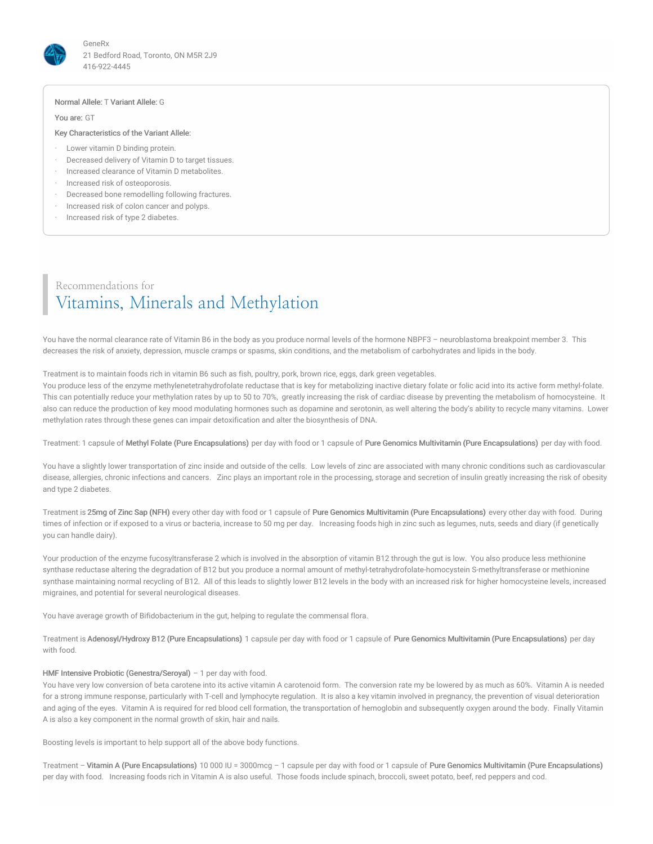

#### Normal Allele: T Variant Allele: G

You are: GT

#### Key Characteristics of the Variant Allele:

- · Lower vitamin D binding protein.
- Decreased delivery of Vitamin D to target tissues.
- · Increased clearance of Vitamin D metabolites.
- · Increased risk of osteoporosis.
- Decreased bone remodelling following fractures.
- · Increased risk of colon cancer and polyps.
- Increased risk of type 2 diabetes.

### Recommendations for Vitamins, Minerals and Methylation

You have the normal clearance rate of Vitamin B6 in the body as you produce normal levels of the hormone NBPF3 - neuroblastoma breakpoint member 3. This decreases the risk of anxiety, depression, muscle cramps or spasms, skin conditions, and the metabolism of carbohydrates and lipids in the body.

#### Treatment is to maintain foods rich in vitamin B6 such as fish, poultry, pork, brown rice, eggs, dark green vegetables.

You produce less of the enzyme methylenetetrahydrofolate reductase that is key for metabolizing inactive dietary folate or folic acid into its active form methyl-folate. This can potentially reduce your methylation rates by up to 50 to 70%, greatly increasing the risk of cardiac disease by preventing the metabolism of homocysteine. It also can reduce the production of key mood modulating hormones such as dopamine and serotonin, as well altering the body's ability to recycle many vitamins. Lower methylation rates through these genes can impair detoxification and alter the biosynthesis of DNA.

Treatment: 1 capsule of Methyl Folate (Pure Encapsulations) per day with food or 1 capsule of Pure Genomics Multivitamin (Pure Encapsulations) per day with food.

You have a slightly lower transportation of zinc inside and outside of the cells. Low levels of zinc are associated with many chronic conditions such as cardiovascular disease, allergies, chronic infections and cancers. Zinc plays an important role in the processing, storage and secretion of insulin greatly increasing the risk of obesity and type 2 diabetes.

Treatment is 25mg of Zinc Sap (NFH) every other day with food or 1 capsule of Pure Genomics Multivitamin (Pure Encapsulations) every other day with food. During times of infection or if exposed to a virus or bacteria, increase to 50 mg per day. Increasing foods high in zinc such as legumes, nuts, seeds and diary (if genetically you can handle dairy).

Your production of the enzyme fucosyltransferase 2 which is involved in the absorption of vitamin B12 through the gut is low. You also produce less methionine synthase reductase altering the degradation of B12 but you produce a normal amount of methyl-tetrahydrofolate-homocystein S-methyltransferase or methionine synthase maintaining normal recycling of B12. All of this leads to slightly lower B12 levels in the body with an increased risk for higher homocysteine levels, increased migraines, and potential for several neurological diseases.

You have average growth of Bifidobacterium in the gut, helping to regulate the commensal flora.

Treatment is Adenosyl/Hydroxy B12 (Pure Encapsulations) 1 capsule per day with food or 1 capsule of Pure Genomics Multivitamin (Pure Encapsulations) per day with food.

#### HMF Intensive Probiotic (Genestra/Seroyal) - 1 per day with food.

You have very low conversion of beta carotene into its active vitamin A carotenoid form. The conversion rate my be lowered by as much as 60%. Vitamin A is needed for a strong immune response, particularly with T-cell and lymphocyte regulation. It is also a key vitamin involved in pregnancy, the prevention of visual deterioration and aging of the eyes. Vitamin A is required for red blood cell formation, the transportation of hemoglobin and subsequently oxygen around the body. Finally Vitamin A is also a key component in the normal growth of skin, hair and nails.

Boosting levels is important to help support all of the above body functions.

Treatment – Vitamin A (Pure Encapsulations) 10 000 IU = 3000mcg – 1 capsule per day with food or 1 capsule of Pure Genomics Multivitamin (Pure Encapsulations) per day with food. Increasing foods rich in Vitamin A is also useful. Those foods include spinach, broccoli, sweet potato, beef, red peppers and cod.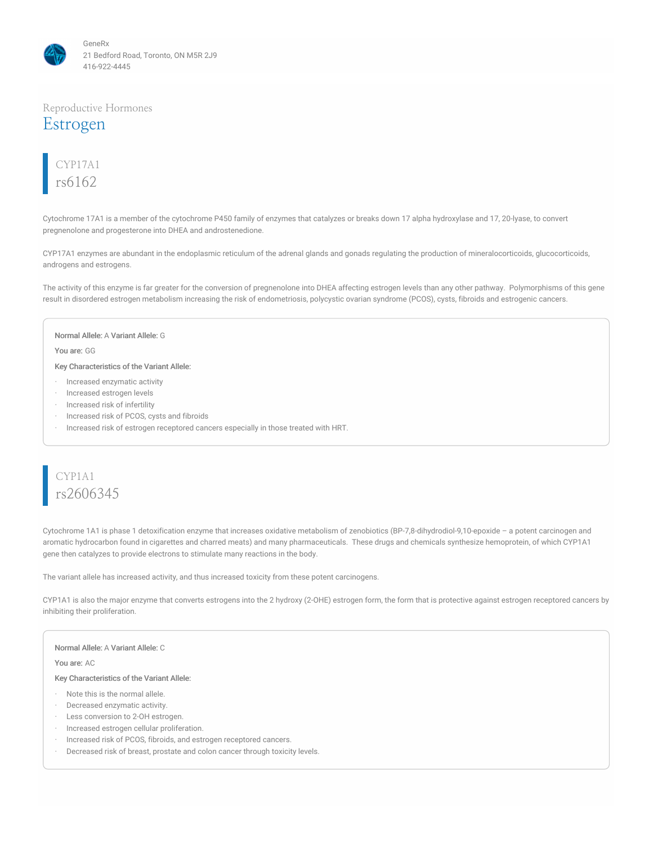

### Reproductive Hormones Estrogen

# CYP17A1 rs6162

Cytochrome 17A1 is a member of the cytochrome P450 family of enzymes that catalyzes or breaks down 17 alpha hydroxylase and 17, 20-lyase, to convert pregnenolone and progesterone into DHEA and androstenedione.

CYP17A1 enzymes are abundant in the endoplasmic reticulum of the adrenal glands and gonads regulating the production of mineralocorticoids, glucocorticoids, androgens and estrogens.

The activity of this enzyme is far greater for the conversion of pregnenolone into DHEA affecting estrogen levels than any other pathway. Polymorphisms of this gene result in disordered estrogen metabolism increasing the risk of endometriosis, polycystic ovarian syndrome (PCOS), cysts, fibroids and estrogenic cancers.

#### Normal Allele: A Variant Allele: G

You are: GG

Key Characteristics of the Variant Allele:

- · Increased enzymatic activity
- · Increased estrogen levels
- Increased risk of infertility
- · Increased risk of PCOS, cysts and fibroids
- · Increased risk of estrogen receptored cancers especially in those treated with HRT.

# CYP1A1 rs2606345

Cytochrome 1A1 is phase 1 detoxification enzyme that increases oxidative metabolism of zenobiotics (BP-7,8-dihydrodiol-9,10-epoxide – a potent carcinogen and aromatic hydrocarbon found in cigarettes and charred meats) and many pharmaceuticals. These drugs and chemicals synthesize hemoprotein, of which CYP1A1 gene then catalyzes to provide electrons to stimulate many reactions in the body.

The variant allele has increased activity, and thus increased toxicity from these potent carcinogens.

CYP1A1 is also the major enzyme that converts estrogens into the 2 hydroxy (2-OHE) estrogen form, the form that is protective against estrogen receptored cancers by inhibiting their proliferation.

#### Normal Allele: A Variant Allele: C

#### You are: AC

- · Note this is the normal allele.
- · Decreased enzymatic activity.
- · Less conversion to 2-OH estrogen.
- · Increased estrogen cellular proliferation.
- · Increased risk of PCOS, fibroids, and estrogen receptored cancers.
- · Decreased risk of breast, prostate and colon cancer through toxicity levels.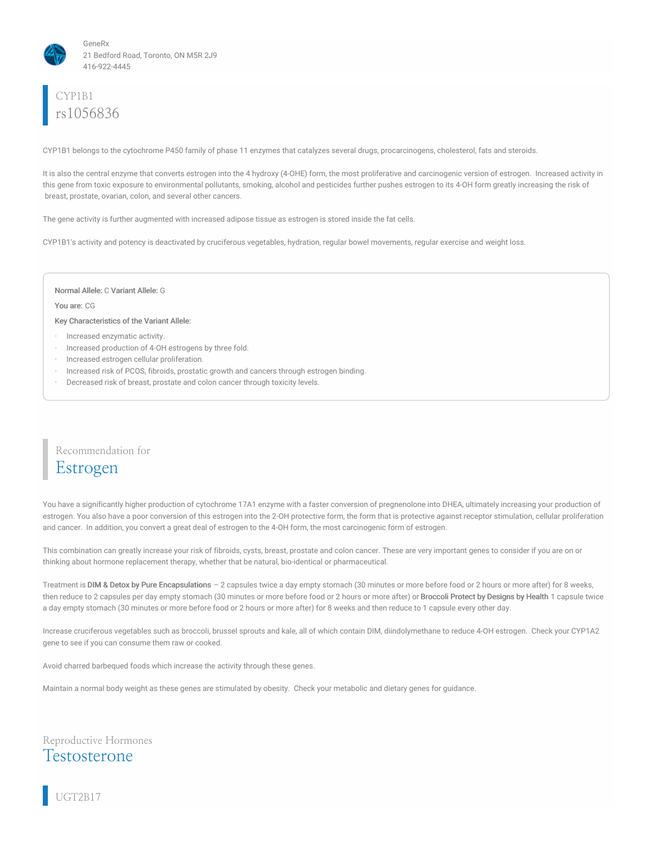

# CYP1B1 rs1056836

CYP1B1 belongs to the cytochrome P450 family of phase 11 enzymes that catalyzes several drugs, procarcinogens, cholesterol, fats and steroids.

It is also the central enzyme that converts estrogen into the 4 hydroxy (4-OHE) form, the most proliferative and carcinogenic version of estrogen. Increased activity in this gene from toxic exposure to environmental pollutants, smoking, alcohol and pesticides further pushes estrogen to its 4-OH form greatly increasing the risk of breast, prostate, ovarian, colon, and several other cancers.

The gene activity is further augmented with increased adipose tissue as estrogen is stored inside the fat cells.

CYP1B1's activity and potency is deactivated by cruciferous vegetables, hydration, regular bowel movements, regular exercise and weight loss.

#### Normal Allele: C Variant Allele: G

#### You are: CG

Key Characteristics of the Variant Allele:

- · Increased enzymatic activity.
- Increased production of 4-OH estrogens by three fold.
- · Increased estrogen cellular proliferation.
- · Increased risk of PCOS, fibroids, prostatic growth and cancers through estrogen binding.
- Decreased risk of breast, prostate and colon cancer through toxicity levels.

### Recommendation for Estrogen

You have a significantly higher production of cytochrome 17A1 enzyme with a faster conversion of pregnenolone into DHEA, ultimately increasing your production of estrogen. You also have a poor conversion of this estrogen into the 2-OH protective form, the form that is protective against receptor stimulation, cellular proliferation and cancer. In addition, you convert a great deal of estrogen to the 4-OH form, the most carcinogenic form of estrogen.

This combination can greatly increase your risk of fibroids, cysts, breast, prostate and colon cancer. These are very important genes to consider if you are on or thinking about hormone replacement therapy, whether that be natural, bio-identical or pharmaceutical.

Treatment is DIM & Detox by Pure Encapsulations – 2 capsules twice a day empty stomach (30 minutes or more before food or 2 hours or more after) for 8 weeks, then reduce to 2 capsules per day empty stomach (30 minutes or more before food or 2 hours or more after) or Broccoli Protect by Designs by Health 1 capsule twice a day empty stomach (30 minutes or more before food or 2 hours or more after) for 8 weeks and then reduce to 1 capsule every other day.

Increase cruciferous vegetables such as broccoli, brussel sprouts and kale, all of which contain DIM, diindolymethane to reduce 4-OH estrogen. Check your CYP1A2 gene to see if you can consume them raw or cooked.

Avoid charred barbequed foods which increase the activity through these genes.

Maintain a normal body weight as these genes are stimulated by obesity. Check your metabolic and dietary genes for guidance.

Reproductive Hormones

# Testosterone

UGT2B17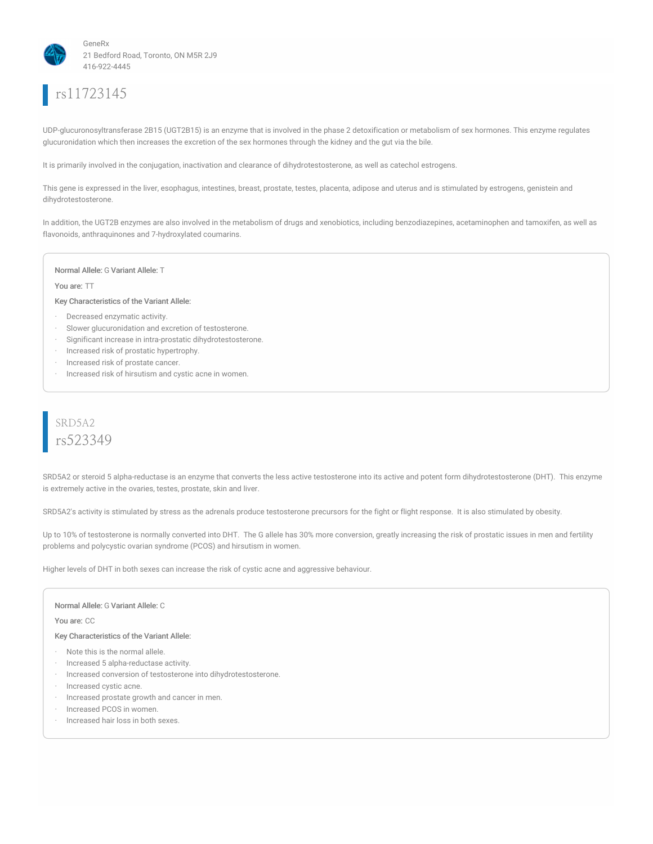

# rs11723145

UDP-glucuronosyltransferase 2B15 (UGT2B15) is an enzyme that is involved in the phase 2 detoxification or metabolism of sex hormones. This enzyme regulates glucuronidation which then increases the excretion of the sex hormones through the kidney and the gut via the bile.

It is primarily involved in the conjugation, inactivation and clearance of dihydrotestosterone, as well as catechol estrogens.

This gene is expressed in the liver, esophagus, intestines, breast, prostate, testes, placenta, adipose and uterus and is stimulated by estrogens, genistein and dihydrotestosterone.

In addition, the UGT2B enzymes are also involved in the metabolism of drugs and xenobiotics, including benzodiazepines, acetaminophen and tamoxifen, as well as flavonoids, anthraquinones and 7-hydroxylated coumarins.

#### Normal Allele: G Variant Allele: T

#### You are: TT

#### Key Characteristics of the Variant Allele:

- · Decreased enzymatic activity.
- · Slower glucuronidation and excretion of testosterone.
- · Significant increase in intra-prostatic dihydrotestosterone.
- · Increased risk of prostatic hypertrophy.
- · Increased risk of prostate cancer.
- · Increased risk of hirsutism and cystic acne in women.

### SRD5A2 rs523349

SRD5A2 or steroid 5 alpha-reductase is an enzyme that converts the less active testosterone into its active and potent form dihydrotestosterone (DHT). This enzyme is extremely active in the ovaries, testes, prostate, skin and liver.

SRD5A2's activity is stimulated by stress as the adrenals produce testosterone precursors for the fight or flight response. It is also stimulated by obesity.

Up to 10% of testosterone is normally converted into DHT. The G allele has 30% more conversion, greatly increasing the risk of prostatic issues in men and fertility problems and polycystic ovarian syndrome (PCOS) and hirsutism in women.

Higher levels of DHT in both sexes can increase the risk of cystic acne and aggressive behaviour.

Normal Allele: G Variant Allele: C

You are: CC

- · Note this is the normal allele.
- · Increased 5 alpha-reductase activity.
- · Increased conversion of testosterone into dihydrotestosterone.
- Increased cystic acne.
- · Increased prostate growth and cancer in men.
- · Increased PCOS in women.
- · Increased hair loss in both sexes.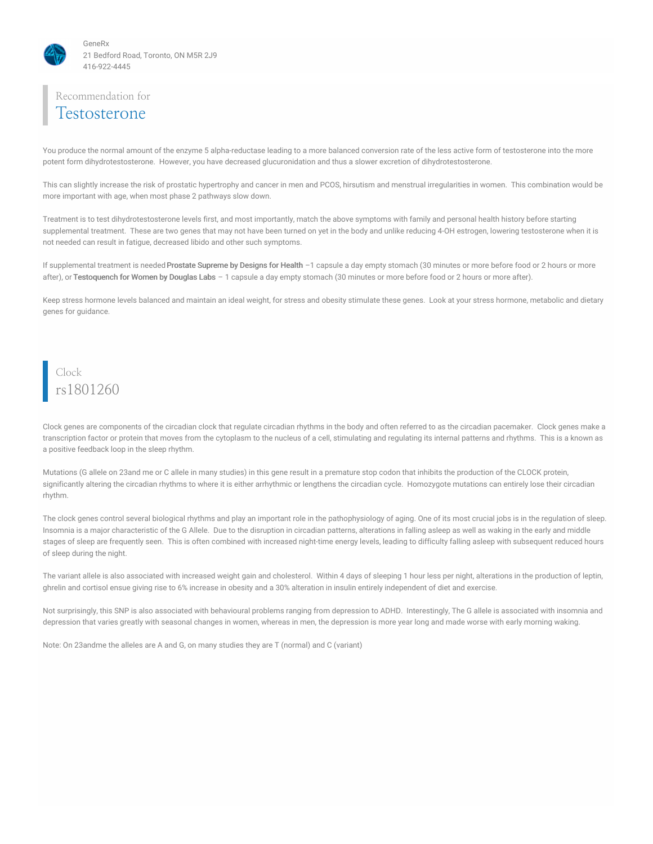

### Recommendation for Testosterone

You produce the normal amount of the enzyme 5 alpha-reductase leading to a more balanced conversion rate of the less active form of testosterone into the more potent form dihydrotestosterone. However, you have decreased glucuronidation and thus a slower excretion of dihydrotestosterone.

This can slightly increase the risk of prostatic hypertrophy and cancer in men and PCOS, hirsutism and menstrual irregularities in women. This combination would be more important with age, when most phase 2 pathways slow down.

Treatment is to test dihydrotestosterone levels first, and most importantly, match the above symptoms with family and personal health history before starting supplemental treatment. These are two genes that may not have been turned on yet in the body and unlike reducing 4-OH estrogen, lowering testosterone when it is not needed can result in fatigue, decreased libido and other such symptoms.

If supplemental treatment is needed Prostate Supreme by Designs for Health -1 capsule a day empty stomach (30 minutes or more before food or 2 hours or more after), or Testoquench for Women by Douglas Labs - 1 capsule a day empty stomach (30 minutes or more before food or 2 hours or more after).

Keep stress hormone levels balanced and maintain an ideal weight, for stress and obesity stimulate these genes. Look at your stress hormone, metabolic and dietary genes for guidance.

### Clock rs1801260

Clock genes are components of the circadian clock that regulate circadian rhythms in the body and often referred to as the circadian pacemaker. Clock genes make a transcription factor or protein that moves from the cytoplasm to the nucleus of a cell, stimulating and regulating its internal patterns and rhythms. This is a known as a positive feedback loop in the sleep rhythm.

Mutations (G allele on 23and me or C allele in many studies) in this gene result in a premature stop codon that inhibits the production of the CLOCK protein, significantly altering the circadian rhythms to where it is either arrhythmic or lengthens the circadian cycle. Homozygote mutations can entirely lose their circadian rhythm.

The clock genes control several biological rhythms and play an important role in the pathophysiology of aging. One of its most crucial jobs is in the regulation of sleep. Insomnia is a major characteristic of the G Allele. Due to the disruption in circadian patterns, alterations in falling asleep as well as waking in the early and middle stages of sleep are frequently seen. This is often combined with increased night-time energy levels, leading to difficulty falling asleep with subsequent reduced hours of sleep during the night.

The variant allele is also associated with increased weight gain and cholesterol. Within 4 days of sleeping 1 hour less per night, alterations in the production of leptin, ghrelin and cortisol ensue giving rise to 6% increase in obesity and a 30% alteration in insulin entirely independent of diet and exercise.

Not surprisingly, this SNP is also associated with behavioural problems ranging from depression to ADHD. Interestingly, The G allele is associated with insomnia and depression that varies greatly with seasonal changes in women, whereas in men, the depression is more year long and made worse with early morning waking.

Note: On 23andme the alleles are A and G, on many studies they are T (normal) and C (variant)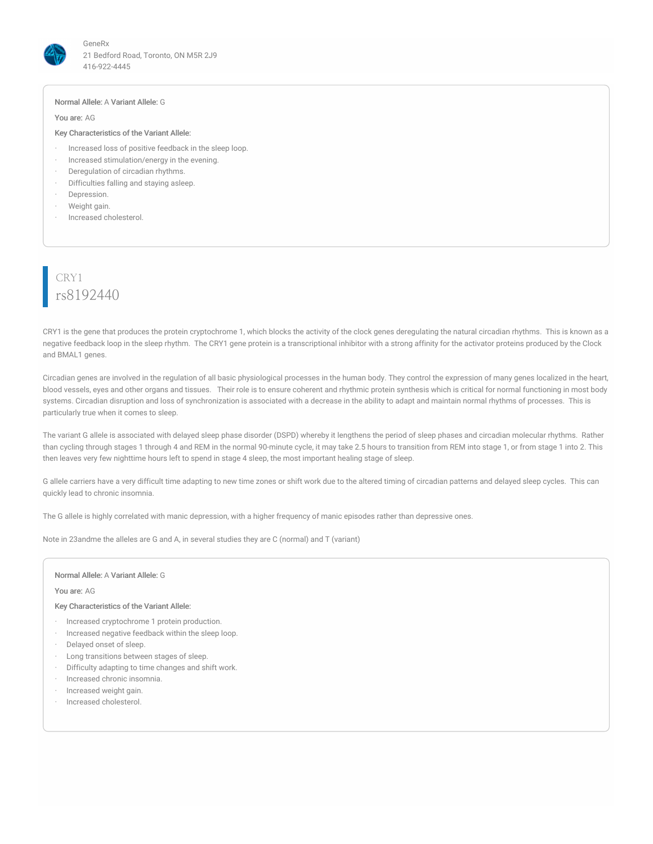

#### Normal Allele: A Variant Allele: G

#### You are: AG

#### Key Characteristics of the Variant Allele:

- · Increased loss of positive feedback in the sleep loop.
- · Increased stimulation/energy in the evening.
- · Deregulation of circadian rhythms.
- · Difficulties falling and staying asleep.
- Depression.
- Weight gain.
- · Increased cholesterol.

# CRY1 rs8192440

CRY1 is the gene that produces the protein cryptochrome 1, which blocks the activity of the clock genes deregulating the natural circadian rhythms. This is known as a negative feedback loop in the sleep rhythm. The CRY1 gene protein is a transcriptional inhibitor with a strong affinity for the activator proteins produced by the Clock and BMAL1 genes.

Circadian genes are involved in the regulation of all basic physiological processes in the human body. They control the expression of many genes localized in the heart, blood vessels, eyes and other organs and tissues. Their role is to ensure coherent and rhythmic protein synthesis which is critical for normal functioning in most body systems. Circadian disruption and loss of synchronization is associated with a decrease in the ability to adapt and maintain normal rhythms of processes. This is particularly true when it comes to sleep.

The variant G allele is associated with delayed sleep phase disorder (DSPD) whereby it lengthens the period of sleep phases and circadian molecular rhythms. Rather than cycling through stages 1 through 4 and REM in the normal 90-minute cycle, it may take 2.5 hours to transition from REM into stage 1, or from stage 1 into 2. This then leaves very few nighttime hours left to spend in stage 4 sleep, the most important healing stage of sleep.

G allele carriers have a very difficult time adapting to new time zones or shift work due to the altered timing of circadian patterns and delayed sleep cycles. This can quickly lead to chronic insomnia.

The G allele is highly correlated with manic depression, with a higher frequency of manic episodes rather than depressive ones.

Note in 23andme the alleles are G and A, in several studies they are C (normal) and T (variant)

#### Normal Allele: A Variant Allele: G

#### You are: AG

- · Increased cryptochrome 1 protein production.
- · Increased negative feedback within the sleep loop.
- · Delayed onset of sleep.
- · Long transitions between stages of sleep.
- · Difficulty adapting to time changes and shift work.
- · Increased chronic insomnia.
- · Increased weight gain.
- · Increased cholesterol.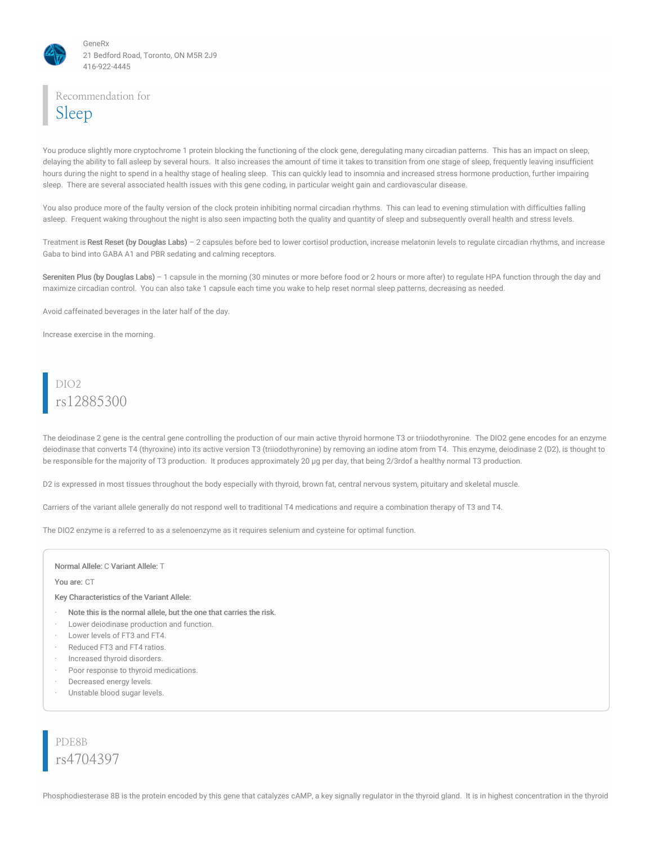

### Recommendation for Sleep

You produce slightly more cryptochrome 1 protein blocking the functioning of the clock gene, deregulating many circadian patterns. This has an impact on sleep, delaying the ability to fall asleep by several hours. It also increases the amount of time it takes to transition from one stage of sleep, frequently leaving insufficient hours during the night to spend in a healthy stage of healing sleep. This can quickly lead to insomnia and increased stress hormone production, further impairing sleep. There are several associated health issues with this gene coding, in particular weight gain and cardiovascular disease.

You also produce more of the faulty version of the clock protein inhibiting normal circadian rhythms. This can lead to evening stimulation with difficulties falling asleep. Frequent waking throughout the night is also seen impacting both the quality and quantity of sleep and subsequently overall health and stress levels.

Treatment is Rest Reset (by Douglas Labs) - 2 capsules before bed to lower cortisol production, increase melatonin levels to regulate circadian rhythms, and increase Gaba to bind into GABA A1 and PBR sedating and calming receptors.

Sereniten Plus (by Douglas Labs) – 1 capsule in the morning (30 minutes or more before food or 2 hours or more after) to regulate HPA function through the day and maximize circadian control. You can also take 1 capsule each time you wake to help reset normal sleep patterns, decreasing as needed.

Avoid caffeinated beverages in the later half of the day.

Increase exercise in the morning.

# DIO2 rs12885300

The deiodinase 2 gene is the central gene controlling the production of our main active thyroid hormone T3 or triiodothyronine. The DIO2 gene encodes for an enzyme deiodinase that converts T4 (thyroxine) into its active version T3 (triiodothyronine) by removing an iodine atom from T4. This enzyme, deiodinase 2 (D2), is thought to be responsible for the majority of T3 production. It produces approximately 20 µg per day, that being 2/3rdof a healthy normal T3 production.

D2 is expressed in most tissues throughout the body especially with thyroid, brown fat, central nervous system, pituitary and skeletal muscle.

Carriers of the variant allele generally do not respond well to traditional T4 medications and require a combination therapy of T3 and T4.

The DIO2 enzyme is a referred to as a selenoenzyme as it requires selenium and cysteine for optimal function.

#### Normal Allele: C Variant Allele: T

#### You are: CT

#### Key Characteristics of the Variant Allele:

- Note this is the normal allele, but the one that carries the risk.
- Lower deiodinase production and function.
- Lower levels of FT3 and FT4.
- Reduced FT3 and FT4 ratios.
- · Increased thyroid disorders.
- Poor response to thyroid medications.
- Decreased energy levels.
- Unstable blood sugar levels.

PDE8B rs4704397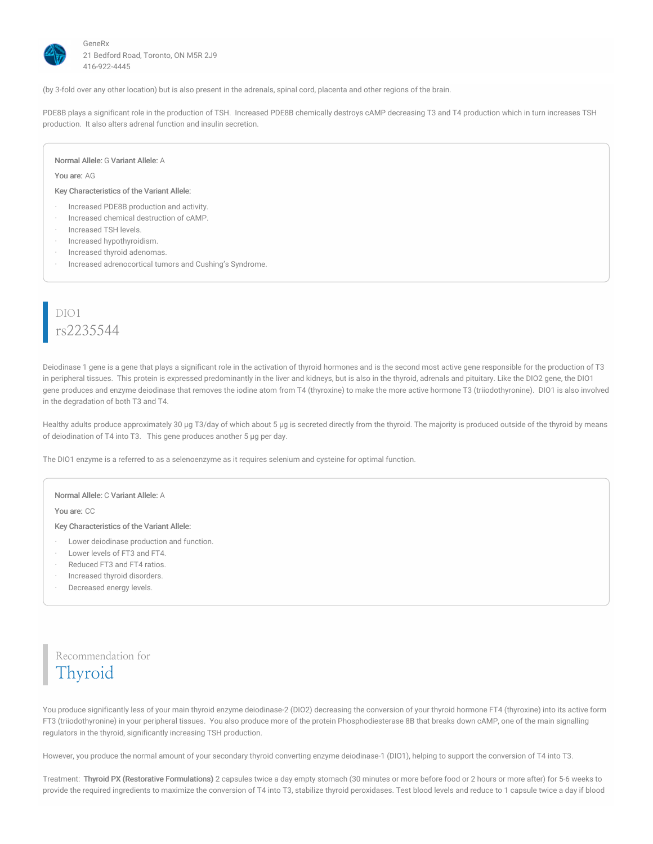

(by 3-fold over any other location) but is also present in the adrenals, spinal cord, placenta and other regions of the brain.

PDE8B plays a significant role in the production of TSH. Increased PDE8B chemically destroys cAMP decreasing T3 and T4 production which in turn increases TSH production. It also alters adrenal function and insulin secretion.

#### Normal Allele: G Variant Allele: A

You are: AG

#### Key Characteristics of the Variant Allele:

- · Increased PDE8B production and activity.
- · Increased chemical destruction of cAMP.
- · Increased TSH levels.
- · Increased hypothyroidism.
- · Increased thyroid adenomas.
- Increased adrenocortical tumors and Cushing's Syndrome.

# DIO1 rs2235544

Deiodinase 1 gene is a gene that plays a significant role in the activation of thyroid hormones and is the second most active gene responsible for the production of T3 in peripheral tissues. This protein is expressed predominantly in the liver and kidneys, but is also in the thyroid, adrenals and pituitary. Like the DIO2 gene, the DIO1 gene produces and enzyme deiodinase that removes the iodine atom from T4 (thyroxine) to make the more active hormone T3 (triiodothyronine). DIO1 is also involved in the degradation of both T3 and T4.

Healthy adults produce approximately 30 µg T3/day of which about 5 µg is secreted directly from the thyroid. The majority is produced outside of the thyroid by means of deiodination of T4 into T3. This gene produces another 5 µg per day.

The DIO1 enzyme is a referred to as a selenoenzyme as it requires selenium and cysteine for optimal function.

#### Normal Allele: C Variant Allele: A

You are: CC

Key Characteristics of the Variant Allele:

- Lower deiodinase production and function.
- · Lower levels of FT3 and FT4.
- · Reduced FT3 and FT4 ratios.
- · Increased thyroid disorders.
- Decreased energy levels.

Recommendation for Thyroid

You produce significantly less of your main thyroid enzyme deiodinase-2 (DIO2) decreasing the conversion of your thyroid hormone FT4 (thyroxine) into its active form FT3 (triiodothyronine) in your peripheral tissues. You also produce more of the protein Phosphodiesterase 8B that breaks down cAMP, one of the main signalling regulators in the thyroid, significantly increasing TSH production.

However, you produce the normal amount of your secondary thyroid converting enzyme deiodinase-1 (DIO1), helping to support the conversion of T4 into T3.

Treatment: Thyroid PX (Restorative Formulations) 2 capsules twice a day empty stomach (30 minutes or more before food or 2 hours or more after) for 5-6 weeks to provide the required ingredients to maximize the conversion of T4 into T3, stabilize thyroid peroxidases. Test blood levels and reduce to 1 capsule twice a day if blood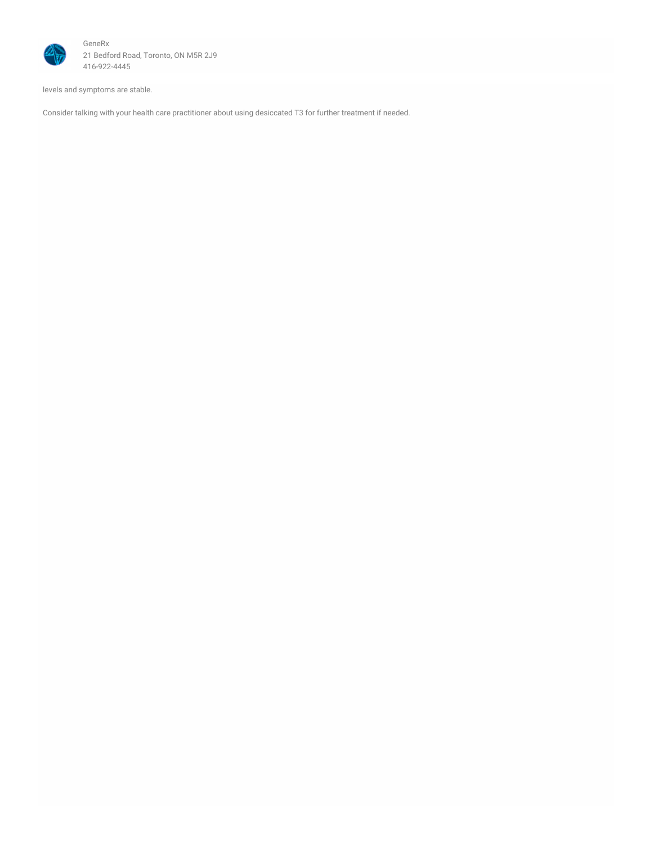

levels and symptoms are stable.

Consider talking with your health care practitioner about using desiccated T3 for further treatment if needed.